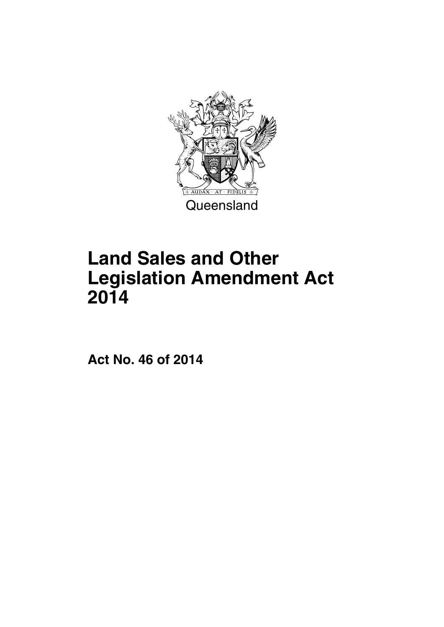

# **Land Sales and Other Legislation Amendment Act 2014**

**Act No. 46 of 2014**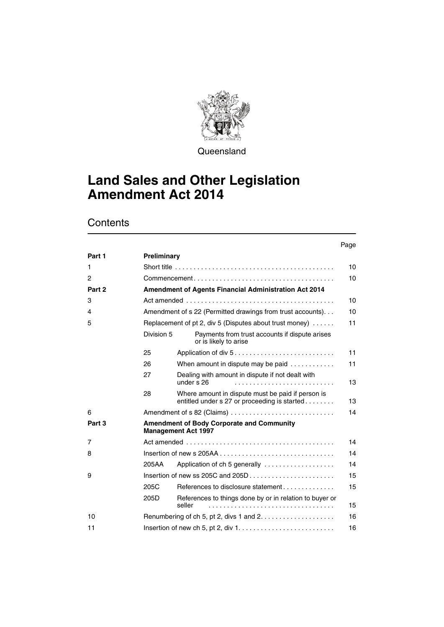

**Queensland** 

# **Land Sales and Other Legislation Amendment Act 2014**

# **Contents**

#### Page Part 1 **Preliminary** [1 Short title . . . . . . . . . . . . . . . . . . . . . . . . . . . . . . . . . . . . . . . . . . . 10](#page-11-1) [2 Commencement . . . . . . . . . . . . . . . . . . . . . . . . . . . . . . . . . . . . . . 10](#page-11-2) Part 2 **Amendment of Agents Financial Administration Act 2014** [3 Act amended . . . . . . . . . . . . . . . . . . . . . . . . . . . . . . . . . . . . . . . . 10](#page-11-4) [4 Amendment of s 22 \(Permitted drawings from trust accounts\). . . 10](#page-11-5) [5 Replacement of pt 2, div 5 \(Disputes about trust money\) . . . . . . 11](#page-12-0) [Division 5 Payments from trust accounts if dispute arises](#page-12-1)  or is likely to arise [25 Application of div 5 . . . . . . . . . . . . . . . . . . . . . . . . . . . 11](#page-12-2) 26 When amount in dispute may be paid . . . . . . . . . . . 11 27 Dealing with amount in dispute if not dealt with<br>under s 26 [under s 26 . . . . . . . . . . . . . . . . . . . . . . . . . . . 13](#page-14-0) [28 Where amount in dispute must be paid if person is](#page-14-1)  entitled under s 27 or proceeding is started . . . . . . . . . . 13 [6 Amendment of s 82 \(Claims\) . . . . . . . . . . . . . . . . . . . . . . . . . . . . 14](#page-15-0) **[Part 3 Amendment of Body Corporate and Community](#page-15-1)  Management Act 1997** [7 Act amended . . . . . . . . . . . . . . . . . . . . . . . . . . . . . . . . . . . . . . . . 14](#page-15-2) [8 Insertion of new s 205AA . . . . . . . . . . . . . . . . . . . . . . . . . . . . . . . 14](#page-15-3) [205AA Application of ch 5 generally . . . . . . . . . . . . . . . . . . . 14](#page-15-4) [9 Insertion of new ss 205C and 205D . . . . . . . . . . . . . . . . . . . . . . . 15](#page-16-0) [205C References to disclosure statement . . . . . . . . . . . . . . 15](#page-16-1) [205D References to things done by or in relation to buyer or](#page-16-2)  seller . . . . . . . . . . . . . . . . . . . . . . . . . . . . . . . . . . 15 [10 Renumbering of ch 5, pt 2, divs 1 and 2. . . . . . . . . . . . . . . . . . . . 16](#page-17-0)

[11 Insertion of new ch 5, pt 2, div 1. . . . . . . . . . . . . . . . . . . . . . . . . . 16](#page-17-1)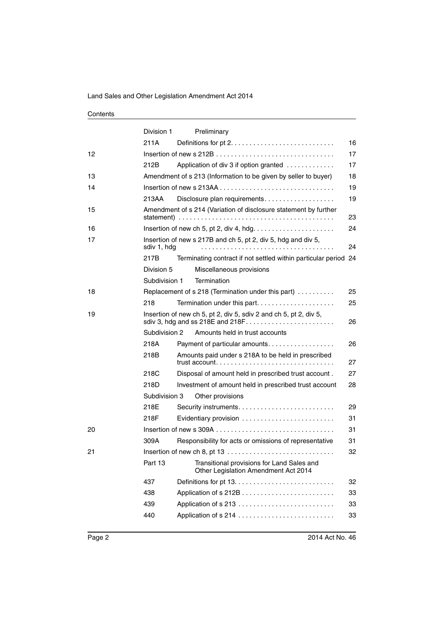|    | Division 1    | Preliminary                                                                                                                                                   |    |
|----|---------------|---------------------------------------------------------------------------------------------------------------------------------------------------------------|----|
|    | 211A          |                                                                                                                                                               | 16 |
| 12 |               |                                                                                                                                                               | 17 |
|    | 212B          | Application of div 3 if option granted                                                                                                                        | 17 |
| 13 |               | Amendment of s 213 (Information to be given by seller to buyer)                                                                                               | 18 |
| 14 |               |                                                                                                                                                               | 19 |
|    | 213AA         | Disclosure plan requirements.                                                                                                                                 | 19 |
| 15 |               | Amendment of s 214 (Variation of disclosure statement by further<br>statement) $\ldots \ldots \ldots \ldots \ldots \ldots \ldots \ldots \ldots \ldots \ldots$ | 23 |
| 16 |               |                                                                                                                                                               | 24 |
| 17 | sdiv 1, hdg   | Insertion of new s 217B and ch 5, pt 2, div 5, hdg and div 5,                                                                                                 | 24 |
|    | 217B          | Terminating contract if not settled within particular period 24                                                                                               |    |
|    | Division 5    | Miscellaneous provisions                                                                                                                                      |    |
|    | Subdivision 1 | Termination                                                                                                                                                   |    |
| 18 |               | Replacement of s 218 (Termination under this part)                                                                                                            | 25 |
|    | 218           | Termination under this part                                                                                                                                   | 25 |
| 19 |               | Insertion of new ch 5, pt 2, div 5, sdiv 2 and ch 5, pt 2, div 5,                                                                                             | 26 |
|    | Subdivision 2 | Amounts held in trust accounts                                                                                                                                |    |
|    | 218A          | Payment of particular amounts.                                                                                                                                | 26 |
|    | 218B          | Amounts paid under s 218A to be held in prescribed                                                                                                            | 27 |
|    | 218C          | Disposal of amount held in prescribed trust account.                                                                                                          | 27 |
|    | 218D          | Investment of amount held in prescribed trust account                                                                                                         | 28 |
|    | Subdivision 3 | Other provisions                                                                                                                                              |    |
|    | 218E          |                                                                                                                                                               | 29 |
|    | 218F          | Evidentiary provision                                                                                                                                         | 31 |
| 20 |               |                                                                                                                                                               | 31 |
|    | 309A          | Responsibility for acts or omissions of representative                                                                                                        | 31 |
| 21 |               |                                                                                                                                                               | 32 |
|    | Part 13       | Transitional provisions for Land Sales and<br>Other Legislation Amendment Act 2014                                                                            |    |
|    | 437           |                                                                                                                                                               | 32 |
|    | 438           |                                                                                                                                                               | 33 |
|    | 439           |                                                                                                                                                               | 33 |
|    | 440           |                                                                                                                                                               | 33 |
|    |               |                                                                                                                                                               |    |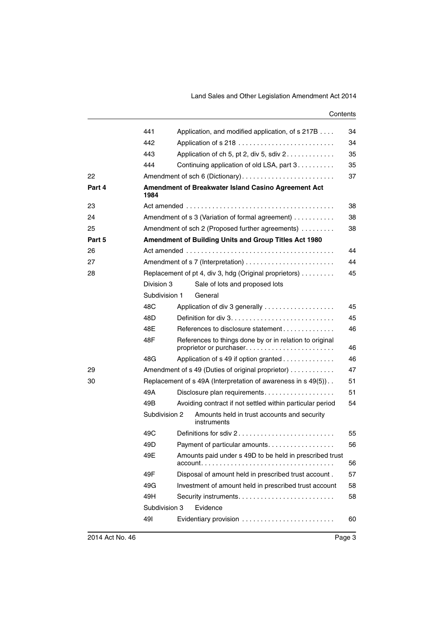|        | 441           |                           | Application, and modified application, of s 217B                                   | 34 |  |  |
|--------|---------------|---------------------------|------------------------------------------------------------------------------------|----|--|--|
|        | 442           |                           |                                                                                    | 34 |  |  |
|        | 443           |                           | Application of ch 5, pt 2, div 5, sdiv 2.                                          | 35 |  |  |
|        | 444           |                           | Continuing application of old LSA, part 3                                          | 35 |  |  |
| 22     |               |                           | Amendment of sch 6 (Dictionary)                                                    | 37 |  |  |
| Part 4 | 1984          |                           | Amendment of Breakwater Island Casino Agreement Act                                |    |  |  |
| 23     |               |                           |                                                                                    | 38 |  |  |
| 24     |               |                           | Amendment of s 3 (Variation of formal agreement)                                   | 38 |  |  |
| 25     |               |                           | Amendment of sch 2 (Proposed further agreements)                                   | 38 |  |  |
| Part 5 |               |                           | Amendment of Building Units and Group Titles Act 1980                              |    |  |  |
| 26     |               |                           |                                                                                    | 44 |  |  |
| 27     |               |                           |                                                                                    | 44 |  |  |
| 28     |               |                           | Replacement of pt 4, div 3, hdg (Original proprietors)                             | 45 |  |  |
|        | Division 3    |                           | Sale of lots and proposed lots                                                     |    |  |  |
|        | Subdivision 1 |                           | General                                                                            |    |  |  |
|        | 48C           |                           |                                                                                    | 45 |  |  |
|        | 48D           |                           |                                                                                    | 45 |  |  |
|        | 48E           |                           | References to disclosure statement                                                 | 46 |  |  |
|        | 48F           |                           | References to things done by or in relation to original<br>proprietor or purchaser | 46 |  |  |
|        | 48G           |                           | Application of s 49 if option granted                                              | 46 |  |  |
| 29     |               |                           | Amendment of s 49 (Duties of original proprietor)                                  | 47 |  |  |
| 30     |               |                           | Replacement of s 49A (Interpretation of awareness in s 49(5)).                     | 51 |  |  |
|        | 49A           |                           | Disclosure plan requirements                                                       | 51 |  |  |
|        | 49B           |                           | Avoiding contract if not settled within particular period                          | 54 |  |  |
|        | Subdivision 2 |                           | Amounts held in trust accounts and security<br>instruments                         |    |  |  |
|        | 49C           |                           | Definitions for sdiv 2                                                             | 55 |  |  |
|        | 49D           |                           | Payment of particular amounts                                                      | 56 |  |  |
|        | 49E           |                           | Amounts paid under s 49D to be held in prescribed trust                            | 56 |  |  |
|        | 49F           |                           | Disposal of amount held in prescribed trust account.                               | 57 |  |  |
|        | 49G           |                           | Investment of amount held in prescribed trust account                              | 58 |  |  |
|        | 49H           |                           |                                                                                    | 58 |  |  |
|        |               | Evidence<br>Subdivision 3 |                                                                                    |    |  |  |
|        | 49I           |                           |                                                                                    | 60 |  |  |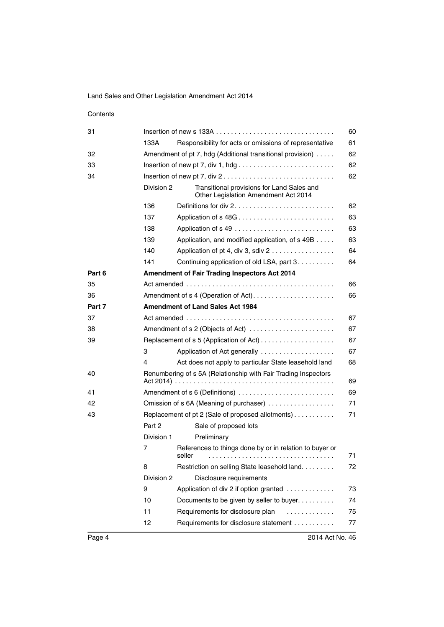| Contents |
|----------|
|----------|

| 31     |            | Insertion of new s 133A $\ldots \ldots \ldots \ldots \ldots \ldots \ldots \ldots \ldots \ldots \ldots$ | 60 |  |  |
|--------|------------|--------------------------------------------------------------------------------------------------------|----|--|--|
|        | 133A       | Responsibility for acts or omissions of representative                                                 | 61 |  |  |
| 32     |            | Amendment of pt 7, hdg (Additional transitional provision)                                             | 62 |  |  |
| 33     |            |                                                                                                        | 62 |  |  |
| 34     |            | Insertion of new pt 7, div $2 \ldots \ldots \ldots \ldots \ldots \ldots \ldots \ldots \ldots$          | 62 |  |  |
|        | Division 2 | Transitional provisions for Land Sales and<br>Other Legislation Amendment Act 2014                     |    |  |  |
|        | 136        | Definitions for div 2                                                                                  | 62 |  |  |
|        | 137        | Application of s 48G                                                                                   | 63 |  |  |
|        | 138        |                                                                                                        | 63 |  |  |
|        | 139        | Application, and modified application, of s 49B                                                        | 63 |  |  |
|        | 140        | Application of pt 4, div 3, sdiv 2                                                                     | 64 |  |  |
|        | 141        | Continuing application of old LSA, part 3.                                                             | 64 |  |  |
| Part 6 |            | <b>Amendment of Fair Trading Inspectors Act 2014</b>                                                   |    |  |  |
| 35     |            |                                                                                                        | 66 |  |  |
| 36     |            | Amendment of s 4 (Operation of Act)                                                                    | 66 |  |  |
| Part 7 |            | <b>Amendment of Land Sales Act 1984</b>                                                                |    |  |  |
| 37     |            |                                                                                                        | 67 |  |  |
| 38     |            | Amendment of s 2 (Objects of Act)                                                                      | 67 |  |  |
| 39     |            |                                                                                                        | 67 |  |  |
|        | 3          | Application of Act generally                                                                           | 67 |  |  |
|        | 4          | Act does not apply to particular State leasehold land                                                  | 68 |  |  |
| 40     |            | Renumbering of s 5A (Relationship with Fair Trading Inspectors                                         | 69 |  |  |
| 41     |            | Amendment of s 6 (Definitions)                                                                         | 69 |  |  |
| 42     |            | Omission of s 6A (Meaning of purchaser)                                                                | 71 |  |  |
| 43     |            | 71<br>Replacement of pt 2 (Sale of proposed allotments)                                                |    |  |  |
|        | Part 2     | Sale of proposed lots                                                                                  |    |  |  |
|        | Division 1 | Preliminary                                                                                            |    |  |  |
|        | 7          | References to things done by or in relation to buyer or<br>seller                                      | 71 |  |  |
|        | 8          | Restriction on selling State leasehold land.                                                           | 72 |  |  |
|        | Division 2 | Disclosure requirements                                                                                |    |  |  |
|        | 9          | Application of div 2 if option granted                                                                 | 73 |  |  |
|        | 10         | Documents to be given by seller to buyer.                                                              | 74 |  |  |
|        | 11         | Requirements for disclosure plan<br>.                                                                  | 75 |  |  |
|        | 12         | Requirements for disclosure statement                                                                  | 77 |  |  |
|        |            |                                                                                                        |    |  |  |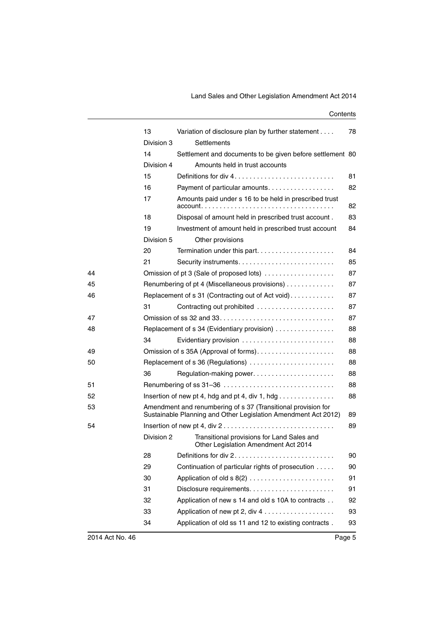|    | 13         | Variation of disclosure plan by further statement                                                                               | 78 |
|----|------------|---------------------------------------------------------------------------------------------------------------------------------|----|
|    | Division 3 | Settlements                                                                                                                     |    |
|    | 14         | Settlement and documents to be given before settlement 80                                                                       |    |
|    | Division 4 | Amounts held in trust accounts                                                                                                  |    |
|    | 15         | Definitions for div $4, \ldots, \ldots, \ldots, \ldots, \ldots, \ldots, \ldots$                                                 | 81 |
|    | 16         | Payment of particular amounts.                                                                                                  | 82 |
|    | 17         | Amounts paid under s 16 to be held in prescribed trust<br>$account.$                                                            | 82 |
|    | 18         | Disposal of amount held in prescribed trust account.                                                                            | 83 |
|    | 19         | Investment of amount held in prescribed trust account                                                                           | 84 |
|    | Division 5 | Other provisions                                                                                                                |    |
|    | 20         | Termination under this part                                                                                                     | 84 |
|    | 21         |                                                                                                                                 | 85 |
| 44 |            | Omission of pt 3 (Sale of proposed lots)                                                                                        | 87 |
| 45 |            | Renumbering of pt 4 (Miscellaneous provisions)                                                                                  | 87 |
| 46 |            | Replacement of s 31 (Contracting out of Act void)                                                                               | 87 |
|    | 31         | Contracting out prohibited                                                                                                      | 87 |
| 47 |            |                                                                                                                                 | 87 |
| 48 |            | Replacement of s 34 (Evidentiary provision)                                                                                     | 88 |
|    | 34         | Evidentiary provision                                                                                                           | 88 |
| 49 |            |                                                                                                                                 | 88 |
| 50 |            | Replacement of s 36 (Regulations)                                                                                               | 88 |
|    | 36         | Regulation-making power                                                                                                         | 88 |
| 51 |            |                                                                                                                                 | 88 |
| 52 |            | Insertion of new pt 4, hdg and pt 4, div 1, hdg $\ldots \ldots \ldots \ldots$                                                   | 88 |
| 53 |            | Amendment and renumbering of s 37 (Transitional provision for<br>Sustainable Planning and Other Legislation Amendment Act 2012) | 89 |
| 54 |            | Insertion of new pt 4, div $2 \ldots \ldots \ldots \ldots \ldots \ldots \ldots \ldots \ldots$                                   | 89 |
|    | Division 2 | Transitional provisions for Land Sales and<br>Other Legislation Amendment Act 2014                                              |    |
|    | 28         | Definitions for div 2                                                                                                           | 90 |
|    | 29         | Continuation of particular rights of prosecution                                                                                | 90 |
|    | 30         |                                                                                                                                 | 91 |
|    | 31         |                                                                                                                                 | 91 |
|    | 32         | Application of new s 14 and old s 10A to contracts                                                                              | 92 |
|    | 33         | Application of new pt 2, div 4                                                                                                  | 93 |
|    | 34         | Application of old ss 11 and 12 to existing contracts.                                                                          | 93 |
|    |            |                                                                                                                                 |    |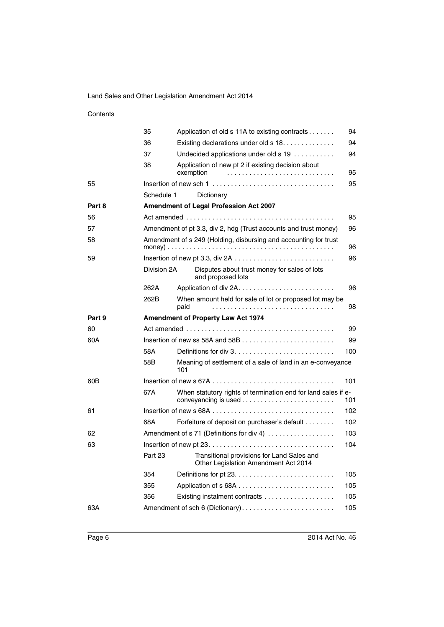|        | 35          | Application of old s 11A to existing contracts                                       | 94  |  |
|--------|-------------|--------------------------------------------------------------------------------------|-----|--|
|        | 36          | Existing declarations under old s 18.                                                | 94  |  |
|        | 37          | Undecided applications under old s 19                                                | 94  |  |
|        | 38          | Application of new pt 2 if existing decision about<br>exemption                      | 95  |  |
| 55     |             |                                                                                      | 95  |  |
|        | Schedule 1  | Dictionary                                                                           |     |  |
| Part 8 |             | Amendment of Legal Profession Act 2007                                               |     |  |
| 56     |             |                                                                                      | 95  |  |
| 57     |             | Amendment of pt 3.3, div 2, hdg (Trust accounts and trust money)                     | 96  |  |
| 58     |             | Amendment of s 249 (Holding, disbursing and accounting for trust                     | 96  |  |
| 59     |             |                                                                                      | 96  |  |
|        | Division 2A | Disputes about trust money for sales of lots<br>and proposed lots                    |     |  |
|        | 262A        |                                                                                      | 96  |  |
|        | 262B        | When amount held for sale of lot or proposed lot may be<br>paid                      | 98  |  |
| Part 9 |             | <b>Amendment of Property Law Act 1974</b>                                            |     |  |
| 60     |             | 99                                                                                   |     |  |
| 60A    |             | Insertion of new ss 58A and 58B $\dots\dots\dots\dots\dots\dots\dots\dots\dots\dots$ | 99  |  |
|        | 58A         | Definitions for div $3, \ldots, \ldots, \ldots, \ldots, \ldots, \ldots, \ldots$      | 100 |  |
|        | 58B         | Meaning of settlement of a sale of land in an e-conveyance<br>101                    |     |  |
| 60B    |             |                                                                                      | 101 |  |
|        | 67A         | When statutory rights of termination end for land sales if e-                        | 101 |  |
| 61     |             |                                                                                      | 102 |  |
|        | 68A         | Forfeiture of deposit on purchaser's default                                         | 102 |  |
| 62     |             | Amendment of s 71 (Definitions for div 4)                                            | 103 |  |
| 63     |             |                                                                                      | 104 |  |
|        | Part 23     | Transitional provisions for Land Sales and<br>Other Legislation Amendment Act 2014   |     |  |
|        | 354         |                                                                                      | 105 |  |
|        | 355         |                                                                                      | 105 |  |
|        | 356         |                                                                                      | 105 |  |
| 63A    |             | Amendment of sch 6 (Dictionary)                                                      | 105 |  |
|        |             |                                                                                      |     |  |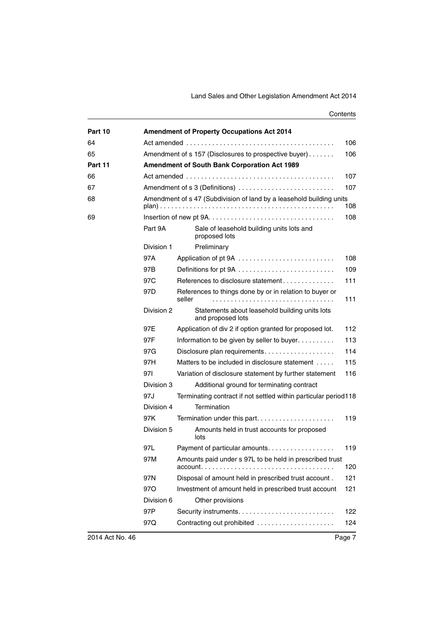| Part 10 |            | <b>Amendment of Property Occupations Act 2014</b>                    |     |  |
|---------|------------|----------------------------------------------------------------------|-----|--|
| 64      | 106        |                                                                      |     |  |
| 65      |            | Amendment of s 157 (Disclosures to prospective buyer)                | 106 |  |
| Part 11 |            | <b>Amendment of South Bank Corporation Act 1989</b>                  |     |  |
| 66      |            |                                                                      | 107 |  |
| 67      |            | Amendment of s 3 (Definitions)                                       | 107 |  |
| 68      |            | Amendment of s 47 (Subdivision of land by a leasehold building units | 108 |  |
| 69      |            |                                                                      | 108 |  |
|         | Part 9A    | Sale of leasehold building units lots and<br>proposed lots           |     |  |
|         | Division 1 | Preliminary                                                          |     |  |
|         | 97A        |                                                                      | 108 |  |
|         | 97B        | Definitions for pt 9A                                                | 109 |  |
|         | 97C        | References to disclosure statement                                   | 111 |  |
|         | 97D        | References to things done by or in relation to buyer or<br>seller    | 111 |  |
|         | Division 2 | Statements about leasehold building units lots<br>and proposed lots  |     |  |
|         | 97E        | Application of div 2 if option granted for proposed lot.             | 112 |  |
|         | 97F        | Information to be given by seller to buyer                           | 113 |  |
|         | 97G        | Disclosure plan requirements                                         | 114 |  |
|         | 97H        | Matters to be included in disclosure statement                       | 115 |  |
|         | 971        | Variation of disclosure statement by further statement               | 116 |  |
|         | Division 3 | Additional ground for terminating contract                           |     |  |
|         | 97J        | Terminating contract if not settled within particular period118      |     |  |
|         | Division 4 | Termination                                                          |     |  |
|         | 97K        |                                                                      | 119 |  |
|         | Division 5 | Amounts held in trust accounts for proposed<br>lots                  |     |  |
|         | 97L        | Payment of particular amounts.                                       | 119 |  |
|         | 97M        | Amounts paid under s 97L to be held in prescribed trust              | 120 |  |
|         | 97N        | Disposal of amount held in prescribed trust account.                 | 121 |  |
|         | 97O        | Investment of amount held in prescribed trust account                | 121 |  |
|         | Division 6 | Other provisions                                                     |     |  |
|         | 97P        |                                                                      | 122 |  |
|         | 97Q        | Contracting out prohibited                                           | 124 |  |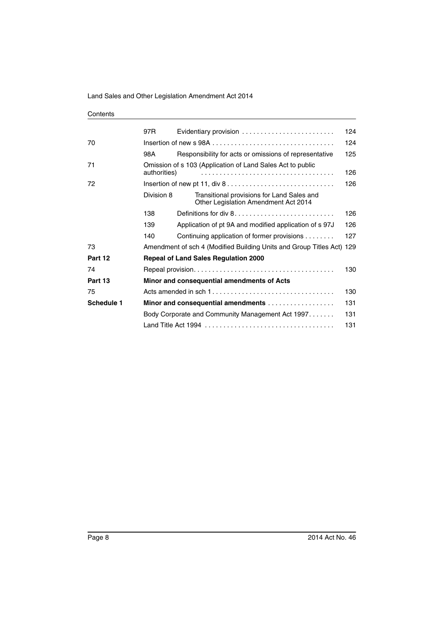| Contents |
|----------|
|----------|

|            | 97 <sub>R</sub> | Evidentiary provision                                                                          | 124 |
|------------|-----------------|------------------------------------------------------------------------------------------------|-----|
| 70         |                 |                                                                                                | 124 |
|            | 98A             | Responsibility for acts or omissions of representative                                         | 125 |
| 71         | authorities)    | Omission of s 103 (Application of Land Sales Act to public                                     | 126 |
| 72         |                 | Insertion of new pt 11, div $8 \ldots \ldots \ldots \ldots \ldots \ldots \ldots \ldots \ldots$ | 126 |
|            | Division 8      | Transitional provisions for Land Sales and<br>Other Legislation Amendment Act 2014             |     |
|            | 138             |                                                                                                | 126 |
|            | 139             | Application of pt 9A and modified application of s 97J                                         | 126 |
|            | 140             | Continuing application of former provisions                                                    | 127 |
| 73         |                 | Amendment of sch 4 (Modified Building Units and Group Titles Act) 129                          |     |
| Part 12    |                 | <b>Repeal of Land Sales Regulation 2000</b>                                                    |     |
| 74         |                 |                                                                                                | 130 |
| Part 13    |                 | Minor and consequential amendments of Acts                                                     |     |
| 75         |                 |                                                                                                | 130 |
| Schedule 1 |                 | Minor and consequential amendments                                                             | 131 |
|            |                 | Body Corporate and Community Management Act 1997                                               | 131 |
|            |                 |                                                                                                | 131 |
|            |                 |                                                                                                |     |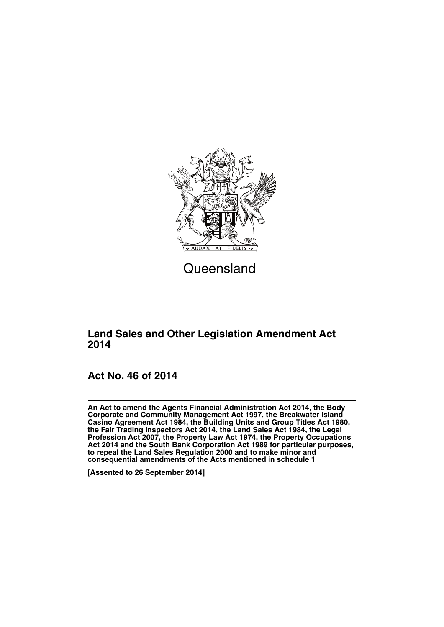

**Queensland** 

# **Land Sales and Other Legislation Amendment Act 2014**

# **Act No. 46 of 2014**

**An Act to amend the Agents Financial Administration Act 2014, the Body Corporate and Community Management Act 1997, the Breakwater Island Casino Agreement Act 1984, the Building Units and Group Titles Act 1980, the Fair Trading Inspectors Act 2014, the Land Sales Act 1984, the Legal Profession Act 2007, the Property Law Act 1974, the Property Occupations Act 2014 and the South Bank Corporation Act 1989 for particular purposes, to repeal the Land Sales Regulation 2000 and to make minor and consequential amendments of the Acts mentioned in schedule 1**

**[Assented to 26 September 2014]**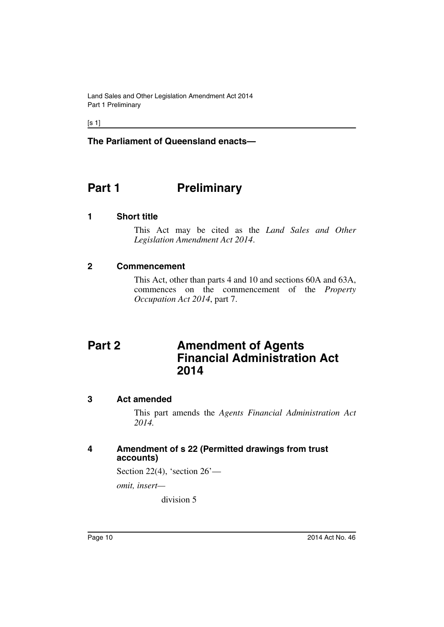**The Parliament of Queensland enacts—**

# <span id="page-11-0"></span>**Part 1** Preliminary

#### <span id="page-11-1"></span>**1 Short title**

This Act may be cited as the *Land Sales and Other Legislation Amendment Act 2014*.

#### <span id="page-11-2"></span>**2 Commencement**

This Act, other than parts 4 and 10 and sections 60A and 63A, commences on the commencement of the *Property Occupation Act 2014*, part 7.

# <span id="page-11-3"></span>**Part 2 Amendment of Agents Financial Administration Act 2014**

#### <span id="page-11-4"></span>**3 Act amended**

This part amends the *Agents Financial Administration Act 2014.*

#### <span id="page-11-5"></span>**4 Amendment of s 22 (Permitted drawings from trust accounts)**

Section 22(4), 'section 26'—

*omit, insert—*

division 5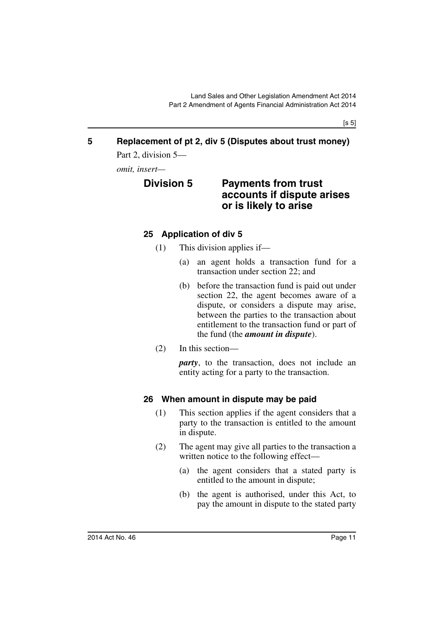$[s 5]$ 

# <span id="page-12-0"></span>**5 Replacement of pt 2, div 5 (Disputes about trust money)**

Part 2, division 5—

<span id="page-12-1"></span>*omit, insert—*

# **Division 5 Payments from trust accounts if dispute arises or is likely to arise**

#### <span id="page-12-2"></span>**25 Application of div 5**

- (1) This division applies if—
	- (a) an agent holds a transaction fund for a transaction under section 22; and
	- (b) before the transaction fund is paid out under section 22, the agent becomes aware of a dispute, or considers a dispute may arise, between the parties to the transaction about entitlement to the transaction fund or part of the fund (the *amount in dispute*).
- (2) In this section—

*party*, to the transaction, does not include an entity acting for a party to the transaction.

#### <span id="page-12-3"></span>**26 When amount in dispute may be paid**

- (1) This section applies if the agent considers that a party to the transaction is entitled to the amount in dispute.
- (2) The agent may give all parties to the transaction a written notice to the following effect—
	- (a) the agent considers that a stated party is entitled to the amount in dispute;
	- (b) the agent is authorised, under this Act, to pay the amount in dispute to the stated party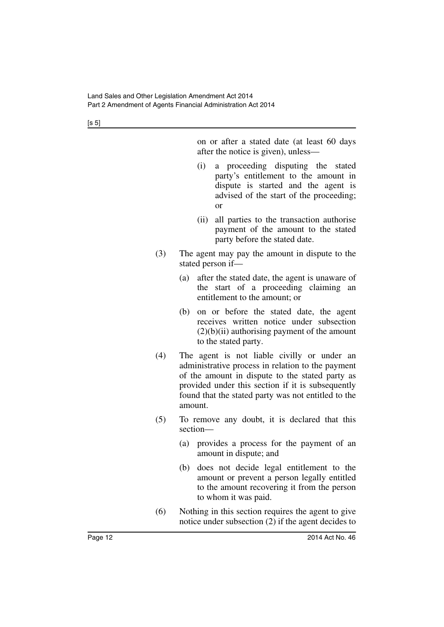$[s 5]$ 

on or after a stated date (at least 60 days after the notice is given), unless—

- (i) a proceeding disputing the stated party's entitlement to the amount in dispute is started and the agent is advised of the start of the proceeding; or
- (ii) all parties to the transaction authorise payment of the amount to the stated party before the stated date.
- (3) The agent may pay the amount in dispute to the stated person if—
	- (a) after the stated date, the agent is unaware of the start of a proceeding claiming an entitlement to the amount; or
	- (b) on or before the stated date, the agent receives written notice under subsection  $(2)(b)(ii)$  authorising payment of the amount to the stated party.
- (4) The agent is not liable civilly or under an administrative process in relation to the payment of the amount in dispute to the stated party as provided under this section if it is subsequently found that the stated party was not entitled to the amount.
- (5) To remove any doubt, it is declared that this section—
	- (a) provides a process for the payment of an amount in dispute; and
	- (b) does not decide legal entitlement to the amount or prevent a person legally entitled to the amount recovering it from the person to whom it was paid.
- (6) Nothing in this section requires the agent to give notice under subsection (2) if the agent decides to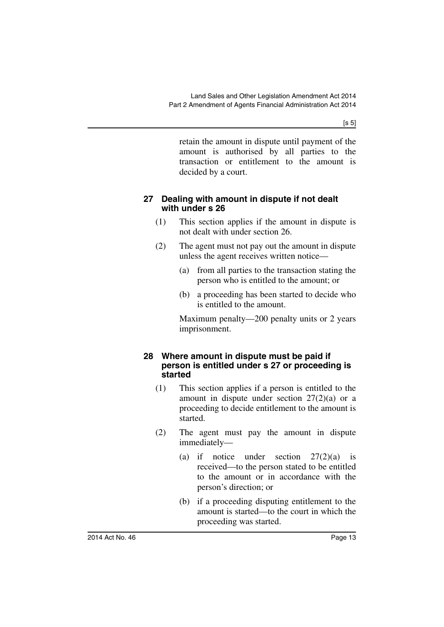$[s 5]$ 

retain the amount in dispute until payment of the amount is authorised by all parties to the transaction or entitlement to the amount is decided by a court.

#### <span id="page-14-0"></span>**27 Dealing with amount in dispute if not dealt with under s 26**

- (1) This section applies if the amount in dispute is not dealt with under section 26.
- (2) The agent must not pay out the amount in dispute unless the agent receives written notice—
	- (a) from all parties to the transaction stating the person who is entitled to the amount; or
	- (b) a proceeding has been started to decide who is entitled to the amount.

Maximum penalty—200 penalty units or 2 years imprisonment.

#### <span id="page-14-1"></span>**28 Where amount in dispute must be paid if person is entitled under s 27 or proceeding is started**

- (1) This section applies if a person is entitled to the amount in dispute under section  $27(2)(a)$  or a proceeding to decide entitlement to the amount is started.
- (2) The agent must pay the amount in dispute immediately—
	- (a) if notice under section 27(2)(a) is received—to the person stated to be entitled to the amount or in accordance with the person's direction; or
	- (b) if a proceeding disputing entitlement to the amount is started—to the court in which the proceeding was started.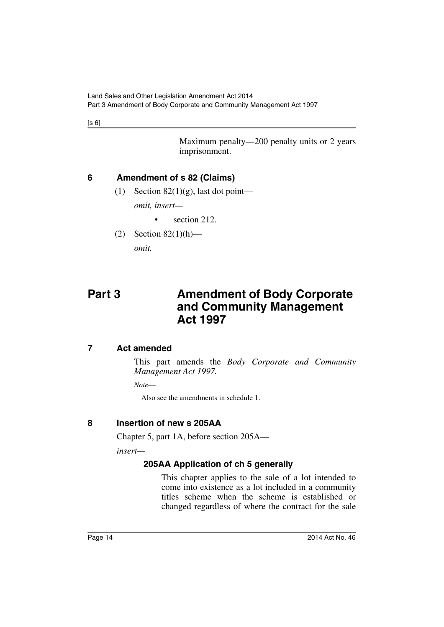$[s 6]$ 

Maximum penalty—200 penalty units or 2 years imprisonment.

## <span id="page-15-0"></span>**6 Amendment of s 82 (Claims)**

(1) Section  $82(1)(g)$ , last dot point—

*omit, insert—*

- section 212.
- $(2)$  Section 82 $(1)(h)$ —

*omit.*

# <span id="page-15-1"></span>**Part 3 Amendment of Body Corporate and Community Management Act 1997**

### <span id="page-15-2"></span>**7 Act amended**

This part amends the *Body Corporate and Community Management Act 1997.*

*Note*—

Also see the amendments in schedule 1.

# <span id="page-15-3"></span>**8 Insertion of new s 205AA**

Chapter 5, part 1A, before section 205A—

<span id="page-15-4"></span>*insert—*

# **205AA Application of ch 5 generally**

This chapter applies to the sale of a lot intended to come into existence as a lot included in a community titles scheme when the scheme is established or changed regardless of where the contract for the sale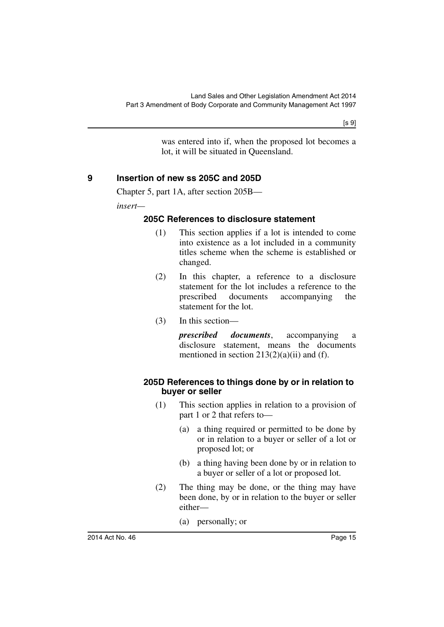was entered into if, when the proposed lot becomes a lot, it will be situated in Queensland.

#### <span id="page-16-0"></span>**9 Insertion of new ss 205C and 205D**

Chapter 5, part 1A, after section 205B—

<span id="page-16-1"></span>*insert—*

#### **205C References to disclosure statement**

- (1) This section applies if a lot is intended to come into existence as a lot included in a community titles scheme when the scheme is established or changed.
- (2) In this chapter, a reference to a disclosure statement for the lot includes a reference to the prescribed documents accompanying the statement for the lot.
- (3) In this section—

*prescribed documents*, accompanying a disclosure statement, means the documents mentioned in section  $213(2)(a)(ii)$  and (f).

#### <span id="page-16-2"></span>**205D References to things done by or in relation to buyer or seller**

- (1) This section applies in relation to a provision of part 1 or 2 that refers to—
	- (a) a thing required or permitted to be done by or in relation to a buyer or seller of a lot or proposed lot; or
	- (b) a thing having been done by or in relation to a buyer or seller of a lot or proposed lot.
- (2) The thing may be done, or the thing may have been done, by or in relation to the buyer or seller either—
	- (a) personally; or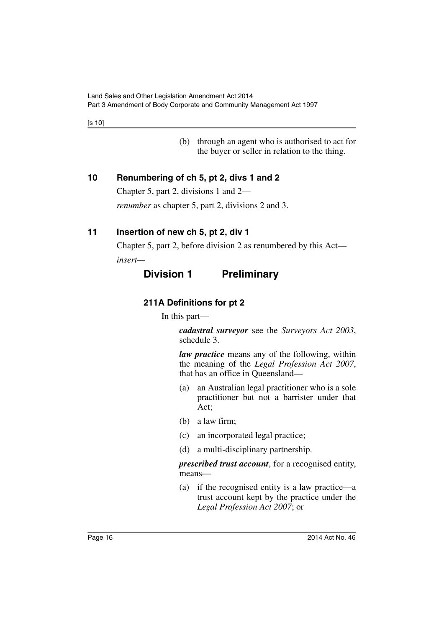[s 10]

(b) through an agent who is authorised to act for the buyer or seller in relation to the thing.

### <span id="page-17-0"></span>**10 Renumbering of ch 5, pt 2, divs 1 and 2**

Chapter 5, part 2, divisions 1 and 2—

*renumber* as chapter 5, part 2, divisions 2 and 3.

# <span id="page-17-1"></span>**11 Insertion of new ch 5, pt 2, div 1**

Chapter 5, part 2, before division 2 as renumbered by this Act—

<span id="page-17-3"></span><span id="page-17-2"></span>*insert—*

# **Division 1 Preliminary**

# **211A Definitions for pt 2**

In this part—

*cadastral surveyor* see the *Surveyors Act 2003*, schedule 3.

*law practice* means any of the following, within the meaning of the *Legal Profession Act 2007*, that has an office in Queensland—

- (a) an Australian legal practitioner who is a sole practitioner but not a barrister under that Act;
- (b) a law firm;
- (c) an incorporated legal practice;
- (d) a multi-disciplinary partnership.

*prescribed trust account*, for a recognised entity, means—

(a) if the recognised entity is a law practice—a trust account kept by the practice under the *Legal Profession Act 2007*; or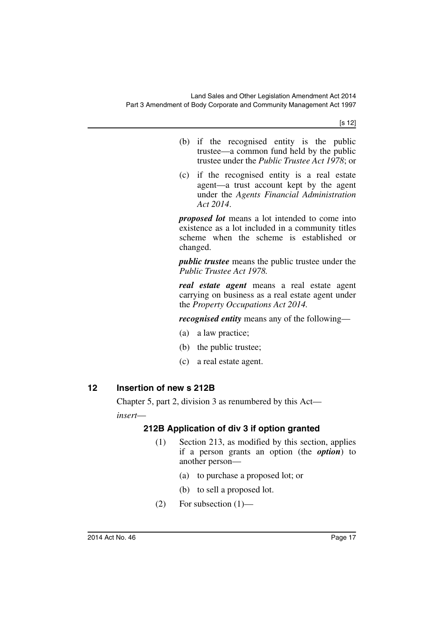[s 12]

- (b) if the recognised entity is the public trustee—a common fund held by the public trustee under the *Public Trustee Act 1978*; or
- (c) if the recognised entity is a real estate agent—a trust account kept by the agent under the *Agents Financial Administration Act 2014*.

*proposed lot* means a lot intended to come into existence as a lot included in a community titles scheme when the scheme is established or changed.

*public trustee* means the public trustee under the *Public Trustee Act 1978.*

*real estate agent* means a real estate agent carrying on business as a real estate agent under the *Property Occupations Act 2014.*

*recognised entity* means any of the following—

- (a) a law practice;
- (b) the public trustee;
- (c) a real estate agent.

### <span id="page-18-0"></span>**12 Insertion of new s 212B**

<span id="page-18-1"></span>Chapter 5, part 2, division 3 as renumbered by this Act *insert*—

### **212B Application of div 3 if option granted**

- (1) Section 213, as modified by this section, applies if a person grants an option (the *option*) to another person—
	- (a) to purchase a proposed lot; or
	- (b) to sell a proposed lot.
- $(2)$  For subsection  $(1)$ —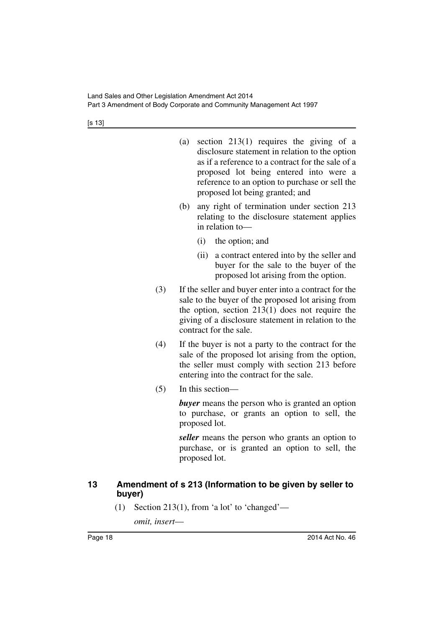| (a) | section $213(1)$ requires the giving of a         |
|-----|---------------------------------------------------|
|     | disclosure statement in relation to the option    |
|     | as if a reference to a contract for the sale of a |
|     | proposed lot being entered into were a            |
|     | reference to an option to purchase or sell the    |
|     | proposed lot being granted; and                   |

- (b) any right of termination under section 213 relating to the disclosure statement applies in relation to—
	- (i) the option; and
	- (ii) a contract entered into by the seller and buyer for the sale to the buyer of the proposed lot arising from the option.
- (3) If the seller and buyer enter into a contract for the sale to the buyer of the proposed lot arising from the option, section 213(1) does not require the giving of a disclosure statement in relation to the contract for the sale.
- (4) If the buyer is not a party to the contract for the sale of the proposed lot arising from the option, the seller must comply with section 213 before entering into the contract for the sale.
- (5) In this section—

*buyer* means the person who is granted an option to purchase, or grants an option to sell, the proposed lot.

*seller* means the person who grants an option to purchase, or is granted an option to sell, the proposed lot.

#### <span id="page-19-0"></span>**13 Amendment of s 213 (Information to be given by seller to buyer)**

(1) Section 213(1), from 'a lot' to 'changed'—

*omit, insert*—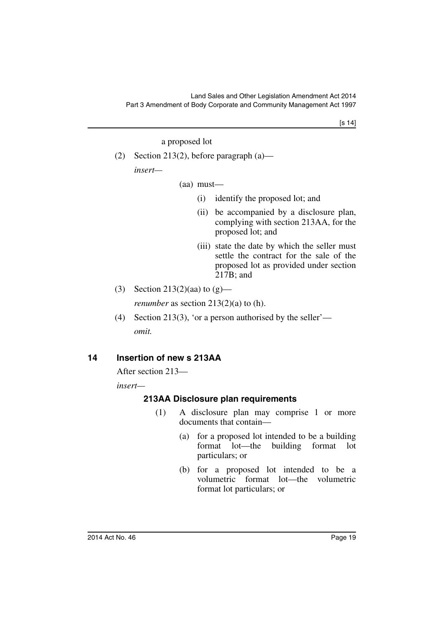[s 14]

a proposed lot

(2) Section 213(2), before paragraph (a) *insert—*

(aa) must—

- (i) identify the proposed lot; and
- (ii) be accompanied by a disclosure plan, complying with section 213AA, for the proposed lot; and
- (iii) state the date by which the seller must settle the contract for the sale of the proposed lot as provided under section 217B; and
- (3) Section 213(2)(aa) to  $(g)$  *renumber* as section 213(2)(a) to (h).
- (4) Section 213(3), 'or a person authorised by the seller' *omit.*

#### <span id="page-20-0"></span>**14 Insertion of new s 213AA**

After section 213—

<span id="page-20-1"></span>*insert—*

#### **213AA Disclosure plan requirements**

- (1) A disclosure plan may comprise 1 or more documents that contain—
	- (a) for a proposed lot intended to be a building format lot—the building format lot particulars; or
	- (b) for a proposed lot intended to be a volumetric format lot—the volumetric format lot particulars; or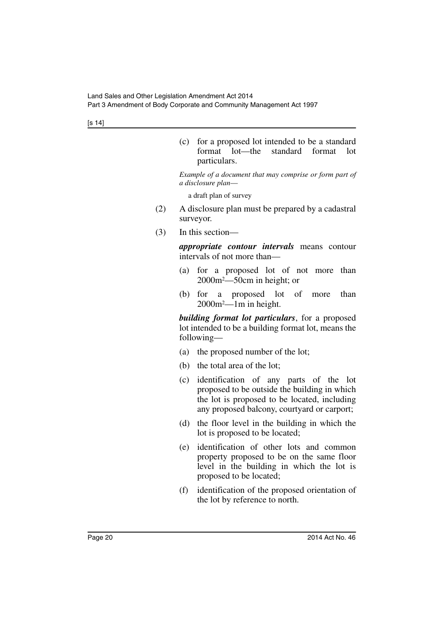[s 14]

(c) for a proposed lot intended to be a standard format lot—the standard format lot particulars.

*Example of a document that may comprise or form part of a disclosure plan*—

a draft plan of survey

- (2) A disclosure plan must be prepared by a cadastral surveyor.
- (3) In this section—

*appropriate contour intervals* means contour intervals of not more than—

- (a) for a proposed lot of not more than 2000m2—50cm in height; or
- (b) for a proposed lot of more than 2000m2—1m in height.

*building format lot particulars*, for a proposed lot intended to be a building format lot, means the following—

- (a) the proposed number of the lot;
- (b) the total area of the lot;
- (c) identification of any parts of the lot proposed to be outside the building in which the lot is proposed to be located, including any proposed balcony, courtyard or carport;
- (d) the floor level in the building in which the lot is proposed to be located;
- (e) identification of other lots and common property proposed to be on the same floor level in the building in which the lot is proposed to be located;
- (f) identification of the proposed orientation of the lot by reference to north.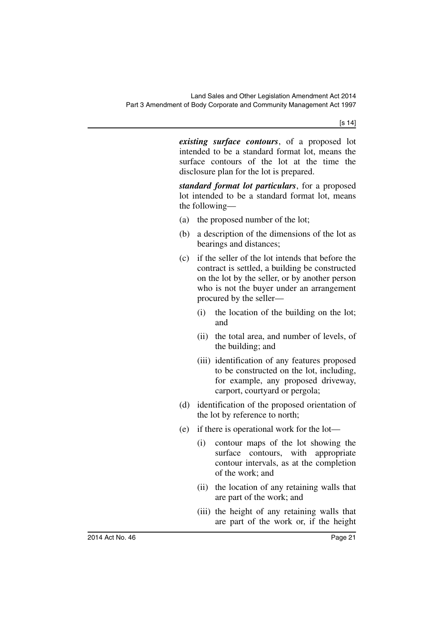*existing surface contours*, of a proposed lot intended to be a standard format lot, means the surface contours of the lot at the time the disclosure plan for the lot is prepared.

*standard format lot particulars*, for a proposed lot intended to be a standard format lot, means the following—

- (a) the proposed number of the lot;
- (b) a description of the dimensions of the lot as bearings and distances;
- (c) if the seller of the lot intends that before the contract is settled, a building be constructed on the lot by the seller, or by another person who is not the buyer under an arrangement procured by the seller—
	- (i) the location of the building on the lot; and
	- (ii) the total area, and number of levels, of the building; and
	- (iii) identification of any features proposed to be constructed on the lot, including, for example, any proposed driveway, carport, courtyard or pergola;
- (d) identification of the proposed orientation of the lot by reference to north;
- (e) if there is operational work for the lot—
	- (i) contour maps of the lot showing the surface contours, with appropriate contour intervals, as at the completion of the work; and
	- (ii) the location of any retaining walls that are part of the work; and
	- (iii) the height of any retaining walls that are part of the work or, if the height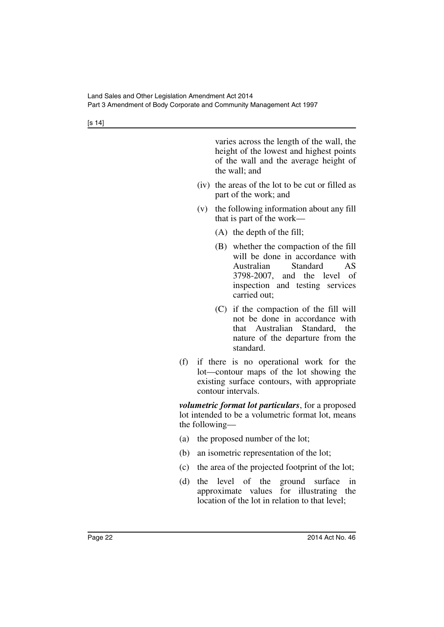[s 14]

varies across the length of the wall, the height of the lowest and highest points of the wall and the average height of the wall; and

- (iv) the areas of the lot to be cut or filled as part of the work; and
- (v) the following information about any fill that is part of the work—
	- (A) the depth of the fill;
	- (B) whether the compaction of the fill will be done in accordance with Australian Standard AS 3798-2007, and the level of inspection and testing services carried out;
	- (C) if the compaction of the fill will not be done in accordance with that Australian Standard, the nature of the departure from the standard.
- (f) if there is no operational work for the lot—contour maps of the lot showing the existing surface contours, with appropriate contour intervals.

*volumetric format lot particulars*, for a proposed lot intended to be a volumetric format lot, means the following—

- (a) the proposed number of the lot;
- (b) an isometric representation of the lot;
- (c) the area of the projected footprint of the lot;
- (d) the level of the ground surface in approximate values for illustrating the location of the lot in relation to that level;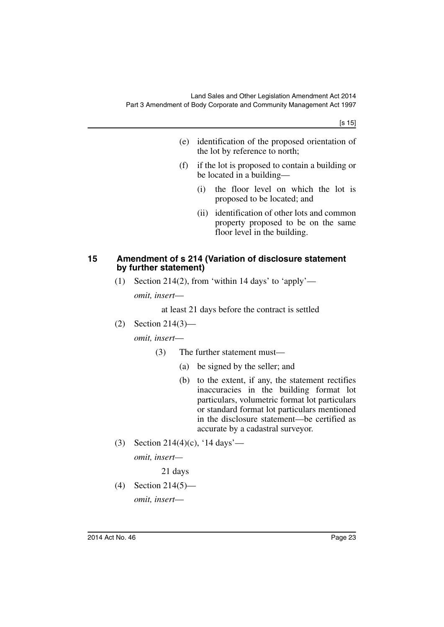[s 15]

- (e) identification of the proposed orientation of the lot by reference to north;
- (f) if the lot is proposed to contain a building or be located in a building—
	- (i) the floor level on which the lot is proposed to be located; and
	- (ii) identification of other lots and common property proposed to be on the same floor level in the building.

#### <span id="page-24-0"></span>**15 Amendment of s 214 (Variation of disclosure statement by further statement)**

(1) Section 214(2), from 'within 14 days' to 'apply' *omit, insert*—

at least 21 days before the contract is settled

(2) Section 214(3)—

*omit, insert*—

- (3) The further statement must—
	- (a) be signed by the seller; and
	- (b) to the extent, if any, the statement rectifies inaccuracies in the building format lot particulars, volumetric format lot particulars or standard format lot particulars mentioned in the disclosure statement—be certified as accurate by a cadastral surveyor.
- (3) Section 214(4)(c), '14 days'—

*omit, insert—*

21 days

(4) Section 214(5) *omit, insert*—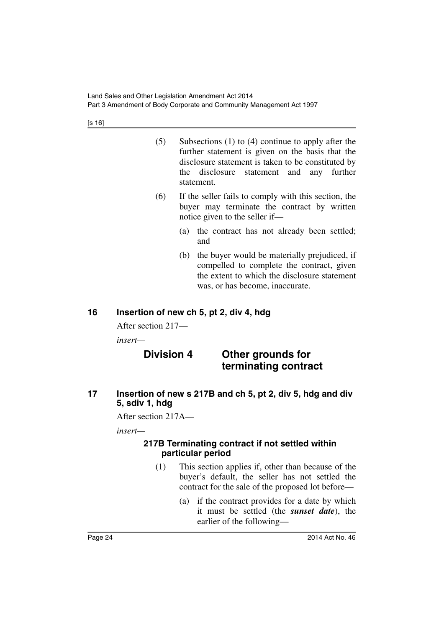[s 16]

- (5) Subsections (1) to (4) continue to apply after the further statement is given on the basis that the disclosure statement is taken to be constituted by the disclosure statement and any further statement.
- (6) If the seller fails to comply with this section, the buyer may terminate the contract by written notice given to the seller if—
	- (a) the contract has not already been settled; and
	- (b) the buyer would be materially prejudiced, if compelled to complete the contract, given the extent to which the disclosure statement was, or has become, inaccurate.

# <span id="page-25-0"></span>**16 Insertion of new ch 5, pt 2, div 4, hdg**

After section 217—

*insert—*

# **Division 4 Other grounds for terminating contract**

<span id="page-25-1"></span>**17 Insertion of new s 217B and ch 5, pt 2, div 5, hdg and div 5, sdiv 1, hdg**

After section 217A—

<span id="page-25-2"></span>*insert—*

#### **217B Terminating contract if not settled within particular period**

- (1) This section applies if, other than because of the buyer's default, the seller has not settled the contract for the sale of the proposed lot before—
	- (a) if the contract provides for a date by which it must be settled (the *sunset date*), the earlier of the following—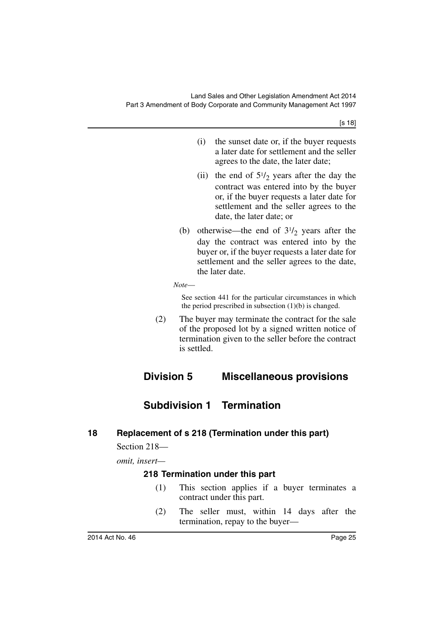- (i) the sunset date or, if the buyer requests a later date for settlement and the seller agrees to the date, the later date;
- (ii) the end of  $5\frac{1}{2}$  years after the day the contract was entered into by the buyer or, if the buyer requests a later date for settlement and the seller agrees to the date, the later date; or
- (b) otherwise—the end of  $3\frac{1}{2}$  years after the day the contract was entered into by the buyer or, if the buyer requests a later date for settlement and the seller agrees to the date, the later date.

*Note*—

See section 441 for the particular circumstances in which the period prescribed in subsection  $(1)(b)$  is changed.

(2) The buyer may terminate the contract for the sale of the proposed lot by a signed written notice of termination given to the seller before the contract is settled.

# <span id="page-26-0"></span>**Division 5 Miscellaneous provisions**

# **Subdivision 1 Termination**

### <span id="page-26-2"></span><span id="page-26-1"></span>**18 Replacement of s 218 (Termination under this part)**

Section 218—

<span id="page-26-3"></span>*omit, insert—*

#### **218 Termination under this part**

- (1) This section applies if a buyer terminates a contract under this part.
- (2) The seller must, within 14 days after the termination, repay to the buyer—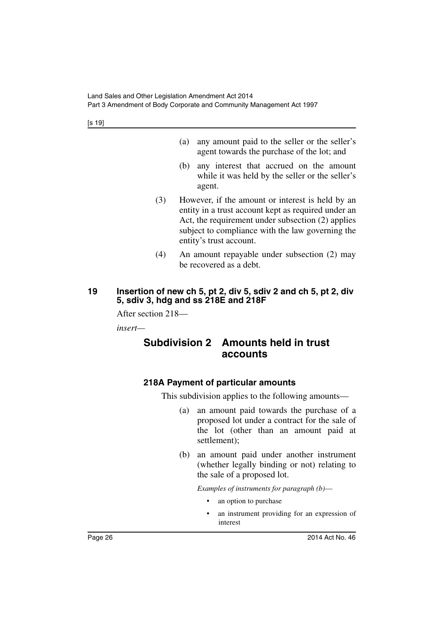- (a) any amount paid to the seller or the seller's agent towards the purchase of the lot; and
- (b) any interest that accrued on the amount while it was held by the seller or the seller's agent.
- (3) However, if the amount or interest is held by an entity in a trust account kept as required under an Act, the requirement under subsection (2) applies subject to compliance with the law governing the entity's trust account.
- (4) An amount repayable under subsection (2) may be recovered as a debt.

### <span id="page-27-0"></span>**19 Insertion of new ch 5, pt 2, div 5, sdiv 2 and ch 5, pt 2, div 5, sdiv 3, hdg and ss 218E and 218F**

After section 218—

<span id="page-27-1"></span>*insert—*

# **Subdivision 2 Amounts held in trust accounts**

### <span id="page-27-2"></span>**218A Payment of particular amounts**

This subdivision applies to the following amounts—

- (a) an amount paid towards the purchase of a proposed lot under a contract for the sale of the lot (other than an amount paid at settlement);
- (b) an amount paid under another instrument (whether legally binding or not) relating to the sale of a proposed lot.

*Examples of instruments for paragraph (b)*—

- an option to purchase
- an instrument providing for an expression of interest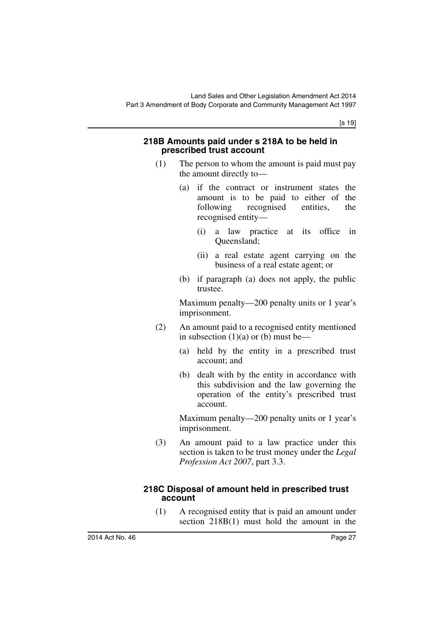#### <span id="page-28-0"></span>**218B Amounts paid under s 218A to be held in prescribed trust account**

- (1) The person to whom the amount is paid must pay the amount directly to—
	- (a) if the contract or instrument states the amount is to be paid to either of the following recognised entities, the recognised entity—
		- (i) a law practice at its office in Queensland;
		- (ii) a real estate agent carrying on the business of a real estate agent; or
	- (b) if paragraph (a) does not apply, the public trustee.

Maximum penalty—200 penalty units or 1 year's imprisonment.

- (2) An amount paid to a recognised entity mentioned in subsection  $(1)(a)$  or  $(b)$  must be—
	- (a) held by the entity in a prescribed trust account; and
	- (b) dealt with by the entity in accordance with this subdivision and the law governing the operation of the entity's prescribed trust account.

Maximum penalty—200 penalty units or 1 year's imprisonment.

(3) An amount paid to a law practice under this section is taken to be trust money under the *Legal Profession Act 2007*, part 3.3.

#### <span id="page-28-1"></span>**218C Disposal of amount held in prescribed trust account**

(1) A recognised entity that is paid an amount under section 218B(1) must hold the amount in the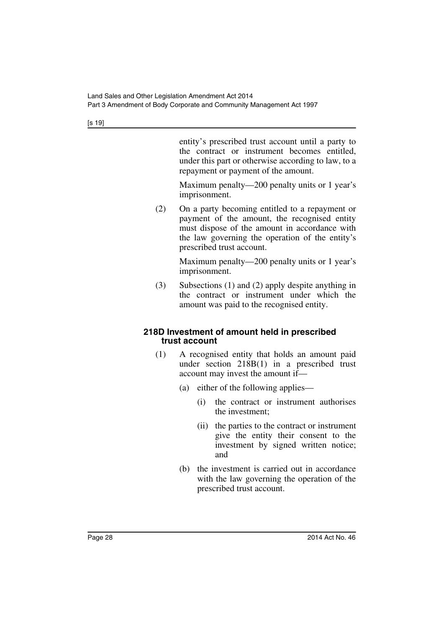entity's prescribed trust account until a party to the contract or instrument becomes entitled, under this part or otherwise according to law, to a repayment or payment of the amount.

Maximum penalty—200 penalty units or 1 year's imprisonment.

(2) On a party becoming entitled to a repayment or payment of the amount, the recognised entity must dispose of the amount in accordance with the law governing the operation of the entity's prescribed trust account.

> Maximum penalty—200 penalty units or 1 year's imprisonment.

(3) Subsections (1) and (2) apply despite anything in the contract or instrument under which the amount was paid to the recognised entity.

#### <span id="page-29-0"></span>**218D Investment of amount held in prescribed trust account**

- (1) A recognised entity that holds an amount paid under section 218B(1) in a prescribed trust account may invest the amount if—
	- (a) either of the following applies—
		- (i) the contract or instrument authorises the investment;
		- (ii) the parties to the contract or instrument give the entity their consent to the investment by signed written notice; and
	- (b) the investment is carried out in accordance with the law governing the operation of the prescribed trust account.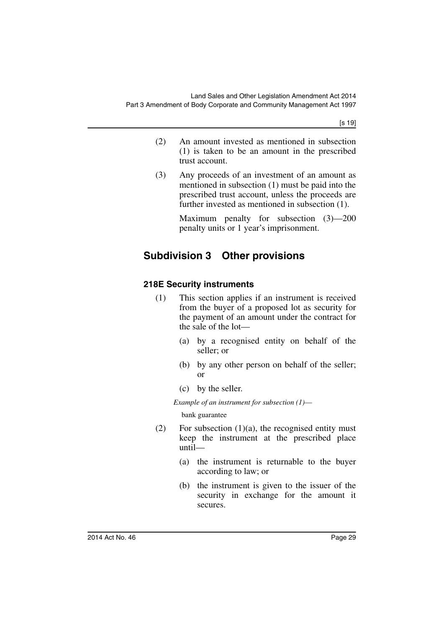- (2) An amount invested as mentioned in subsection (1) is taken to be an amount in the prescribed trust account.
- (3) Any proceeds of an investment of an amount as mentioned in subsection (1) must be paid into the prescribed trust account, unless the proceeds are further invested as mentioned in subsection (1).

Maximum penalty for subsection (3)—200 penalty units or 1 year's imprisonment.

# <span id="page-30-0"></span>**Subdivision 3 Other provisions**

### <span id="page-30-1"></span>**218E Security instruments**

- (1) This section applies if an instrument is received from the buyer of a proposed lot as security for the payment of an amount under the contract for the sale of the lot—
	- (a) by a recognised entity on behalf of the seller; or
	- (b) by any other person on behalf of the seller; or
	- (c) by the seller.

*Example of an instrument for subsection (1)*—

bank guarantee

- (2) For subsection  $(1)(a)$ , the recognised entity must keep the instrument at the prescribed place until—
	- (a) the instrument is returnable to the buyer according to law; or
	- (b) the instrument is given to the issuer of the security in exchange for the amount it secures.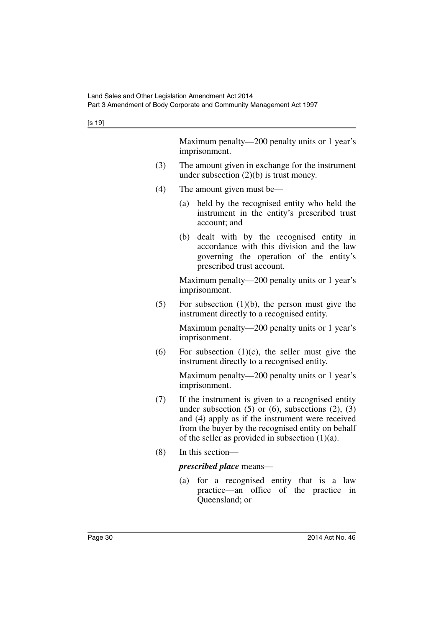Maximum penalty—200 penalty units or 1 year's imprisonment.

- (3) The amount given in exchange for the instrument under subsection (2)(b) is trust money.
- (4) The amount given must be—
	- (a) held by the recognised entity who held the instrument in the entity's prescribed trust account; and
	- (b) dealt with by the recognised entity in accordance with this division and the law governing the operation of the entity's prescribed trust account.

Maximum penalty—200 penalty units or 1 year's imprisonment.

 $(5)$  For subsection  $(1)(b)$ , the person must give the instrument directly to a recognised entity.

> Maximum penalty—200 penalty units or 1 year's imprisonment.

(6) For subsection  $(1)(c)$ , the seller must give the instrument directly to a recognised entity.

> Maximum penalty—200 penalty units or 1 year's imprisonment.

- (7) If the instrument is given to a recognised entity under subsection  $(5)$  or  $(6)$ , subsections  $(2)$ ,  $(3)$ and (4) apply as if the instrument were received from the buyer by the recognised entity on behalf of the seller as provided in subsection  $(1)(a)$ .
- (8) In this section—

#### *prescribed place* means—

(a) for a recognised entity that is a law practice—an office of the practice in Queensland; or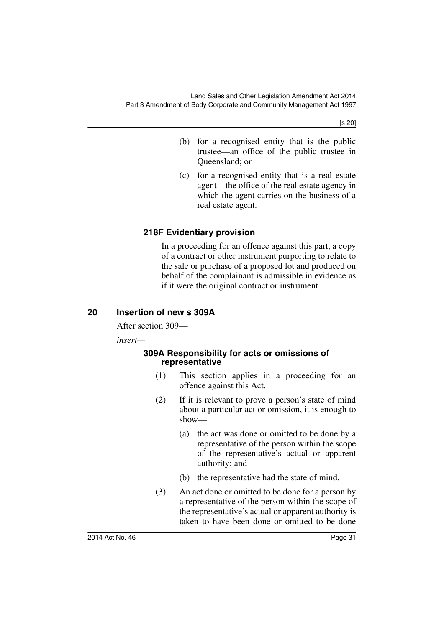[s 20]

- (b) for a recognised entity that is the public trustee—an office of the public trustee in Queensland; or
- (c) for a recognised entity that is a real estate agent—the office of the real estate agency in which the agent carries on the business of a real estate agent.

### <span id="page-32-0"></span>**218F Evidentiary provision**

In a proceeding for an offence against this part, a copy of a contract or other instrument purporting to relate to the sale or purchase of a proposed lot and produced on behalf of the complainant is admissible in evidence as if it were the original contract or instrument.

#### <span id="page-32-1"></span>**20 Insertion of new s 309A**

After section 309—

<span id="page-32-2"></span>*insert—*

#### **309A Responsibility for acts or omissions of representative**

- (1) This section applies in a proceeding for an offence against this Act.
- (2) If it is relevant to prove a person's state of mind about a particular act or omission, it is enough to show—
	- (a) the act was done or omitted to be done by a representative of the person within the scope of the representative's actual or apparent authority; and
	- (b) the representative had the state of mind.
- (3) An act done or omitted to be done for a person by a representative of the person within the scope of the representative's actual or apparent authority is taken to have been done or omitted to be done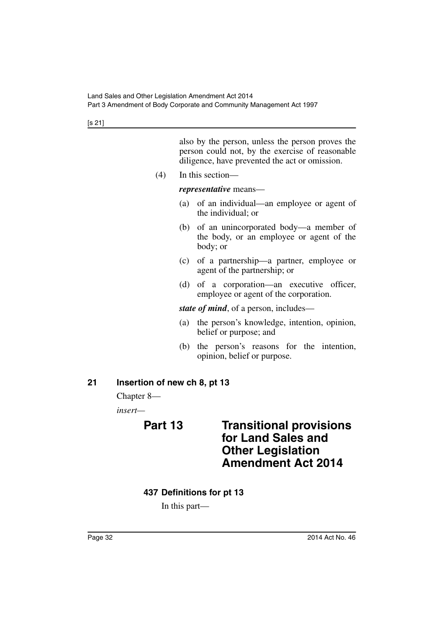[s 21]

also by the person, unless the person proves the person could not, by the exercise of reasonable diligence, have prevented the act or omission.

(4) In this section—

*representative* means—

- (a) of an individual—an employee or agent of the individual; or
- (b) of an unincorporated body—a member of the body, or an employee or agent of the body; or
- (c) of a partnership—a partner, employee or agent of the partnership; or
- (d) of a corporation—an executive officer, employee or agent of the corporation.

*state of mind*, of a person, includes—

- (a) the person's knowledge, intention, opinion, belief or purpose; and
- (b) the person's reasons for the intention, opinion, belief or purpose.

#### <span id="page-33-0"></span>**21 Insertion of new ch 8, pt 13**

Chapter 8—

<span id="page-33-1"></span>*insert—*

# **Part 13 Transitional provisions for Land Sales and Other Legislation Amendment Act 2014**

#### <span id="page-33-2"></span>**437 Definitions for pt 13**

In this part—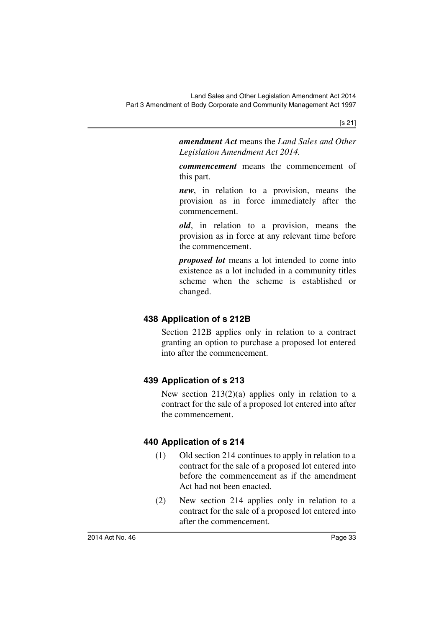[s 21]

*amendment Act* means the *Land Sales and Other Legislation Amendment Act 2014.*

*commencement* means the commencement of this part.

*new*, in relation to a provision, means the provision as in force immediately after the commencement.

*old*, in relation to a provision, means the provision as in force at any relevant time before the commencement.

*proposed lot* means a lot intended to come into existence as a lot included in a community titles scheme when the scheme is established or changed.

# <span id="page-34-0"></span>**438 Application of s 212B**

Section 212B applies only in relation to a contract granting an option to purchase a proposed lot entered into after the commencement.

# <span id="page-34-1"></span>**439 Application of s 213**

New section 213(2)(a) applies only in relation to a contract for the sale of a proposed lot entered into after the commencement.

# <span id="page-34-2"></span>**440 Application of s 214**

- (1) Old section 214 continues to apply in relation to a contract for the sale of a proposed lot entered into before the commencement as if the amendment Act had not been enacted.
- (2) New section 214 applies only in relation to a contract for the sale of a proposed lot entered into after the commencement.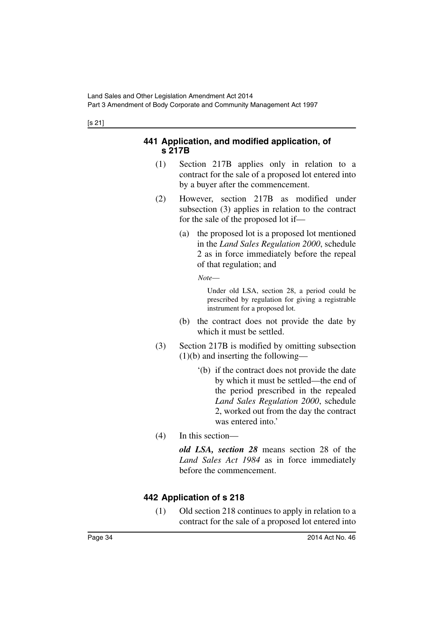#### <span id="page-35-0"></span>[s 21]

#### **441 Application, and modified application, of s 217B**

- (1) Section 217B applies only in relation to a contract for the sale of a proposed lot entered into by a buyer after the commencement.
- (2) However, section 217B as modified under subsection (3) applies in relation to the contract for the sale of the proposed lot if—
	- (a) the proposed lot is a proposed lot mentioned in the *Land Sales Regulation 2000*, schedule 2 as in force immediately before the repeal of that regulation; and

*Note*—

Under old LSA, section 28, a period could be prescribed by regulation for giving a registrable instrument for a proposed lot.

- (b) the contract does not provide the date by which it must be settled.
- (3) Section 217B is modified by omitting subsection (1)(b) and inserting the following—
	- '(b) if the contract does not provide the date by which it must be settled—the end of the period prescribed in the repealed *Land Sales Regulation 2000*, schedule 2, worked out from the day the contract was entered into.'
- (4) In this section—

*old LSA, section 28* means section 28 of the *Land Sales Act 1984* as in force immediately before the commencement.

### <span id="page-35-1"></span>**442 Application of s 218**

(1) Old section 218 continues to apply in relation to a contract for the sale of a proposed lot entered into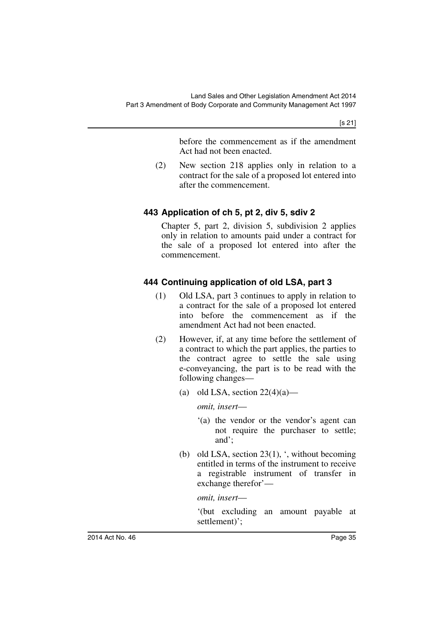[s 21]

before the commencement as if the amendment Act had not been enacted.

(2) New section 218 applies only in relation to a contract for the sale of a proposed lot entered into after the commencement.

# **443 Application of ch 5, pt 2, div 5, sdiv 2**

Chapter 5, part 2, division 5, subdivision 2 applies only in relation to amounts paid under a contract for the sale of a proposed lot entered into after the commencement.

# **444 Continuing application of old LSA, part 3**

- (1) Old LSA, part 3 continues to apply in relation to a contract for the sale of a proposed lot entered into before the commencement as if the amendment Act had not been enacted.
- (2) However, if, at any time before the settlement of a contract to which the part applies, the parties to the contract agree to settle the sale using e-conveyancing, the part is to be read with the following changes—
	- (a) old LSA, section  $22(4)(a)$ —

*omit, insert*—

- '(a) the vendor or the vendor's agent can not require the purchaser to settle; and';
- (b) old LSA, section  $23(1)$ , ', without becoming entitled in terms of the instrument to receive a registrable instrument of transfer in exchange therefor'—

*omit, insert*—

'(but excluding an amount payable at settlement)';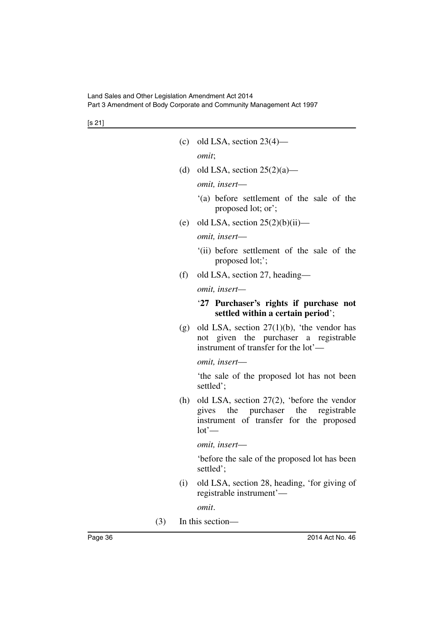| (c) | old LSA, section $23(4)$ —                                                                                                               |
|-----|------------------------------------------------------------------------------------------------------------------------------------------|
|     | omit;                                                                                                                                    |
|     | (d) old LSA, section $25(2)(a)$ —                                                                                                        |
|     | omit, insert-                                                                                                                            |
|     | '(a) before settlement of the sale of the<br>proposed lot; or';                                                                          |
| (e) | old LSA, section $25(2)(b)(ii)$ —                                                                                                        |
|     | omit, insert-                                                                                                                            |
|     | (ii) before settlement of the sale of the<br>proposed lot;';                                                                             |
| (f) | old LSA, section 27, heading—                                                                                                            |
|     | omit, insert-                                                                                                                            |
|     | '27 Purchaser's rights if purchase not<br>settled within a certain period';                                                              |
|     | (g) old LSA, section $27(1)(b)$ , 'the vendor has<br>given the purchaser a registrable<br>not<br>instrument of transfer for the lot'—    |
|     | omit, insert-                                                                                                                            |
|     | the sale of the proposed lot has not been<br>settled';                                                                                   |
| (h) | old LSA, section 27(2), 'before the vendor<br>gives the purchaser the registrable<br>instrument of transfer for the proposed<br>$lot'$ — |
|     | omit, insert-                                                                                                                            |
|     | before the sale of the proposed lot has been<br>settled':                                                                                |
| (i) | old LSA, section 28, heading, 'for giving of<br>registrable instrument'-                                                                 |
|     | omit.                                                                                                                                    |

(3) In this section—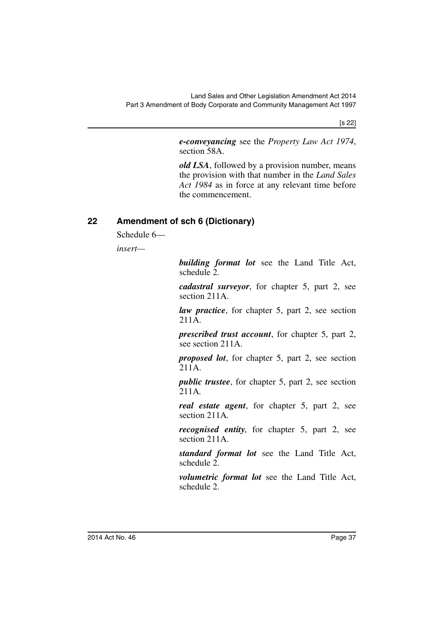[s 22]

*e-conveyancing* see the *Property Law Act 1974*, section 58A.

*old LSA*, followed by a provision number, means the provision with that number in the *Land Sales Act 1984* as in force at any relevant time before the commencement.

# **22 Amendment of sch 6 (Dictionary)**

Schedule 6—

*insert—*

*building format lot* see the Land Title Act, schedule 2.

*cadastral surveyor*, for chapter 5, part 2, see section 211A.

*law practice*, for chapter 5, part 2, see section  $211\overline{A}$ .

*prescribed trust account*, for chapter 5, part 2, see section 211A.

*proposed lot*, for chapter 5, part 2, see section 211A.

*public trustee*, for chapter 5, part 2, see section 211A*.*

*real estate agent*, for chapter 5, part 2, see section 211A*.*

*recognised entity*, for chapter 5, part 2, see section 211A.

*standard format lot* see the Land Title Act, schedule 2.

*volumetric format lot* see the Land Title Act, schedule 2.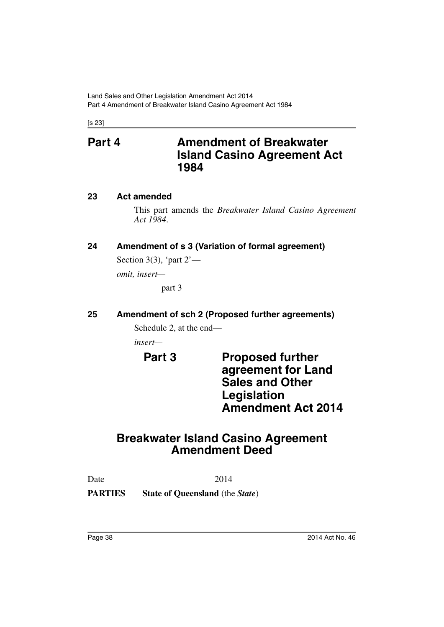[s 23]

# **Part 4 Amendment of Breakwater Island Casino Agreement Act 1984**

#### **23 Act amended**

This part amends the *Breakwater Island Casino Agreement Act 1984*.

## **24 Amendment of s 3 (Variation of formal agreement)**

Section 3(3), 'part  $2'$ —

*omit, insert—*

part 3

### **25 Amendment of sch 2 (Proposed further agreements)**

Schedule 2, at the end—

*insert—*

**Part 3** Proposed further **agreement for Land Sales and Other Legislation Amendment Act 2014**

# **Breakwater Island Casino Agreement Amendment Deed**

Date 2014

**PARTIES State of Queensland** (the *State*)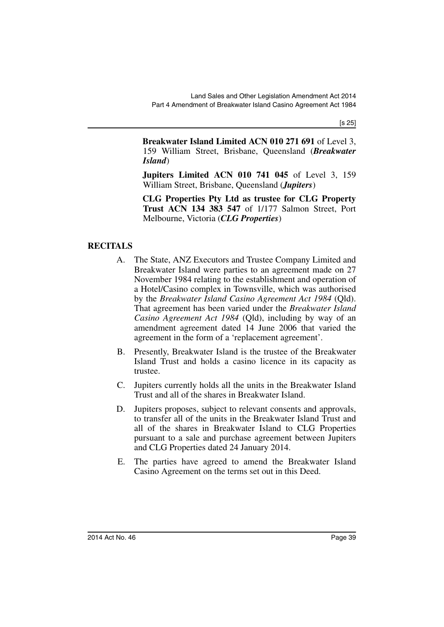**Breakwater Island Limited ACN 010 271 691** of Level 3, 159 William Street, Brisbane, Queensland (*Breakwater Island*)

**Jupiters Limited ACN 010 741 045** of Level 3, 159 William Street, Brisbane, Queensland (*Jupiters*)

**CLG Properties Pty Ltd as trustee for CLG Property Trust ACN 134 383 547** of 1/177 Salmon Street, Port Melbourne, Victoria (*CLG Properties*)

### **RECITALS**

- A. The State, ANZ Executors and Trustee Company Limited and Breakwater Island were parties to an agreement made on 27 November 1984 relating to the establishment and operation of a Hotel/Casino complex in Townsville, which was authorised by the *Breakwater Island Casino Agreement Act 1984* (Qld). That agreement has been varied under the *Breakwater Island Casino Agreement Act 1984* (Qld), including by way of an amendment agreement dated 14 June 2006 that varied the agreement in the form of a 'replacement agreement'.
- B. Presently, Breakwater Island is the trustee of the Breakwater Island Trust and holds a casino licence in its capacity as trustee.
- C. Jupiters currently holds all the units in the Breakwater Island Trust and all of the shares in Breakwater Island.
- D. Jupiters proposes, subject to relevant consents and approvals, to transfer all of the units in the Breakwater Island Trust and all of the shares in Breakwater Island to CLG Properties pursuant to a sale and purchase agreement between Jupiters and CLG Properties dated 24 January 2014.
- E. The parties have agreed to amend the Breakwater Island Casino Agreement on the terms set out in this Deed.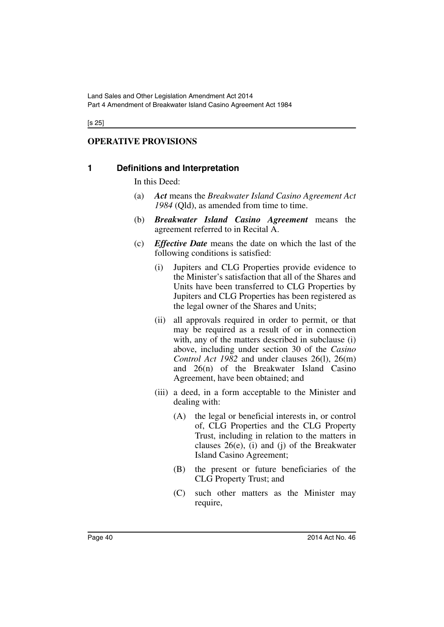# **OPERATIVE PROVISIONS**

### **1 Definitions and Interpretation**

In this Deed:

- (a) *Act* means the *Breakwater Island Casino Agreement Act 1984* (Qld), as amended from time to time.
- (b) *Breakwater Island Casino Agreement* means the agreement referred to in Recital A.
- (c) *Effective Date* means the date on which the last of the following conditions is satisfied:
	- (i) Jupiters and CLG Properties provide evidence to the Minister's satisfaction that all of the Shares and Units have been transferred to CLG Properties by Jupiters and CLG Properties has been registered as the legal owner of the Shares and Units;
	- (ii) all approvals required in order to permit, or that may be required as a result of or in connection with, any of the matters described in subclause (i) above, including under section 30 of the *Casino Control Act 1982* and under clauses 26(l), 26(m) and 26(n) of the Breakwater Island Casino Agreement, have been obtained; and
	- (iii) a deed, in a form acceptable to the Minister and dealing with:
		- (A) the legal or beneficial interests in, or control of, CLG Properties and the CLG Property Trust, including in relation to the matters in clauses  $26(e)$ , (i) and (j) of the Breakwater Island Casino Agreement;
		- (B) the present or future beneficiaries of the CLG Property Trust; and
		- (C) such other matters as the Minister may require,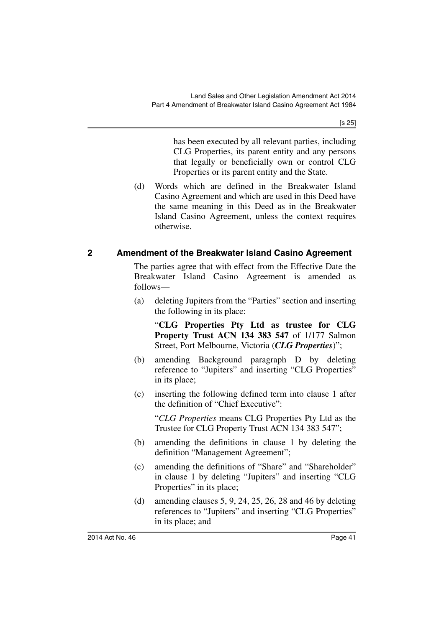has been executed by all relevant parties, including CLG Properties, its parent entity and any persons that legally or beneficially own or control CLG Properties or its parent entity and the State.

(d) Words which are defined in the Breakwater Island Casino Agreement and which are used in this Deed have the same meaning in this Deed as in the Breakwater Island Casino Agreement, unless the context requires otherwise.

### **2 Amendment of the Breakwater Island Casino Agreement**

The parties agree that with effect from the Effective Date the Breakwater Island Casino Agreement is amended as follows—

(a) deleting Jupiters from the "Parties" section and inserting the following in its place:

"**CLG Properties Pty Ltd as trustee for CLG Property Trust ACN 134 383 547** of 1/177 Salmon Street, Port Melbourne, Victoria (*CLG Properties*)";

- (b) amending Background paragraph D by deleting reference to "Jupiters" and inserting "CLG Properties" in its place;
- (c) inserting the following defined term into clause 1 after the definition of "Chief Executive":

"*CLG Properties* means CLG Properties Pty Ltd as the Trustee for CLG Property Trust ACN 134 383 547";

- (b) amending the definitions in clause 1 by deleting the definition "Management Agreement";
- (c) amending the definitions of "Share" and "Shareholder" in clause 1 by deleting "Jupiters" and inserting "CLG Properties" in its place;
- (d) amending clauses 5, 9, 24, 25, 26, 28 and 46 by deleting references to "Jupiters" and inserting "CLG Properties" in its place; and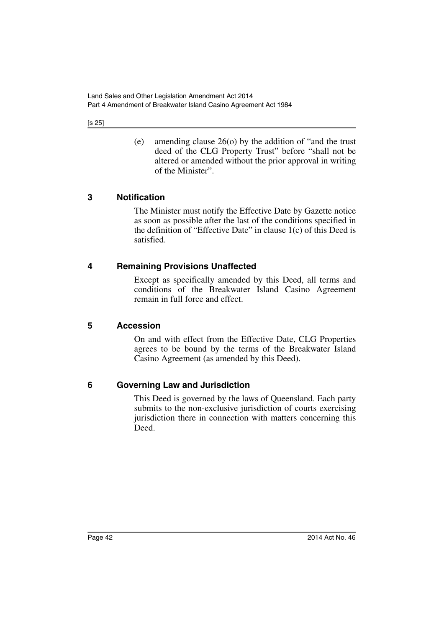(e) amending clause 26(o) by the addition of "and the trust deed of the CLG Property Trust" before "shall not be altered or amended without the prior approval in writing of the Minister".

# **3 Notification**

The Minister must notify the Effective Date by Gazette notice as soon as possible after the last of the conditions specified in the definition of "Effective Date" in clause  $1(c)$  of this Deed is satisfied.

# **4 Remaining Provisions Unaffected**

Except as specifically amended by this Deed, all terms and conditions of the Breakwater Island Casino Agreement remain in full force and effect.

### **5 Accession**

On and with effect from the Effective Date, CLG Properties agrees to be bound by the terms of the Breakwater Island Casino Agreement (as amended by this Deed).

# **6 Governing Law and Jurisdiction**

This Deed is governed by the laws of Queensland. Each party submits to the non-exclusive jurisdiction of courts exercising jurisdiction there in connection with matters concerning this Deed.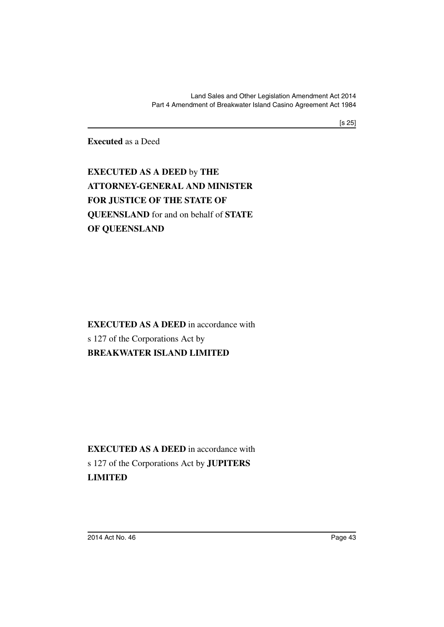**Executed** as a Deed

**EXECUTED AS A DEED** by **THE ATTORNEY-GENERAL AND MINISTER FOR JUSTICE OF THE STATE OF QUEENSLAND** for and on behalf of **STATE OF QUEENSLAND**

**EXECUTED AS A DEED** in accordance with s 127 of the Corporations Act by **BREAKWATER ISLAND LIMITED**

**EXECUTED AS A DEED** in accordance with s 127 of the Corporations Act by **JUPITERS LIMITED**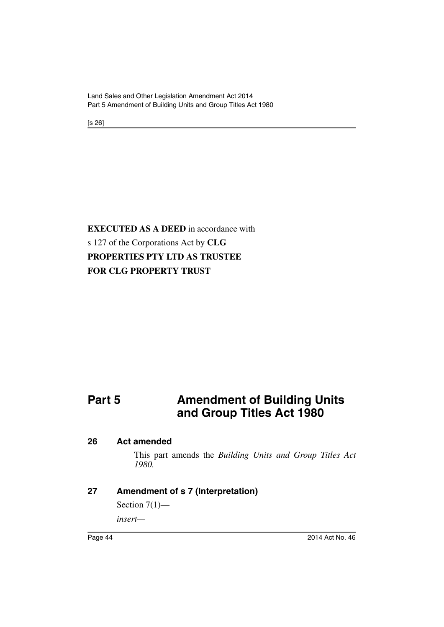Land Sales and Other Legislation Amendment Act 2014 Part 5 Amendment of Building Units and Group Titles Act 1980

[s 26]

# **EXECUTED AS A DEED** in accordance with s 127 of the Corporations Act by **CLG PROPERTIES PTY LTD AS TRUSTEE FOR CLG PROPERTY TRUST**

# **Part 5** Amendment of Building Units **and Group Titles Act 1980**

#### **26 Act amended**

This part amends the *Building Units and Group Titles Act 1980.*

#### **27 Amendment of s 7 (Interpretation)**

Section  $7(1)$ —

*insert—*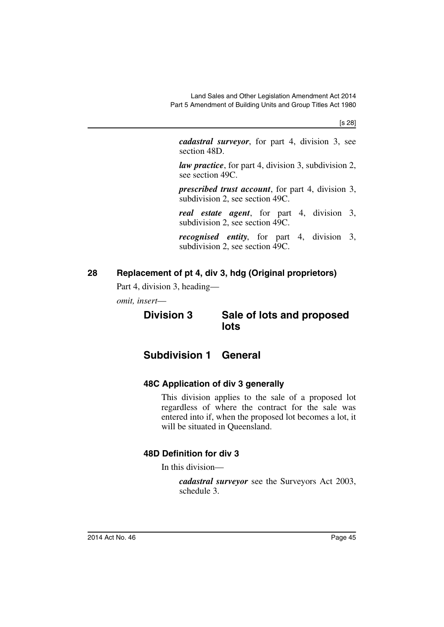[s 28]

*cadastral surveyor*, for part 4, division 3, see section 48D.

*law practice*, for part 4, division 3, subdivision 2, see section 49C.

*prescribed trust account*, for part 4, division 3, subdivision 2, see section 49C.

*real estate agent*, for part 4, division 3, subdivision 2, see section 49C.

*recognised entity*, for part 4, division 3, subdivision 2, see section 49C.

# **28 Replacement of pt 4, div 3, hdg (Original proprietors)**

Part 4, division 3, heading—

*omit, insert*—

# **Division 3 Sale of lots and proposed lots**

# **Subdivision 1 General**

# **48C Application of div 3 generally**

This division applies to the sale of a proposed lot regardless of where the contract for the sale was entered into if, when the proposed lot becomes a lot, it will be situated in Queensland.

# **48D Definition for div 3**

In this division—

*cadastral surveyor* see the Surveyors Act 2003, schedule 3.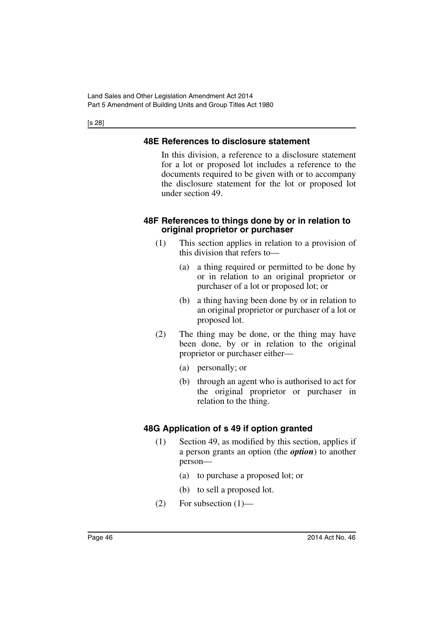[s 28]

## **48E References to disclosure statement**

In this division, a reference to a disclosure statement for a lot or proposed lot includes a reference to the documents required to be given with or to accompany the disclosure statement for the lot or proposed lot under section 49.

#### **48F References to things done by or in relation to original proprietor or purchaser**

- (1) This section applies in relation to a provision of this division that refers to—
	- (a) a thing required or permitted to be done by or in relation to an original proprietor or purchaser of a lot or proposed lot; or
	- (b) a thing having been done by or in relation to an original proprietor or purchaser of a lot or proposed lot.
- (2) The thing may be done, or the thing may have been done, by or in relation to the original proprietor or purchaser either—
	- (a) personally; or
	- (b) through an agent who is authorised to act for the original proprietor or purchaser in relation to the thing.

# **48G Application of s 49 if option granted**

- (1) Section 49, as modified by this section, applies if a person grants an option (the *option*) to another person—
	- (a) to purchase a proposed lot; or
	- (b) to sell a proposed lot.
- $(2)$  For subsection  $(1)$ —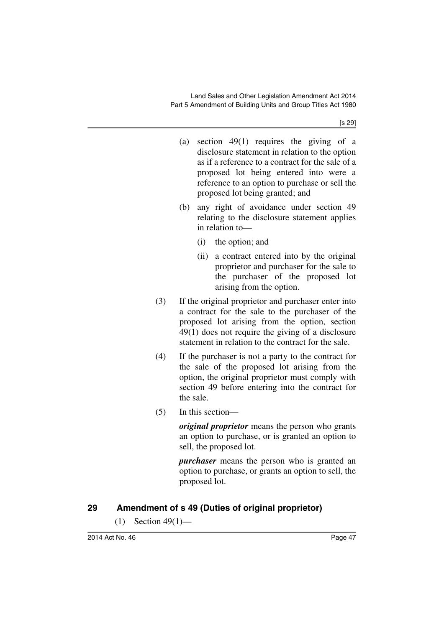[s 29]

- (a) section 49(1) requires the giving of a disclosure statement in relation to the option as if a reference to a contract for the sale of a proposed lot being entered into were a reference to an option to purchase or sell the proposed lot being granted; and
- (b) any right of avoidance under section 49 relating to the disclosure statement applies in relation to—
	- (i) the option; and
	- (ii) a contract entered into by the original proprietor and purchaser for the sale to the purchaser of the proposed lot arising from the option.
- (3) If the original proprietor and purchaser enter into a contract for the sale to the purchaser of the proposed lot arising from the option, section 49(1) does not require the giving of a disclosure statement in relation to the contract for the sale.
- (4) If the purchaser is not a party to the contract for the sale of the proposed lot arising from the option, the original proprietor must comply with section 49 before entering into the contract for the sale.
- (5) In this section—

*original proprietor* means the person who grants an option to purchase, or is granted an option to sell, the proposed lot.

*purchaser* means the person who is granted an option to purchase, or grants an option to sell, the proposed lot.

# **29 Amendment of s 49 (Duties of original proprietor)**

(1) Section  $49(1)$ —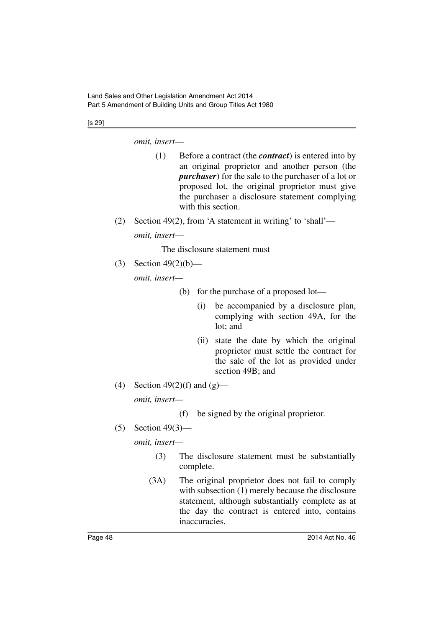#### [s 29]

*omit, insert*—

- (1) Before a contract (the *contract*) is entered into by an original proprietor and another person (the *purchaser*) for the sale to the purchaser of a lot or proposed lot, the original proprietor must give the purchaser a disclosure statement complying with this section.
- (2) Section 49(2), from 'A statement in writing' to 'shall' *omit, insert*—

The disclosure statement must

(3) Section 49(2)(b)—

*omit, insert—*

- (b) for the purchase of a proposed lot—
	- (i) be accompanied by a disclosure plan, complying with section 49A, for the lot; and
	- (ii) state the date by which the original proprietor must settle the contract for the sale of the lot as provided under section 49B; and
- (4) Section  $49(2)(f)$  and  $(g)$  *omit, insert—*
	- (f) be signed by the original proprietor.

(5) Section 49(3)—

*omit, insert—*

- (3) The disclosure statement must be substantially complete.
- (3A) The original proprietor does not fail to comply with subsection (1) merely because the disclosure statement, although substantially complete as at the day the contract is entered into, contains inaccuracies.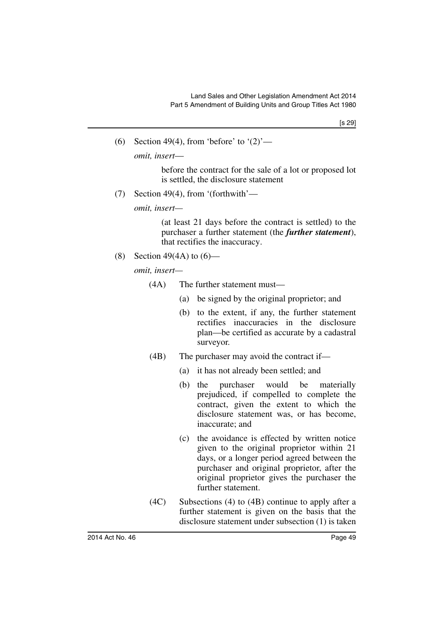(6) Section 49(4), from 'before' to  $(2)$ '—

*omit, insert*—

before the contract for the sale of a lot or proposed lot is settled, the disclosure statement

(7) Section 49(4), from '(forthwith'—

*omit, insert—*

(at least 21 days before the contract is settled) to the purchaser a further statement (the *further statement*), that rectifies the inaccuracy.

(8) Section 49(4A) to  $(6)$ —

*omit, insert—*

- (4A) The further statement must—
	- (a) be signed by the original proprietor; and
	- (b) to the extent, if any, the further statement rectifies inaccuracies in the disclosure plan—be certified as accurate by a cadastral surveyor.
- (4B) The purchaser may avoid the contract if—
	- (a) it has not already been settled; and
		- (b) the purchaser would be materially prejudiced, if compelled to complete the contract, given the extent to which the disclosure statement was, or has become, inaccurate; and
		- (c) the avoidance is effected by written notice given to the original proprietor within 21 days, or a longer period agreed between the purchaser and original proprietor, after the original proprietor gives the purchaser the further statement.
- (4C) Subsections (4) to (4B) continue to apply after a further statement is given on the basis that the disclosure statement under subsection (1) is taken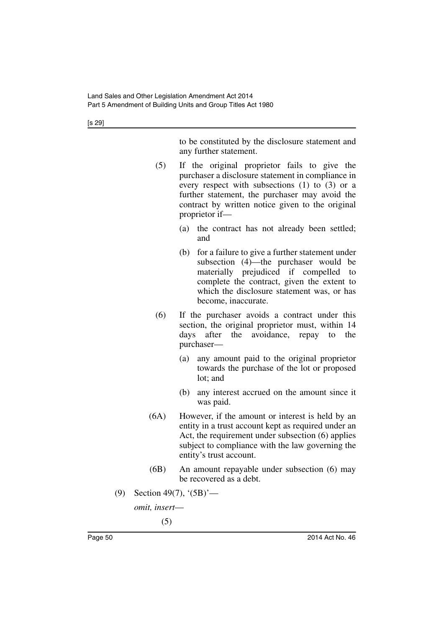[s 29]

to be constituted by the disclosure statement and any further statement.

- (5) If the original proprietor fails to give the purchaser a disclosure statement in compliance in every respect with subsections (1) to (3) or a further statement, the purchaser may avoid the contract by written notice given to the original proprietor if—
	- (a) the contract has not already been settled; and
	- (b) for a failure to give a further statement under subsection (4)—the purchaser would be materially prejudiced if compelled to complete the contract, given the extent to which the disclosure statement was, or has become, inaccurate.
- (6) If the purchaser avoids a contract under this section, the original proprietor must, within 14 days after the avoidance, repay to the purchaser—
	- (a) any amount paid to the original proprietor towards the purchase of the lot or proposed lot; and
	- (b) any interest accrued on the amount since it was paid.
- (6A) However, if the amount or interest is held by an entity in a trust account kept as required under an Act, the requirement under subsection (6) applies subject to compliance with the law governing the entity's trust account.
- (6B) An amount repayable under subsection (6) may be recovered as a debt.
- (9) Section 49(7), '(5B)'—

```
omit, insert—
```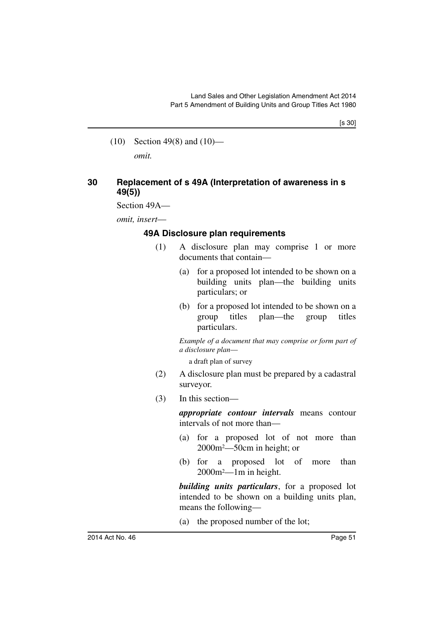(10) Section 49(8) and (10) *omit.*

#### **30 Replacement of s 49A (Interpretation of awareness in s 49(5))**

Section 49A—

*omit, insert*—

#### **49A Disclosure plan requirements**

- (1) A disclosure plan may comprise 1 or more documents that contain—
	- (a) for a proposed lot intended to be shown on a building units plan—the building units particulars; or
	- (b) for a proposed lot intended to be shown on a group titles plan—the group titles particulars.

*Example of a document that may comprise or form part of a disclosure plan*—

a draft plan of survey

- (2) A disclosure plan must be prepared by a cadastral surveyor.
- (3) In this section—

*appropriate contour intervals* means contour intervals of not more than—

- (a) for a proposed lot of not more than 2000m2—50cm in height; or
- (b) for a proposed lot of more than 2000m2—1m in height.

*building units particulars*, for a proposed lot intended to be shown on a building units plan, means the following—

(a) the proposed number of the lot;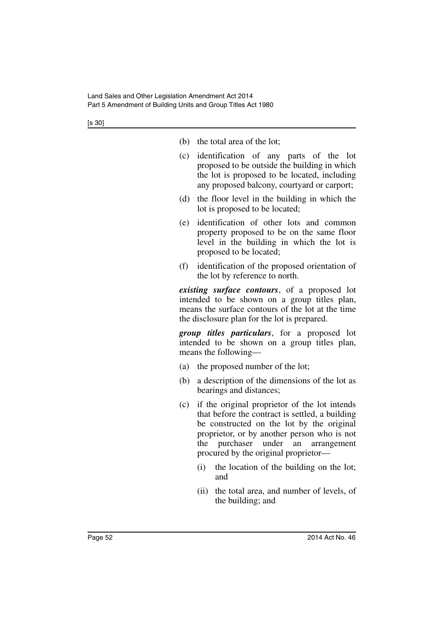- (b) the total area of the lot;
- (c) identification of any parts of the lot proposed to be outside the building in which the lot is proposed to be located, including any proposed balcony, courtyard or carport;
- (d) the floor level in the building in which the lot is proposed to be located;
- (e) identification of other lots and common property proposed to be on the same floor level in the building in which the lot is proposed to be located;
- (f) identification of the proposed orientation of the lot by reference to north.

*existing surface contours*, of a proposed lot intended to be shown on a group titles plan, means the surface contours of the lot at the time the disclosure plan for the lot is prepared.

*group titles particulars*, for a proposed lot intended to be shown on a group titles plan, means the following—

- (a) the proposed number of the lot;
- (b) a description of the dimensions of the lot as bearings and distances;
- (c) if the original proprietor of the lot intends that before the contract is settled, a building be constructed on the lot by the original proprietor, or by another person who is not the purchaser under an arrangement procured by the original proprietor—
	- (i) the location of the building on the lot; and
	- (ii) the total area, and number of levels, of the building; and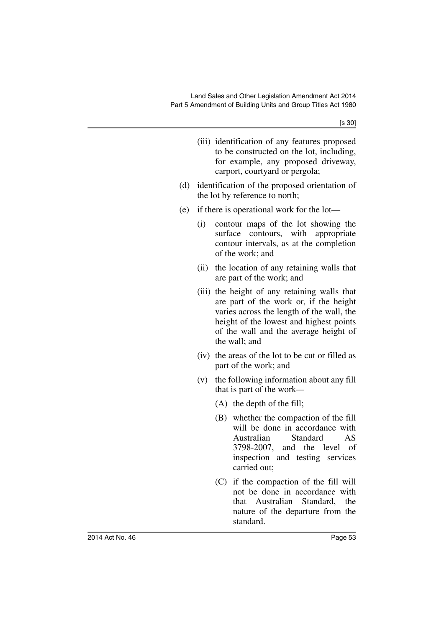- (iii) identification of any features proposed to be constructed on the lot, including, for example, any proposed driveway, carport, courtyard or pergola;
- (d) identification of the proposed orientation of the lot by reference to north;
- (e) if there is operational work for the lot—
	- (i) contour maps of the lot showing the surface contours, with appropriate contour intervals, as at the completion of the work; and
	- (ii) the location of any retaining walls that are part of the work; and
	- (iii) the height of any retaining walls that are part of the work or, if the height varies across the length of the wall, the height of the lowest and highest points of the wall and the average height of the wall; and
	- (iv) the areas of the lot to be cut or filled as part of the work; and
	- (v) the following information about any fill that is part of the work*—*
		- (A) the depth of the fill;
		- (B) whether the compaction of the fill will be done in accordance with Australian Standard AS 3798-2007, and the level of inspection and testing services carried out;
		- (C) if the compaction of the fill will not be done in accordance with that Australian Standard, the nature of the departure from the standard.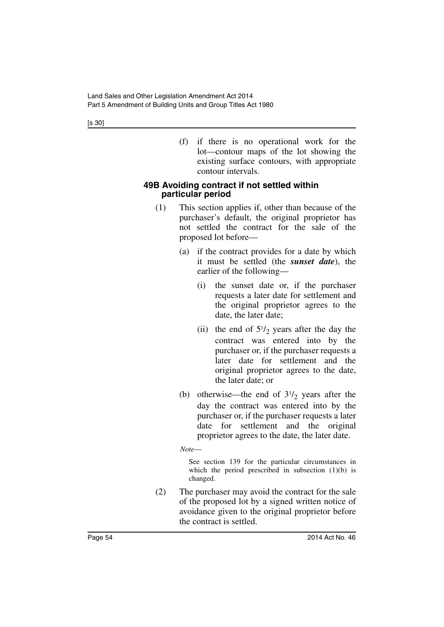(f) if there is no operational work for the lot—contour maps of the lot showing the existing surface contours, with appropriate contour intervals.

#### **49B Avoiding contract if not settled within particular period**

- (1) This section applies if, other than because of the purchaser's default, the original proprietor has not settled the contract for the sale of the proposed lot before—
	- (a) if the contract provides for a date by which it must be settled (the *sunset date*), the earlier of the following—
		- (i) the sunset date or, if the purchaser requests a later date for settlement and the original proprietor agrees to the date, the later date;
		- (ii) the end of  $5\frac{1}{2}$  years after the day the contract was entered into by the purchaser or, if the purchaser requests a later date for settlement and the original proprietor agrees to the date, the later date; or
	- (b) otherwise—the end of  $3\frac{1}{2}$  years after the day the contract was entered into by the purchaser or, if the purchaser requests a later date for settlement and the original proprietor agrees to the date, the later date.
	- *Note*—

See section 139 for the particular circumstances in which the period prescribed in subsection  $(1)(b)$  is changed.

(2) The purchaser may avoid the contract for the sale of the proposed lot by a signed written notice of avoidance given to the original proprietor before the contract is settled.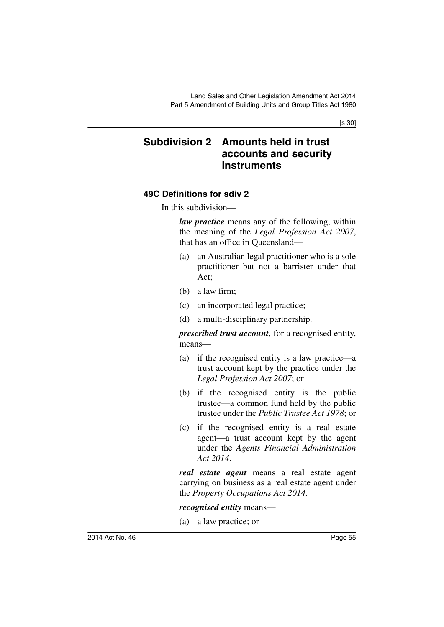[s 30]

# **Subdivision 2 Amounts held in trust accounts and security instruments**

## **49C Definitions for sdiv 2**

In this subdivision—

*law practice* means any of the following, within the meaning of the *Legal Profession Act 2007*, that has an office in Queensland—

- (a) an Australian legal practitioner who is a sole practitioner but not a barrister under that Act;
- (b) a law firm;
- (c) an incorporated legal practice;
- (d) a multi-disciplinary partnership.

*prescribed trust account*, for a recognised entity, means—

- (a) if the recognised entity is a law practice—a trust account kept by the practice under the *Legal Profession Act 2007*; or
- (b) if the recognised entity is the public trustee—a common fund held by the public trustee under the *Public Trustee Act 1978*; or
- (c) if the recognised entity is a real estate agent—a trust account kept by the agent under the *Agents Financial Administration Act 2014*.

*real estate agent* means a real estate agent carrying on business as a real estate agent under the *Property Occupations Act 2014.*

*recognised entity* means—

(a) a law practice; or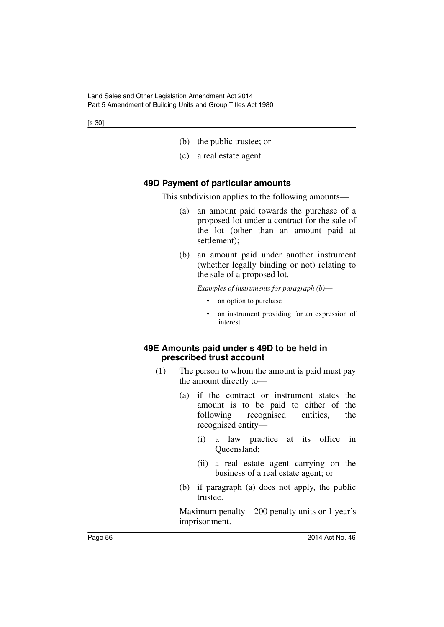- (b) the public trustee; or
- (c) a real estate agent.

#### **49D Payment of particular amounts**

This subdivision applies to the following amounts—

- (a) an amount paid towards the purchase of a proposed lot under a contract for the sale of the lot (other than an amount paid at settlement);
- (b) an amount paid under another instrument (whether legally binding or not) relating to the sale of a proposed lot.

*Examples of instruments for paragraph (b)*—

- an option to purchase
- an instrument providing for an expression of interest

#### **49E Amounts paid under s 49D to be held in prescribed trust account**

- (1) The person to whom the amount is paid must pay the amount directly to—
	- (a) if the contract or instrument states the amount is to be paid to either of the following recognised entities, the recognised entity—
		- (i) a law practice at its office in Queensland;
		- (ii) a real estate agent carrying on the business of a real estate agent; or
	- (b) if paragraph (a) does not apply, the public trustee.

Maximum penalty—200 penalty units or 1 year's imprisonment.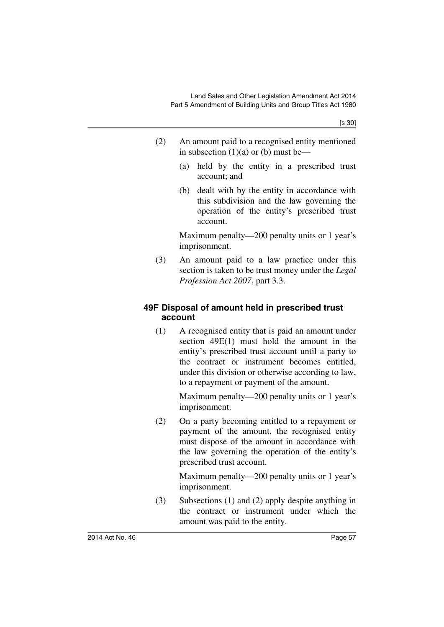[s 30]

- (2) An amount paid to a recognised entity mentioned in subsection  $(1)(a)$  or  $(b)$  must be—
	- (a) held by the entity in a prescribed trust account; and
	- (b) dealt with by the entity in accordance with this subdivision and the law governing the operation of the entity's prescribed trust account.

Maximum penalty—200 penalty units or 1 year's imprisonment.

(3) An amount paid to a law practice under this section is taken to be trust money under the *Legal Profession Act 2007*, part 3.3.

## **49F Disposal of amount held in prescribed trust account**

(1) A recognised entity that is paid an amount under section 49E(1) must hold the amount in the entity's prescribed trust account until a party to the contract or instrument becomes entitled, under this division or otherwise according to law, to a repayment or payment of the amount.

> Maximum penalty—200 penalty units or 1 year's imprisonment.

(2) On a party becoming entitled to a repayment or payment of the amount, the recognised entity must dispose of the amount in accordance with the law governing the operation of the entity's prescribed trust account.

> Maximum penalty—200 penalty units or 1 year's imprisonment.

(3) Subsections (1) and (2) apply despite anything in the contract or instrument under which the amount was paid to the entity.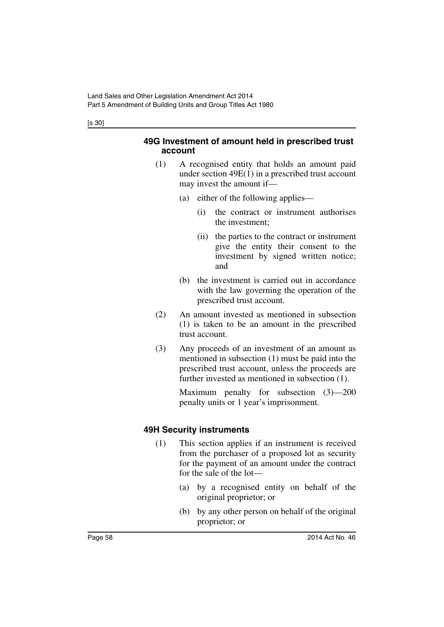#### [s 30]

#### **49G Investment of amount held in prescribed trust account**

- (1) A recognised entity that holds an amount paid under section 49E(1) in a prescribed trust account may invest the amount if—
	- (a) either of the following applies—
		- (i) the contract or instrument authorises the investment;
		- (ii) the parties to the contract or instrument give the entity their consent to the investment by signed written notice; and
	- (b) the investment is carried out in accordance with the law governing the operation of the prescribed trust account.
- (2) An amount invested as mentioned in subsection (1) is taken to be an amount in the prescribed trust account.
- (3) Any proceeds of an investment of an amount as mentioned in subsection (1) must be paid into the prescribed trust account, unless the proceeds are further invested as mentioned in subsection (1).

Maximum penalty for subsection (3)—200 penalty units or 1 year's imprisonment.

# **49H Security instruments**

- (1) This section applies if an instrument is received from the purchaser of a proposed lot as security for the payment of an amount under the contract for the sale of the lot—
	- (a) by a recognised entity on behalf of the original proprietor; or
	- (b) by any other person on behalf of the original proprietor; or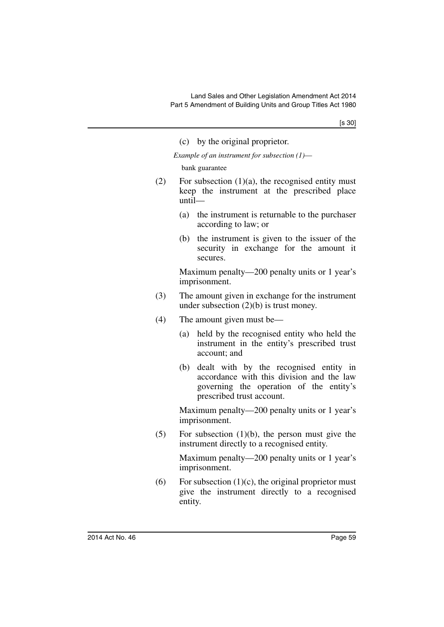|     | (c) by the original proprietor.                                                                                                                                 |
|-----|-----------------------------------------------------------------------------------------------------------------------------------------------------------------|
|     | Example of an instrument for subsection $(1)$ —                                                                                                                 |
|     | bank guarantee                                                                                                                                                  |
| (2) | For subsection $(1)(a)$ , the recognised entity must<br>keep the instrument at the prescribed place<br>$until$ —                                                |
|     | the instrument is returnable to the purchaser<br>(a)<br>according to law; or                                                                                    |
|     | (b) the instrument is given to the issuer of the<br>security in exchange for the amount it<br>secures.                                                          |
|     | Maximum penalty—200 penalty units or 1 year's<br>imprisonment.                                                                                                  |
| (3) | The amount given in exchange for the instrument<br>under subsection $(2)(b)$ is trust money.                                                                    |
| (4) | The amount given must be—                                                                                                                                       |
|     | held by the recognised entity who held the<br>(a)<br>instrument in the entity's prescribed trust<br>account; and                                                |
|     | (b) dealt with by the recognised entity in<br>accordance with this division and the law<br>governing the operation of the entity's<br>prescribed trust account. |
|     | Maximum penalty—200 penalty units or 1 year's<br>imprisonment.                                                                                                  |
| (5) | For subsection $(1)(b)$ , the person must give the<br>instrument directly to a recognised entity.                                                               |
|     | Maximum penalty—200 penalty units or 1 year's<br>imprisonment.                                                                                                  |
| (6) | For subsection $(1)(c)$ the original proprietor must                                                                                                            |

(6) For subsection  $(1)(c)$ , the original proprietor must give the instrument directly to a recognised entity.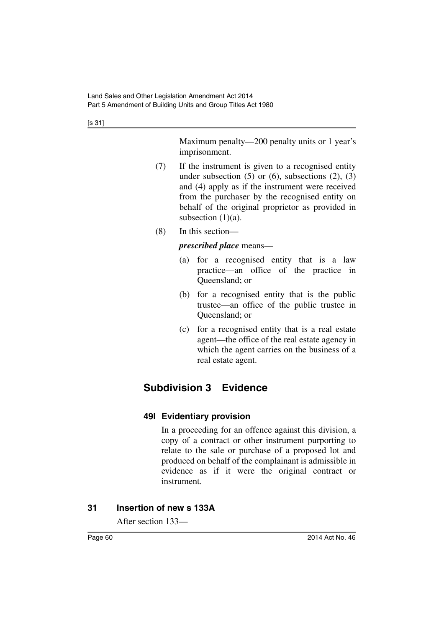[s 31]

Maximum penalty—200 penalty units or 1 year's imprisonment.

- (7) If the instrument is given to a recognised entity under subsection  $(5)$  or  $(6)$ , subsections  $(2)$ ,  $(3)$ and (4) apply as if the instrument were received from the purchaser by the recognised entity on behalf of the original proprietor as provided in subsection  $(1)(a)$ .
- (8) In this section—

### *prescribed place* means—

- (a) for a recognised entity that is a law practice—an office of the practice in Queensland; or
- (b) for a recognised entity that is the public trustee—an office of the public trustee in Queensland; or
- (c) for a recognised entity that is a real estate agent—the office of the real estate agency in which the agent carries on the business of a real estate agent.

# **Subdivision 3 Evidence**

# **49I Evidentiary provision**

In a proceeding for an offence against this division, a copy of a contract or other instrument purporting to relate to the sale or purchase of a proposed lot and produced on behalf of the complainant is admissible in evidence as if it were the original contract or instrument.

### **31 Insertion of new s 133A**

After section 133—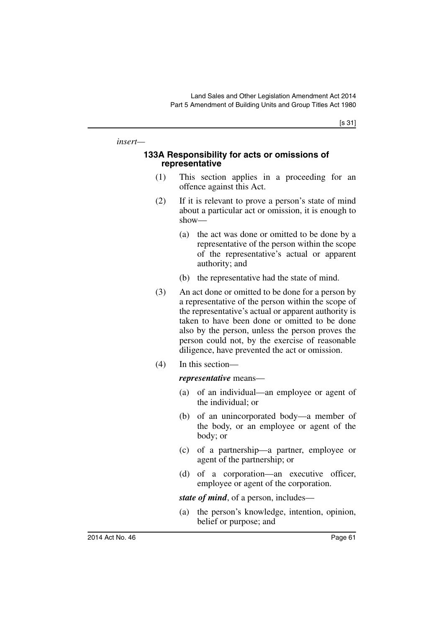[s 31]

*insert—*

#### **133A Responsibility for acts or omissions of representative**

- (1) This section applies in a proceeding for an offence against this Act.
- (2) If it is relevant to prove a person's state of mind about a particular act or omission, it is enough to show—
	- (a) the act was done or omitted to be done by a representative of the person within the scope of the representative's actual or apparent authority; and
	- (b) the representative had the state of mind.
- (3) An act done or omitted to be done for a person by a representative of the person within the scope of the representative's actual or apparent authority is taken to have been done or omitted to be done also by the person, unless the person proves the person could not, by the exercise of reasonable diligence, have prevented the act or omission.
- (4) In this section—

*representative* means—

- (a) of an individual—an employee or agent of the individual; or
- (b) of an unincorporated body—a member of the body, or an employee or agent of the body; or
- (c) of a partnership—a partner, employee or agent of the partnership; or
- (d) of a corporation—an executive officer, employee or agent of the corporation.

*state of mind*, of a person, includes—

(a) the person's knowledge, intention, opinion, belief or purpose; and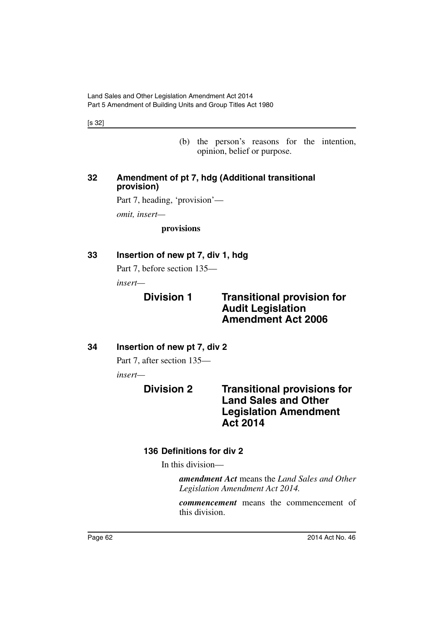[s 32]

(b) the person's reasons for the intention, opinion, belief or purpose.

#### **32 Amendment of pt 7, hdg (Additional transitional provision)**

Part 7, heading, 'provision'—

*omit, insert—*

**provisions**

## **33 Insertion of new pt 7, div 1, hdg**

Part 7, before section 135—

*insert—*

# **Division 1 Transitional provision for Audit Legislation Amendment Act 2006**

# **34 Insertion of new pt 7, div 2**

Part 7, after section 135—

*insert—*

**Division 2 Transitional provisions for Land Sales and Other Legislation Amendment Act 2014**

# **136 Definitions for div 2**

In this division—

*amendment Act* means the *Land Sales and Other Legislation Amendment Act 2014.*

*commencement* means the commencement of this division.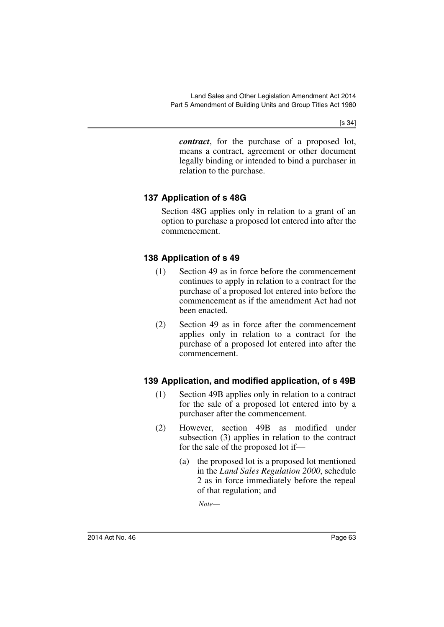[s 34]

*contract*, for the purchase of a proposed lot, means a contract, agreement or other document legally binding or intended to bind a purchaser in relation to the purchase.

# **137 Application of s 48G**

Section 48G applies only in relation to a grant of an option to purchase a proposed lot entered into after the commencement.

# **138 Application of s 49**

- (1) Section 49 as in force before the commencement continues to apply in relation to a contract for the purchase of a proposed lot entered into before the commencement as if the amendment Act had not been enacted.
- (2) Section 49 as in force after the commencement applies only in relation to a contract for the purchase of a proposed lot entered into after the commencement.

# **139 Application, and modified application, of s 49B**

- (1) Section 49B applies only in relation to a contract for the sale of a proposed lot entered into by a purchaser after the commencement.
- (2) However, section 49B as modified under subsection (3) applies in relation to the contract for the sale of the proposed lot if—
	- (a) the proposed lot is a proposed lot mentioned in the *Land Sales Regulation 2000*, schedule 2 as in force immediately before the repeal of that regulation; and

*Note*—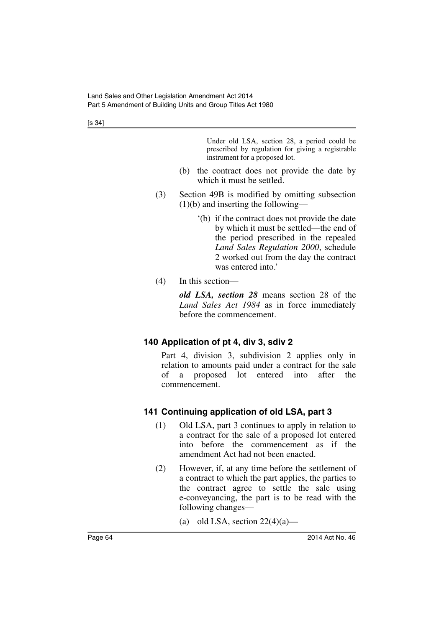[s 34]

Under old LSA, section 28, a period could be prescribed by regulation for giving a registrable instrument for a proposed lot.

- (b) the contract does not provide the date by which it must be settled.
- (3) Section 49B is modified by omitting subsection (1)(b) and inserting the following—
	- '(b) if the contract does not provide the date by which it must be settled—the end of the period prescribed in the repealed *Land Sales Regulation 2000*, schedule 2 worked out from the day the contract was entered into.'
- (4) In this section—

*old LSA, section 28* means section 28 of the *Land Sales Act 1984* as in force immediately before the commencement.

# **140 Application of pt 4, div 3, sdiv 2**

Part 4, division 3, subdivision 2 applies only in relation to amounts paid under a contract for the sale of a proposed lot entered into after the commencement.

# **141 Continuing application of old LSA, part 3**

- (1) Old LSA, part 3 continues to apply in relation to a contract for the sale of a proposed lot entered into before the commencement as if the amendment Act had not been enacted.
- (2) However, if, at any time before the settlement of a contract to which the part applies, the parties to the contract agree to settle the sale using e-conveyancing, the part is to be read with the following changes—
	- (a) old LSA, section  $22(4)(a)$ —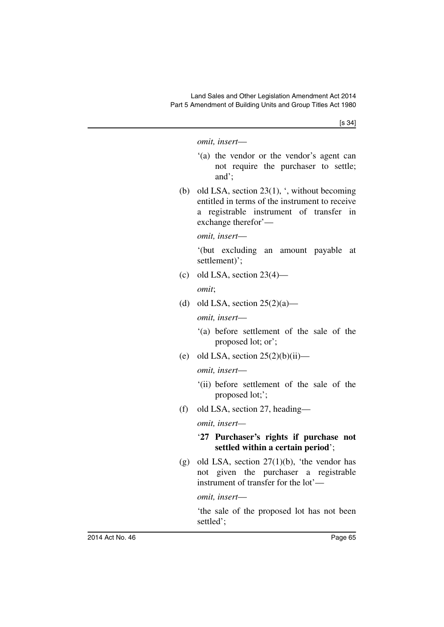[s 34]

#### *omit, insert*—

- '(a) the vendor or the vendor's agent can not require the purchaser to settle; and';
- (b) old LSA, section  $23(1)$ , ', without becoming entitled in terms of the instrument to receive a registrable instrument of transfer in exchange therefor'—

*omit, insert*—

'(but excluding an amount payable at settlement)';

(c) old LSA, section  $23(4)$ —

*omit*;

(d) old LSA, section  $25(2)(a)$ —

*omit, insert*—

- '(a) before settlement of the sale of the proposed lot; or';
- (e) old LSA, section  $25(2)(b)(ii)$ —

*omit, insert*—

- '(ii) before settlement of the sale of the proposed lot;';
- (f) old LSA, section 27, heading—

*omit, insert—*

#### '**27 Purchaser's rights if purchase not settled within a certain period**';

(g) old LSA, section  $27(1)(b)$ , 'the vendor has not given the purchaser a registrable instrument of transfer for the lot'—

*omit, insert*—

'the sale of the proposed lot has not been settled';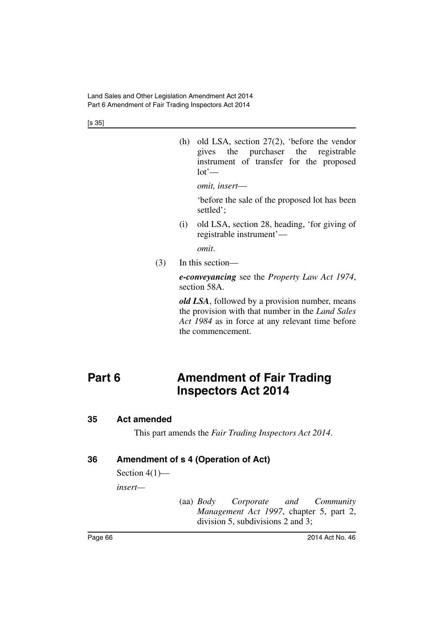[s 35]

(h) old LSA, section 27(2), 'before the vendor gives the purchaser the registrable instrument of transfer for the proposed  $lot'$ —

*omit, insert*—

'before the sale of the proposed lot has been settled';

(i) old LSA, section 28, heading, 'for giving of registrable instrument'—

*omit*.

(3) In this section—

*e-conveyancing* see the *Property Law Act 1974*, section 58A.

*old LSA*, followed by a provision number, means the provision with that number in the *Land Sales Act 1984* as in force at any relevant time before the commencement.

# **Part 6 Amendment of Fair Trading Inspectors Act 2014**

#### **35 Act amended**

This part amends the *Fair Trading Inspectors Act 2014*.

### **36 Amendment of s 4 (Operation of Act)**

Section  $4(1)$ —

*insert—*

(aa) *Body Corporate and Community Management Act 1997*, chapter 5, part 2, division 5, subdivisions 2 and 3;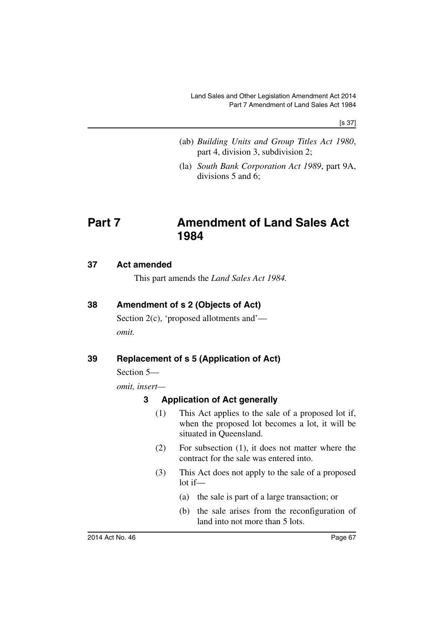[s 37]

- (ab) *Building Units and Group Titles Act 1980*, part 4, division 3, subdivision 2;
- (la) *South Bank Corporation Act 1989*, part 9A, divisions 5 and 6;

# **Part 7 Amendment of Land Sales Act 1984**

#### **37 Act amended**

This part amends the *Land Sales Act 1984.*

### **38 Amendment of s 2 (Objects of Act)**

Section 2(c), 'proposed allotments and' *omit.*

# **39 Replacement of s 5 (Application of Act)**

Section 5—

*omit, insert—*

#### **3 Application of Act generally**

- (1) This Act applies to the sale of a proposed lot if, when the proposed lot becomes a lot, it will be situated in Queensland.
- (2) For subsection (1), it does not matter where the contract for the sale was entered into.
- (3) This Act does not apply to the sale of a proposed lot if—
	- (a) the sale is part of a large transaction; or
	- (b) the sale arises from the reconfiguration of land into not more than 5 lots.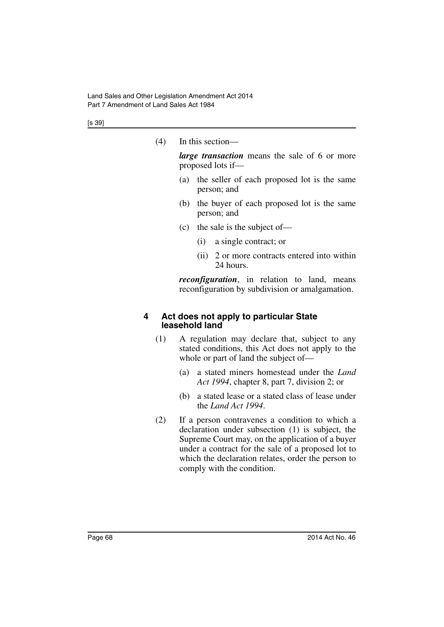[s 39]

(4) In this section—

*large transaction* means the sale of 6 or more proposed lots if—

- (a) the seller of each proposed lot is the same person; and
- (b) the buyer of each proposed lot is the same person; and
- (c) the sale is the subject of—
	- (i) a single contract; or
	- (ii) 2 or more contracts entered into within 24 hours.

*reconfiguration*, in relation to land, means reconfiguration by subdivision or amalgamation.

#### **4 Act does not apply to particular State leasehold land**

- (1) A regulation may declare that, subject to any stated conditions, this Act does not apply to the whole or part of land the subject of—
	- (a) a stated miners homestead under the *Land Act 1994*, chapter 8, part 7, division 2; or
	- (b) a stated lease or a stated class of lease under the *Land Act 1994*.
- (2) If a person contravenes a condition to which a declaration under subsection (1) is subject, the Supreme Court may, on the application of a buyer under a contract for the sale of a proposed lot to which the declaration relates, order the person to comply with the condition.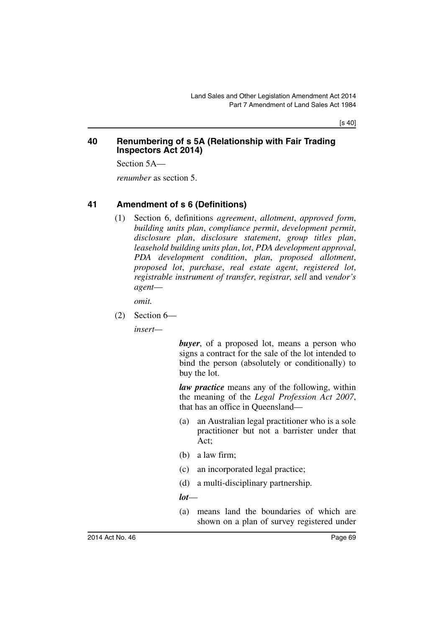[s 40]

#### **40 Renumbering of s 5A (Relationship with Fair Trading Inspectors Act 2014)**

Section 5A—

*renumber* as section 5.

#### **41 Amendment of s 6 (Definitions)**

(1) Section 6, definitions *agreement*, *allotment*, *approved form*, *building units plan*, *compliance permit*, *development permit*, *disclosure plan*, *disclosure statement*, *group titles plan*, *leasehold building units plan*, *lot*, *PDA development approval*, *PDA development condition*, *plan*, *proposed allotment*, *proposed lot*, *purchase*, *real estate agent*, *registered lot*, *registrable instrument of transfer*, *registrar*, *sell* and *vendor's agent*—

*omit.*

(2) Section 6—

*insert—*

*buyer*, of a proposed lot, means a person who signs a contract for the sale of the lot intended to bind the person (absolutely or conditionally) to buy the lot.

*law practice* means any of the following, within the meaning of the *Legal Profession Act 2007*, that has an office in Queensland—

- (a) an Australian legal practitioner who is a sole practitioner but not a barrister under that Act;
- (b) a law firm;
- (c) an incorporated legal practice;
- (d) a multi-disciplinary partnership.

#### *lot*—

(a) means land the boundaries of which are shown on a plan of survey registered under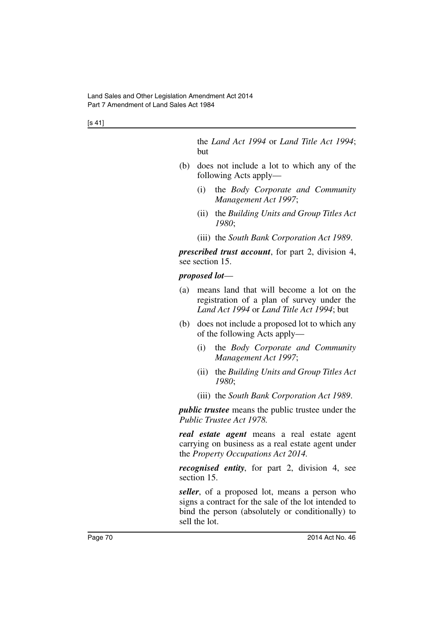[s 41]

the *Land Act 1994* or *Land Title Act 1994*; but

- (b) does not include a lot to which any of the following Acts apply—
	- (i) the *Body Corporate and Community Management Act 1997*;
	- (ii) the *Building Units and Group Titles Act 1980*;
	- (iii) the *South Bank Corporation Act 1989*.

*prescribed trust account*, for part 2, division 4, see section 15.

#### *proposed lot*—

- (a) means land that will become a lot on the registration of a plan of survey under the *Land Act 1994* or *Land Title Act 1994*; but
- (b) does not include a proposed lot to which any of the following Acts apply—
	- (i) the *Body Corporate and Community Management Act 1997*;
	- (ii) the *Building Units and Group Titles Act 1980*;
	- (iii) the *South Bank Corporation Act 1989*.

*public trustee* means the public trustee under the *Public Trustee Act 1978.*

*real estate agent* means a real estate agent carrying on business as a real estate agent under the *Property Occupations Act 2014.*

*recognised entity*, for part 2, division 4, see section 15.

*seller*, of a proposed lot, means a person who signs a contract for the sale of the lot intended to bind the person (absolutely or conditionally) to sell the lot.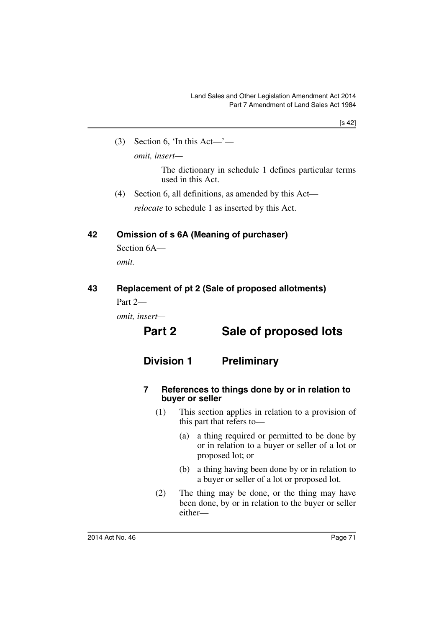$(3)$  Section 6, 'In this Act—'—

*omit, insert—*

The dictionary in schedule 1 defines particular terms used in this Act.

(4) Section 6, all definitions, as amended by this Act—

*relocate* to schedule 1 as inserted by this Act.

# **42 Omission of s 6A (Meaning of purchaser)**

Section 6A *omit.*

# **43 Replacement of pt 2 (Sale of proposed allotments)**

Part  $2-$ 

*omit, insert—*

# **Part 2 Sale of proposed lots**

# **Division 1 Preliminary**

#### **7 References to things done by or in relation to buyer or seller**

- (1) This section applies in relation to a provision of this part that refers to—
	- (a) a thing required or permitted to be done by or in relation to a buyer or seller of a lot or proposed lot; or
	- (b) a thing having been done by or in relation to a buyer or seller of a lot or proposed lot.
- (2) The thing may be done, or the thing may have been done, by or in relation to the buyer or seller either—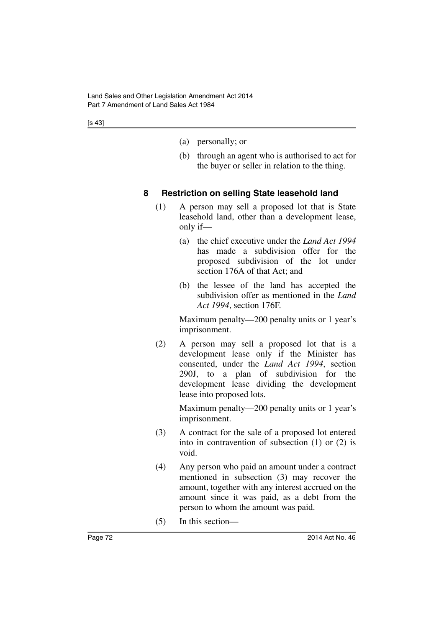- (a) personally; or
- (b) through an agent who is authorised to act for the buyer or seller in relation to the thing.

# **8 Restriction on selling State leasehold land**

- (1) A person may sell a proposed lot that is State leasehold land, other than a development lease, only if—
	- (a) the chief executive under the *Land Act 1994* has made a subdivision offer for the proposed subdivision of the lot under section 176A of that Act; and
	- (b) the lessee of the land has accepted the subdivision offer as mentioned in the *Land Act 1994*, section 176F.

Maximum penalty—200 penalty units or 1 year's imprisonment.

(2) A person may sell a proposed lot that is a development lease only if the Minister has consented, under the *Land Act 1994*, section 290J, to a plan of subdivision for the development lease dividing the development lease into proposed lots.

> Maximum penalty—200 penalty units or 1 year's imprisonment.

- (3) A contract for the sale of a proposed lot entered into in contravention of subsection (1) or (2) is void.
- (4) Any person who paid an amount under a contract mentioned in subsection (3) may recover the amount, together with any interest accrued on the amount since it was paid, as a debt from the person to whom the amount was paid.
- (5) In this section—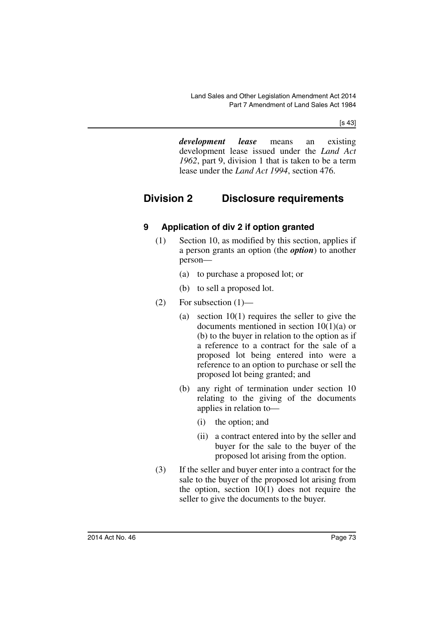*development lease* means an existing development lease issued under the *Land Act 1962*, part 9, division 1 that is taken to be a term lease under the *Land Act 1994*, section 476.

# **Division 2 Disclosure requirements**

# **9 Application of div 2 if option granted**

- (1) Section 10, as modified by this section, applies if a person grants an option (the *option*) to another person—
	- (a) to purchase a proposed lot; or
	- (b) to sell a proposed lot.
- $(2)$  For subsection  $(1)$ 
	- (a) section 10(1) requires the seller to give the documents mentioned in section 10(1)(a) or (b) to the buyer in relation to the option as if a reference to a contract for the sale of a proposed lot being entered into were a reference to an option to purchase or sell the proposed lot being granted; and
	- (b) any right of termination under section 10 relating to the giving of the documents applies in relation to—
		- (i) the option; and
		- (ii) a contract entered into by the seller and buyer for the sale to the buyer of the proposed lot arising from the option.
- (3) If the seller and buyer enter into a contract for the sale to the buyer of the proposed lot arising from the option, section  $10(1)$  does not require the seller to give the documents to the buyer.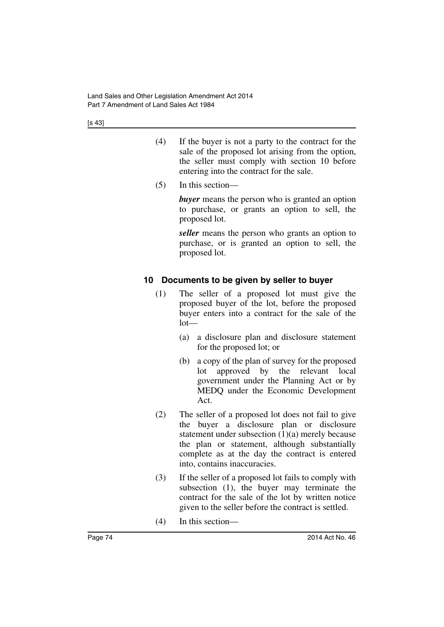- (4) If the buyer is not a party to the contract for the sale of the proposed lot arising from the option, the seller must comply with section 10 before entering into the contract for the sale.
- (5) In this section—

*buyer* means the person who is granted an option to purchase, or grants an option to sell, the proposed lot.

*seller* means the person who grants an option to purchase, or is granted an option to sell, the proposed lot.

# **10 Documents to be given by seller to buyer**

- (1) The seller of a proposed lot must give the proposed buyer of the lot, before the proposed buyer enters into a contract for the sale of the  $lot-$ 
	- (a) a disclosure plan and disclosure statement for the proposed lot; or
	- (b) a copy of the plan of survey for the proposed lot approved by the relevant local government under the Planning Act or by MEDQ under the Economic Development Act.
- (2) The seller of a proposed lot does not fail to give the buyer a disclosure plan or disclosure statement under subsection  $(1)(a)$  merely because the plan or statement, although substantially complete as at the day the contract is entered into, contains inaccuracies.
- (3) If the seller of a proposed lot fails to comply with subsection (1), the buyer may terminate the contract for the sale of the lot by written notice given to the seller before the contract is settled.
- (4) In this section—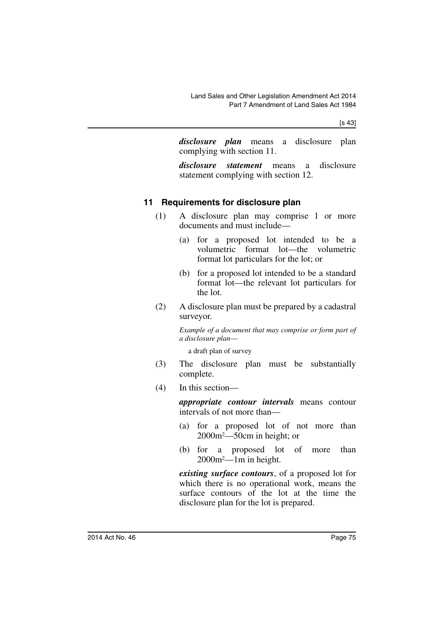*disclosure plan* means a disclosure plan complying with section 11.

*disclosure statement* means a disclosure statement complying with section 12.

# **11 Requirements for disclosure plan**

- (1) A disclosure plan may comprise 1 or more documents and must include—
	- (a) for a proposed lot intended to be a volumetric format lot—the volumetric format lot particulars for the lot; or
	- (b) for a proposed lot intended to be a standard format lot—the relevant lot particulars for the lot.
- (2) A disclosure plan must be prepared by a cadastral surveyor.

*Example of a document that may comprise or form part of a disclosure plan*—

a draft plan of survey

- (3) The disclosure plan must be substantially complete.
- (4) In this section—

*appropriate contour intervals* means contour intervals of not more than—

- (a) for a proposed lot of not more than 2000m2—50cm in height; or
- (b) for a proposed lot of more than 2000m2—1m in height.

*existing surface contours*, of a proposed lot for which there is no operational work, means the surface contours of the lot at the time the disclosure plan for the lot is prepared.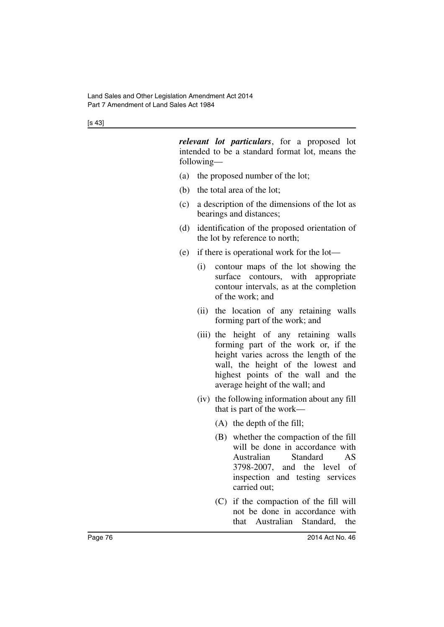*relevant lot particulars*, for a proposed lot intended to be a standard format lot, means the following—

- (a) the proposed number of the lot;
- (b) the total area of the lot;
- (c) a description of the dimensions of the lot as bearings and distances;
- (d) identification of the proposed orientation of the lot by reference to north;
- (e) if there is operational work for the lot—
	- (i) contour maps of the lot showing the surface contours, with appropriate contour intervals, as at the completion of the work; and
	- (ii) the location of any retaining walls forming part of the work; and
	- (iii) the height of any retaining walls forming part of the work or, if the height varies across the length of the wall, the height of the lowest and highest points of the wall and the average height of the wall; and
	- (iv) the following information about any fill that is part of the work—
		- (A) the depth of the fill;
		- (B) whether the compaction of the fill will be done in accordance with Australian Standard AS 3798-2007, and the level of inspection and testing services carried out;
		- (C) if the compaction of the fill will not be done in accordance with that Australian Standard, the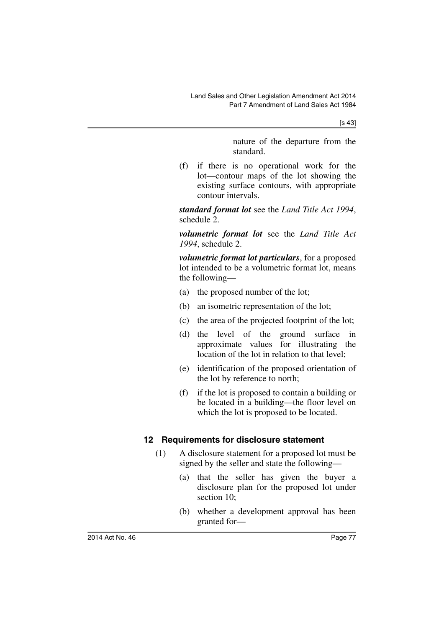nature of the departure from the standard.

(f) if there is no operational work for the lot—contour maps of the lot showing the existing surface contours, with appropriate contour intervals.

*standard format lot* see the *Land Title Act 1994*, schedule 2.

*volumetric format lot* see the *Land Title Act 1994*, schedule 2.

*volumetric format lot particulars*, for a proposed lot intended to be a volumetric format lot, means the following—

- (a) the proposed number of the lot;
- (b) an isometric representation of the lot;
- (c) the area of the projected footprint of the lot;
- (d) the level of the ground surface in approximate values for illustrating the location of the lot in relation to that level;
- (e) identification of the proposed orientation of the lot by reference to north;
- (f) if the lot is proposed to contain a building or be located in a building—the floor level on which the lot is proposed to be located.

#### **12 Requirements for disclosure statement**

- (1) A disclosure statement for a proposed lot must be signed by the seller and state the following—
	- (a) that the seller has given the buyer a disclosure plan for the proposed lot under section 10;
	- (b) whether a development approval has been granted for—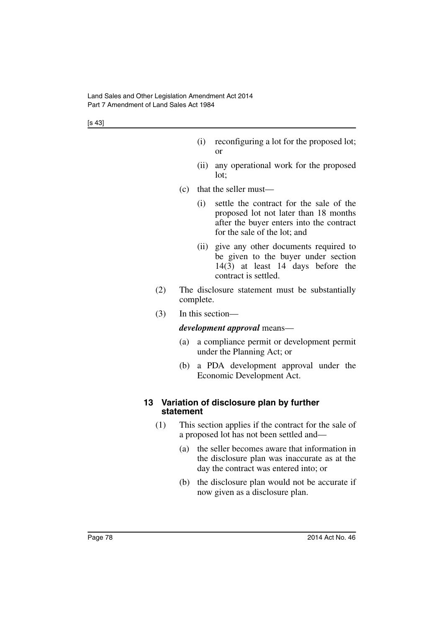- (i) reconfiguring a lot for the proposed lot; or
- (ii) any operational work for the proposed lot;
- (c) that the seller must—
	- (i) settle the contract for the sale of the proposed lot not later than 18 months after the buyer enters into the contract for the sale of the lot; and
	- (ii) give any other documents required to be given to the buyer under section 14(3) at least 14 days before the contract is settled.
- (2) The disclosure statement must be substantially complete.
- (3) In this section—

#### *development approval* means—

- (a) a compliance permit or development permit under the Planning Act; or
- (b) a PDA development approval under the Economic Development Act.

#### **13 Variation of disclosure plan by further statement**

- (1) This section applies if the contract for the sale of a proposed lot has not been settled and—
	- (a) the seller becomes aware that information in the disclosure plan was inaccurate as at the day the contract was entered into; or
	- (b) the disclosure plan would not be accurate if now given as a disclosure plan.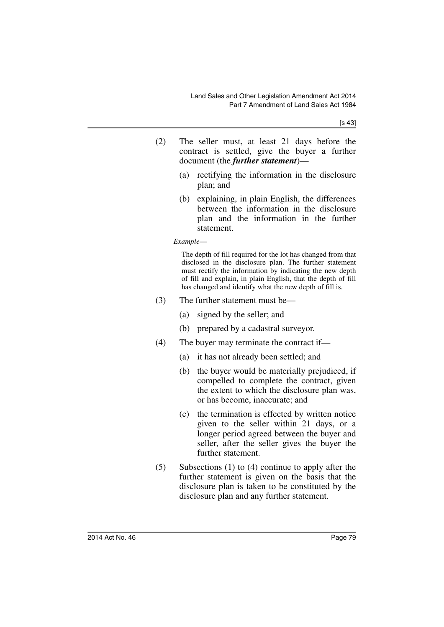- (2) The seller must, at least 21 days before the contract is settled, give the buyer a further document (the *further statement*)—
	- (a) rectifying the information in the disclosure plan; and
	- (b) explaining, in plain English, the differences between the information in the disclosure plan and the information in the further statement.

*Example*—

The depth of fill required for the lot has changed from that disclosed in the disclosure plan. The further statement must rectify the information by indicating the new depth of fill and explain, in plain English, that the depth of fill has changed and identify what the new depth of fill is.

- (3) The further statement must be—
	- (a) signed by the seller; and
	- (b) prepared by a cadastral surveyor.
- (4) The buyer may terminate the contract if—
	- (a) it has not already been settled; and
	- (b) the buyer would be materially prejudiced, if compelled to complete the contract, given the extent to which the disclosure plan was, or has become, inaccurate; and
	- (c) the termination is effected by written notice given to the seller within 21 days, or a longer period agreed between the buyer and seller, after the seller gives the buyer the further statement.
- (5) Subsections (1) to (4) continue to apply after the further statement is given on the basis that the disclosure plan is taken to be constituted by the disclosure plan and any further statement.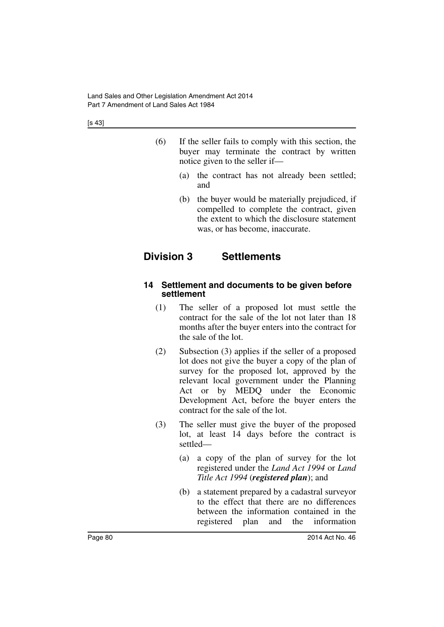- (6) If the seller fails to comply with this section, the buyer may terminate the contract by written notice given to the seller if—
	- (a) the contract has not already been settled; and
	- (b) the buyer would be materially prejudiced, if compelled to complete the contract, given the extent to which the disclosure statement was, or has become, inaccurate.

# **Division 3 Settlements**

#### **14 Settlement and documents to be given before settlement**

- (1) The seller of a proposed lot must settle the contract for the sale of the lot not later than 18 months after the buyer enters into the contract for the sale of the lot.
- (2) Subsection (3) applies if the seller of a proposed lot does not give the buyer a copy of the plan of survey for the proposed lot, approved by the relevant local government under the Planning Act or by MEDQ under the Economic Development Act, before the buyer enters the contract for the sale of the lot.
- (3) The seller must give the buyer of the proposed lot, at least 14 days before the contract is settled—
	- (a) a copy of the plan of survey for the lot registered under the *Land Act 1994* or *Land Title Act 1994* (*registered plan*); and
	- (b) a statement prepared by a cadastral surveyor to the effect that there are no differences between the information contained in the registered plan and the information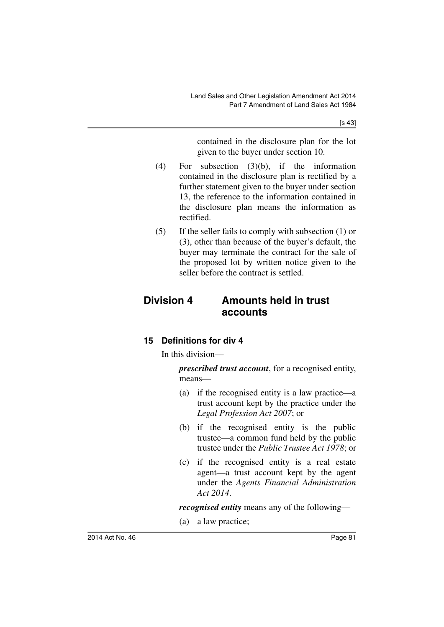contained in the disclosure plan for the lot given to the buyer under section 10.

- (4) For subsection (3)(b), if the information contained in the disclosure plan is rectified by a further statement given to the buyer under section 13, the reference to the information contained in the disclosure plan means the information as rectified.
- (5) If the seller fails to comply with subsection (1) or (3), other than because of the buyer's default, the buyer may terminate the contract for the sale of the proposed lot by written notice given to the seller before the contract is settled.

# **Division 4 Amounts held in trust accounts**

# **15 Definitions for div 4**

In this division—

*prescribed trust account*, for a recognised entity, means—

- (a) if the recognised entity is a law practice—a trust account kept by the practice under the *Legal Profession Act 2007*; or
- (b) if the recognised entity is the public trustee—a common fund held by the public trustee under the *Public Trustee Act 1978*; or
- (c) if the recognised entity is a real estate agent—a trust account kept by the agent under the *Agents Financial Administration Act 2014*.

*recognised entity* means any of the following—

(a) a law practice;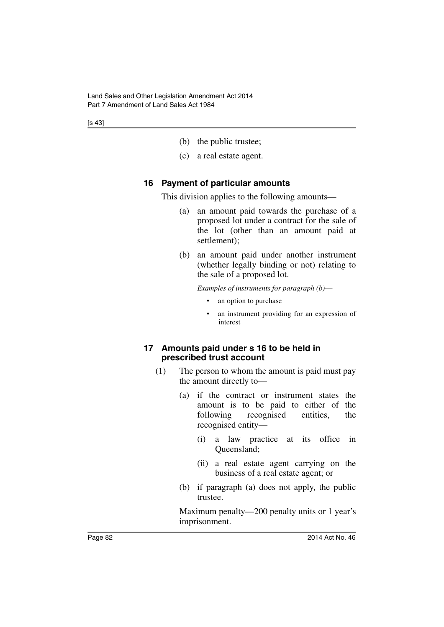- (b) the public trustee;
- (c) a real estate agent.

#### **16 Payment of particular amounts**

This division applies to the following amounts—

- (a) an amount paid towards the purchase of a proposed lot under a contract for the sale of the lot (other than an amount paid at settlement);
- (b) an amount paid under another instrument (whether legally binding or not) relating to the sale of a proposed lot.

*Examples of instruments for paragraph (b)*—

- an option to purchase
- an instrument providing for an expression of interest

#### **17 Amounts paid under s 16 to be held in prescribed trust account**

- (1) The person to whom the amount is paid must pay the amount directly to—
	- (a) if the contract or instrument states the amount is to be paid to either of the following recognised entities, the recognised entity—
		- (i) a law practice at its office in Queensland;
		- (ii) a real estate agent carrying on the business of a real estate agent; or
	- (b) if paragraph (a) does not apply, the public trustee.

Maximum penalty—200 penalty units or 1 year's imprisonment.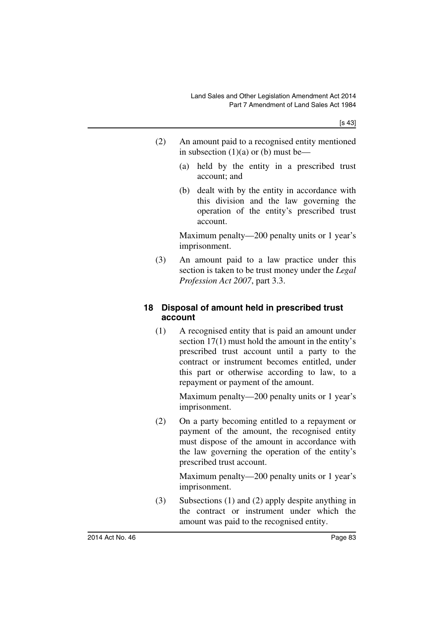- (2) An amount paid to a recognised entity mentioned in subsection  $(1)(a)$  or  $(b)$  must be—
	- (a) held by the entity in a prescribed trust account; and
	- (b) dealt with by the entity in accordance with this division and the law governing the operation of the entity's prescribed trust account.

Maximum penalty—200 penalty units or 1 year's imprisonment.

(3) An amount paid to a law practice under this section is taken to be trust money under the *Legal Profession Act 2007*, part 3.3.

# **18 Disposal of amount held in prescribed trust account**

(1) A recognised entity that is paid an amount under section 17(1) must hold the amount in the entity's prescribed trust account until a party to the contract or instrument becomes entitled, under this part or otherwise according to law, to a repayment or payment of the amount.

> Maximum penalty—200 penalty units or 1 year's imprisonment.

(2) On a party becoming entitled to a repayment or payment of the amount, the recognised entity must dispose of the amount in accordance with the law governing the operation of the entity's prescribed trust account.

> Maximum penalty—200 penalty units or 1 year's imprisonment.

(3) Subsections (1) and (2) apply despite anything in the contract or instrument under which the amount was paid to the recognised entity.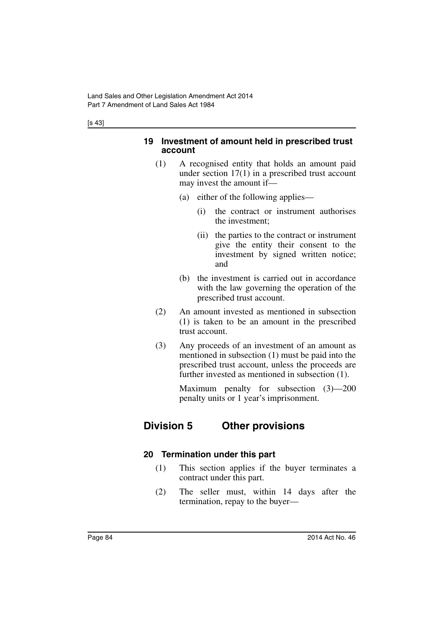#### **19 Investment of amount held in prescribed trust account**

- (1) A recognised entity that holds an amount paid under section 17(1) in a prescribed trust account may invest the amount if—
	- (a) either of the following applies—
		- (i) the contract or instrument authorises the investment;
		- (ii) the parties to the contract or instrument give the entity their consent to the investment by signed written notice; and
	- (b) the investment is carried out in accordance with the law governing the operation of the prescribed trust account.
- (2) An amount invested as mentioned in subsection (1) is taken to be an amount in the prescribed trust account.
- (3) Any proceeds of an investment of an amount as mentioned in subsection (1) must be paid into the prescribed trust account, unless the proceeds are further invested as mentioned in subsection (1).

Maximum penalty for subsection (3)—200 penalty units or 1 year's imprisonment.

# **Division 5 Other provisions**

# **20 Termination under this part**

- (1) This section applies if the buyer terminates a contract under this part.
- (2) The seller must, within 14 days after the termination, repay to the buyer—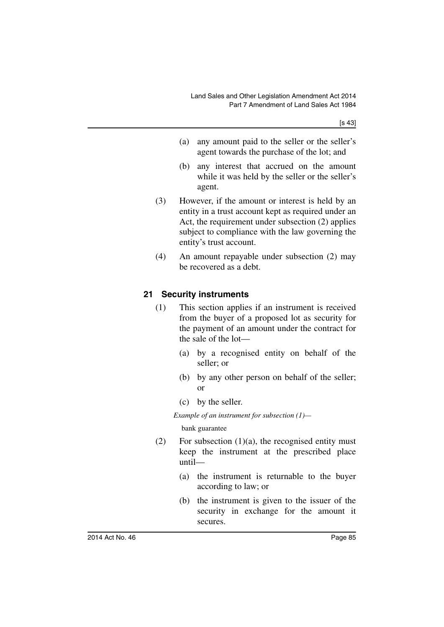- (a) any amount paid to the seller or the seller's agent towards the purchase of the lot; and
- (b) any interest that accrued on the amount while it was held by the seller or the seller's agent.
- (3) However, if the amount or interest is held by an entity in a trust account kept as required under an Act, the requirement under subsection (2) applies subject to compliance with the law governing the entity's trust account.
- (4) An amount repayable under subsection (2) may be recovered as a debt.

# **21 Security instruments**

- (1) This section applies if an instrument is received from the buyer of a proposed lot as security for the payment of an amount under the contract for the sale of the lot—
	- (a) by a recognised entity on behalf of the seller; or
	- (b) by any other person on behalf of the seller; or
	- (c) by the seller.

*Example of an instrument for subsection (1)—*

bank guarantee

- (2) For subsection  $(1)(a)$ , the recognised entity must keep the instrument at the prescribed place until—
	- (a) the instrument is returnable to the buyer according to law; or
	- (b) the instrument is given to the issuer of the security in exchange for the amount it secures.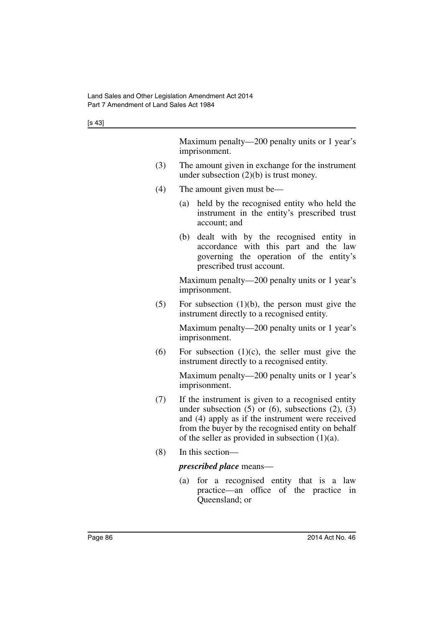Maximum penalty—200 penalty units or 1 year's imprisonment.

- (3) The amount given in exchange for the instrument under subsection (2)(b) is trust money.
- (4) The amount given must be—
	- (a) held by the recognised entity who held the instrument in the entity's prescribed trust account; and
	- (b) dealt with by the recognised entity in accordance with this part and the law governing the operation of the entity's prescribed trust account.

Maximum penalty—200 penalty units or 1 year's imprisonment.

 $(5)$  For subsection  $(1)(b)$ , the person must give the instrument directly to a recognised entity.

> Maximum penalty—200 penalty units or 1 year's imprisonment.

(6) For subsection  $(1)(c)$ , the seller must give the instrument directly to a recognised entity.

> Maximum penalty—200 penalty units or 1 year's imprisonment.

- (7) If the instrument is given to a recognised entity under subsection  $(5)$  or  $(6)$ , subsections  $(2)$ ,  $(3)$ and (4) apply as if the instrument were received from the buyer by the recognised entity on behalf of the seller as provided in subsection  $(1)(a)$ .
- (8) In this section—

#### *prescribed place* means—

(a) for a recognised entity that is a law practice—an office of the practice in Queensland; or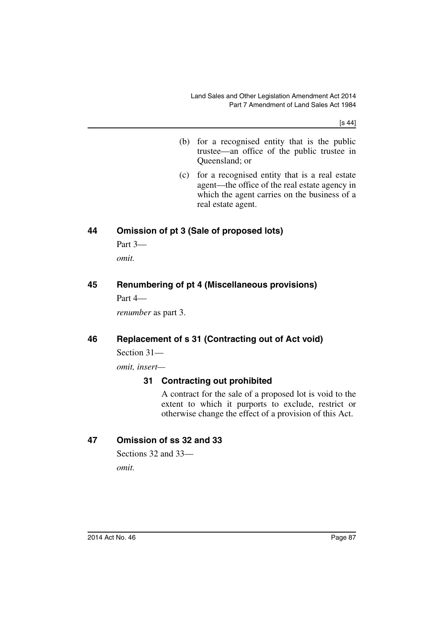[s 44]

- (b) for a recognised entity that is the public trustee—an office of the public trustee in Queensland; or
- (c) for a recognised entity that is a real estate agent—the office of the real estate agency in which the agent carries on the business of a real estate agent.

# **44 Omission of pt 3 (Sale of proposed lots)**

Part 3 *omit.*

# **45 Renumbering of pt 4 (Miscellaneous provisions)**

Part 4—

*renumber* as part 3.

#### **46 Replacement of s 31 (Contracting out of Act void)**

Section 31—

*omit, insert—*

#### **31 Contracting out prohibited**

A contract for the sale of a proposed lot is void to the extent to which it purports to exclude, restrict or otherwise change the effect of a provision of this Act.

#### **47 Omission of ss 32 and 33**

Sections 32 and 33 *omit.*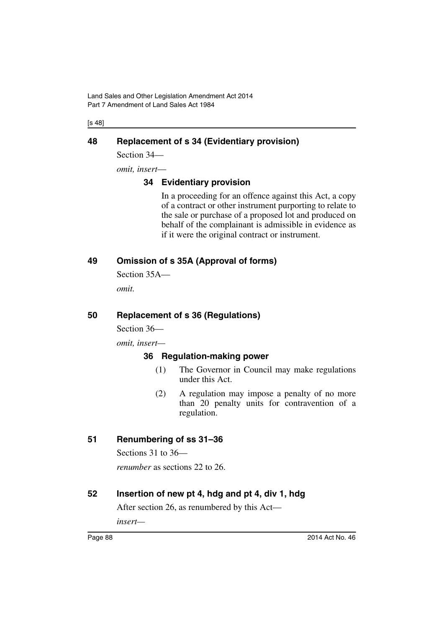Land Sales and Other Legislation Amendment Act 2014 Part 7 Amendment of Land Sales Act 1984

[s 48]

#### **48 Replacement of s 34 (Evidentiary provision)**

Section 34—

*omit, insert*—

#### **34 Evidentiary provision**

In a proceeding for an offence against this Act, a copy of a contract or other instrument purporting to relate to the sale or purchase of a proposed lot and produced on behalf of the complainant is admissible in evidence as if it were the original contract or instrument.

# **49 Omission of s 35A (Approval of forms)**

Section 35A—

*omit.*

#### **50 Replacement of s 36 (Regulations)**

Section 36—

*omit, insert—*

#### **36 Regulation-making power**

- (1) The Governor in Council may make regulations under this Act.
- (2) A regulation may impose a penalty of no more than 20 penalty units for contravention of a regulation.

#### **51 Renumbering of ss 31–36**

Sections 31 to 36—

*renumber* as sections 22 to 26.

#### **52 Insertion of new pt 4, hdg and pt 4, div 1, hdg**

After section 26, as renumbered by this Act—

*insert—*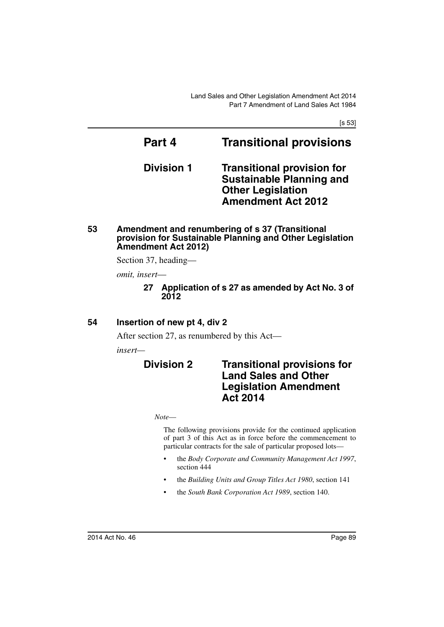[s 53]

# **Part 4 Transitional provisions Division 1 Transitional provision for Sustainable Planning and**

**Other Legislation Amendment Act 2012**

**53 Amendment and renumbering of s 37 (Transitional provision for Sustainable Planning and Other Legislation Amendment Act 2012)**

Section 37, heading—

*omit, insert*—

**27 Application of s 27 as amended by Act No. 3 of 2012**

#### **54 Insertion of new pt 4, div 2**

After section 27, as renumbered by this Act—

*insert—*

# **Division 2 Transitional provisions for Land Sales and Other Legislation Amendment Act 2014**

*Note*—

The following provisions provide for the continued application of part 3 of this Act as in force before the commencement to particular contracts for the sale of particular proposed lots—

- the *Body Corporate and Community Management Act 1997*, section 444
- the *Building Units and Group Titles Act 1980*, section 141
- the *South Bank Corporation Act 1989*, section 140.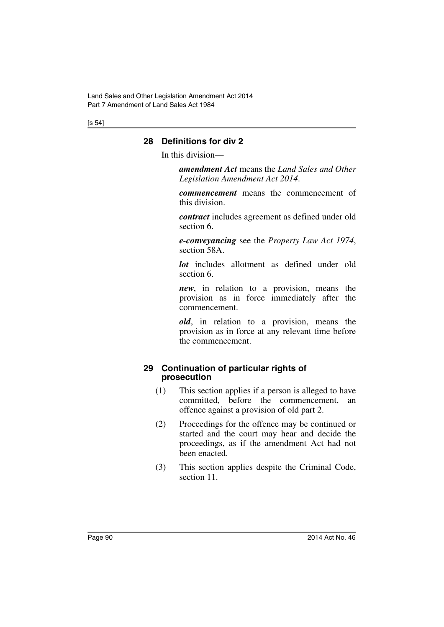[s 54]

# **28 Definitions for div 2**

In this division—

*amendment Act* means the *Land Sales and Other Legislation Amendment Act 2014*.

*commencement* means the commencement of this division.

*contract* includes agreement as defined under old section 6.

*e-conveyancing* see the *Property Law Act 1974*, section 58A.

*lot* includes allotment as defined under old section 6.

*new*, in relation to a provision, means the provision as in force immediately after the commencement.

*old*, in relation to a provision, means the provision as in force at any relevant time before the commencement.

#### **29 Continuation of particular rights of prosecution**

- (1) This section applies if a person is alleged to have committed, before the commencement, an offence against a provision of old part 2.
- (2) Proceedings for the offence may be continued or started and the court may hear and decide the proceedings, as if the amendment Act had not been enacted.
- (3) This section applies despite the Criminal Code, section 11.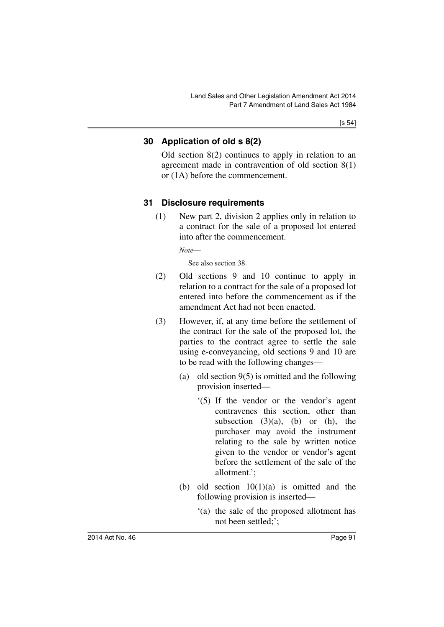# **30 Application of old s 8(2)**

Old section 8(2) continues to apply in relation to an agreement made in contravention of old section 8(1) or (1A) before the commencement.

# **31 Disclosure requirements**

(1) New part 2, division 2 applies only in relation to a contract for the sale of a proposed lot entered into after the commencement.

*Note*—

See also section 38.

- (2) Old sections 9 and 10 continue to apply in relation to a contract for the sale of a proposed lot entered into before the commencement as if the amendment Act had not been enacted.
- (3) However, if, at any time before the settlement of the contract for the sale of the proposed lot, the parties to the contract agree to settle the sale using e-conveyancing, old sections 9 and 10 are to be read with the following changes—
	- (a) old section 9(5) is omitted and the following provision inserted—
		- '(5) If the vendor or the vendor's agent contravenes this section, other than subsection  $(3)(a)$ ,  $(b)$  or  $(h)$ , the purchaser may avoid the instrument relating to the sale by written notice given to the vendor or vendor's agent before the settlement of the sale of the allotment.';
	- (b) old section  $10(1)(a)$  is omitted and the following provision is inserted—
		- '(a) the sale of the proposed allotment has not been settled;';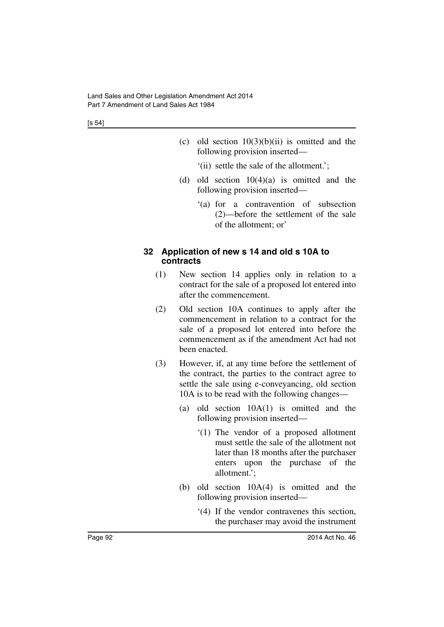- (c) old section  $10(3)(b)(ii)$  is omitted and the following provision inserted—
	- '(ii) settle the sale of the allotment.';
- (d) old section  $10(4)(a)$  is omitted and the following provision inserted—
	- '(a) for a contravention of subsection (2)—before the settlement of the sale of the allotment; or'

#### **32 Application of new s 14 and old s 10A to contracts**

- (1) New section 14 applies only in relation to a contract for the sale of a proposed lot entered into after the commencement.
- (2) Old section 10A continues to apply after the commencement in relation to a contract for the sale of a proposed lot entered into before the commencement as if the amendment Act had not been enacted.
- (3) However, if, at any time before the settlement of the contract, the parties to the contract agree to settle the sale using e-conveyancing, old section 10A is to be read with the following changes—
	- (a) old section 10A(1) is omitted and the following provision inserted—
		- '(1) The vendor of a proposed allotment must settle the sale of the allotment not later than 18 months after the purchaser enters upon the purchase of the allotment.';
	- (b) old section 10A(4) is omitted and the following provision inserted—
		- '(4) If the vendor contravenes this section, the purchaser may avoid the instrument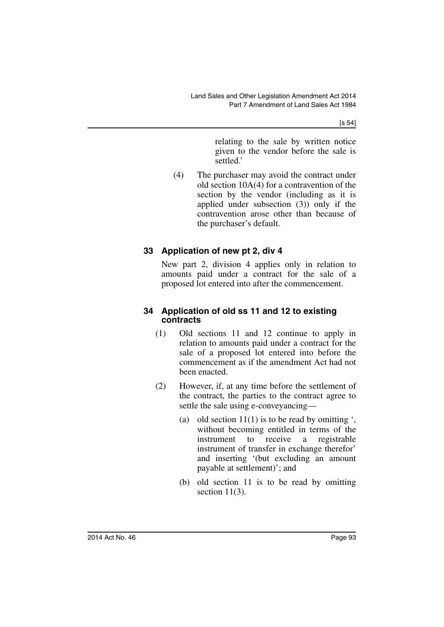[s 54]

relating to the sale by written notice given to the vendor before the sale is settled.'

(4) The purchaser may avoid the contract under old section 10A(4) for a contravention of the section by the vendor (including as it is applied under subsection (3)) only if the contravention arose other than because of the purchaser's default.

# **33 Application of new pt 2, div 4**

New part 2, division 4 applies only in relation to amounts paid under a contract for the sale of a proposed lot entered into after the commencement.

#### **34 Application of old ss 11 and 12 to existing contracts**

- (1) Old sections 11 and 12 continue to apply in relation to amounts paid under a contract for the sale of a proposed lot entered into before the commencement as if the amendment Act had not been enacted.
- (2) However, if, at any time before the settlement of the contract, the parties to the contract agree to settle the sale using e-conveyancing—
	- (a) old section  $11(1)$  is to be read by omitting ', without becoming entitled in terms of the instrument to receive a registrable instrument of transfer in exchange therefor' and inserting '(but excluding an amount payable at settlement)'; and
	- (b) old section 11 is to be read by omitting section  $11(3)$ .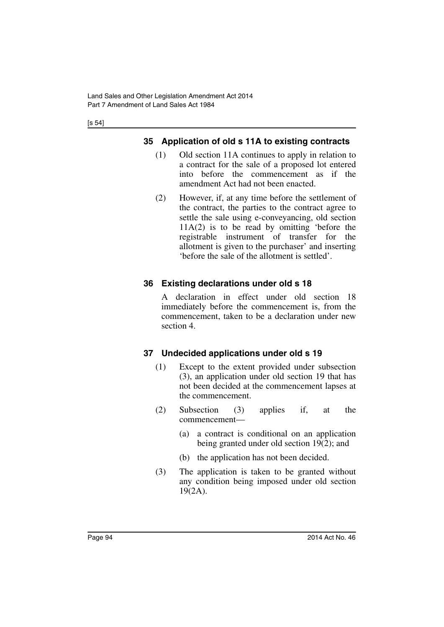[s 54]

# **35 Application of old s 11A to existing contracts**

- (1) Old section 11A continues to apply in relation to a contract for the sale of a proposed lot entered into before the commencement as if the amendment Act had not been enacted.
- (2) However, if, at any time before the settlement of the contract, the parties to the contract agree to settle the sale using e-conveyancing, old section 11A(2) is to be read by omitting 'before the registrable instrument of transfer for the allotment is given to the purchaser' and inserting 'before the sale of the allotment is settled'.

# **36 Existing declarations under old s 18**

A declaration in effect under old section 18 immediately before the commencement is, from the commencement, taken to be a declaration under new section 4.

# **37 Undecided applications under old s 19**

- (1) Except to the extent provided under subsection (3), an application under old section 19 that has not been decided at the commencement lapses at the commencement.
- (2) Subsection (3) applies if, at the commencement—
	- (a) a contract is conditional on an application being granted under old section 19(2); and
	- (b) the application has not been decided.
- (3) The application is taken to be granted without any condition being imposed under old section 19(2A).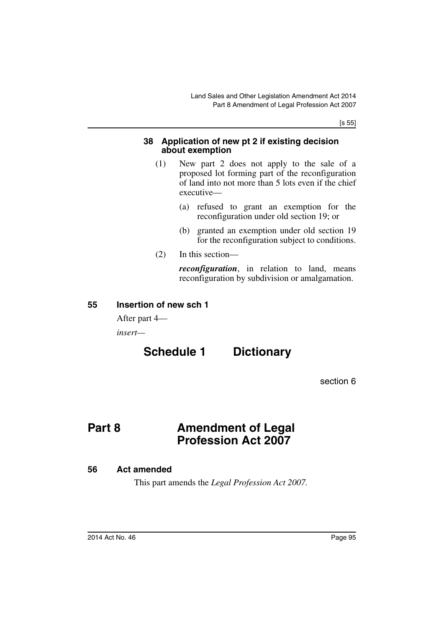[s 55]

#### **38 Application of new pt 2 if existing decision about exemption**

- (1) New part 2 does not apply to the sale of a proposed lot forming part of the reconfiguration of land into not more than 5 lots even if the chief executive—
	- (a) refused to grant an exemption for the reconfiguration under old section 19; or
	- (b) granted an exemption under old section 19 for the reconfiguration subject to conditions.
- (2) In this section—

*reconfiguration*, in relation to land, means reconfiguration by subdivision or amalgamation.

#### **55 Insertion of new sch 1**

After part 4—

*insert—*

# **Schedule 1 Dictionary**

section 6

# **Part 8 Amendment of Legal Profession Act 2007**

#### **56 Act amended**

This part amends the *Legal Profession Act 2007.*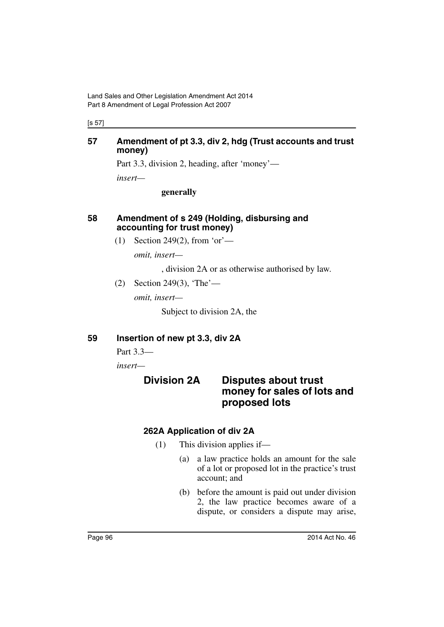[s 57]

#### **57 Amendment of pt 3.3, div 2, hdg (Trust accounts and trust money)**

Part 3.3, division 2, heading, after 'money'—

*insert—*

**generally**

#### **58 Amendment of s 249 (Holding, disbursing and accounting for trust money)**

(1) Section 249(2), from 'or'—

*omit, insert—*

, division 2A or as otherwise authorised by law.

(2) Section 249(3), 'The'—

*omit, insert—*

Subject to division 2A, the

#### **59 Insertion of new pt 3.3, div 2A**

Part 3.3—

*insert—*

# **Division 2A Disputes about trust money for sales of lots and proposed lots**

# **262A Application of div 2A**

- (1) This division applies if—
	- (a) a law practice holds an amount for the sale of a lot or proposed lot in the practice's trust account; and
	- (b) before the amount is paid out under division 2, the law practice becomes aware of a dispute, or considers a dispute may arise,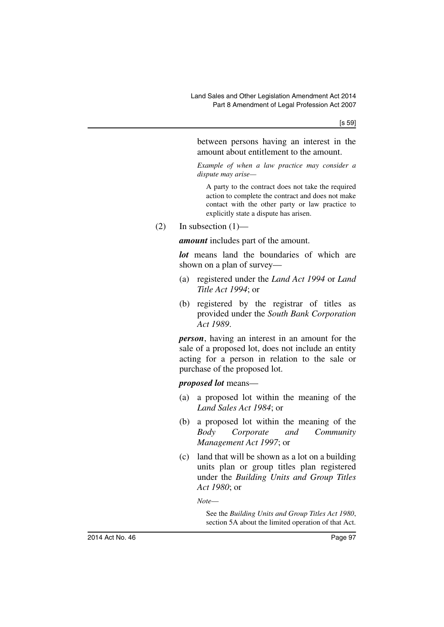between persons having an interest in the amount about entitlement to the amount.

*Example of when a law practice may consider a dispute may arise—*

A party to the contract does not take the required action to complete the contract and does not make contact with the other party or law practice to explicitly state a dispute has arisen.

 $(2)$  In subsection  $(1)$ —

*amount* includes part of the amount.

*lot* means land the boundaries of which are shown on a plan of survey—

- (a) registered under the *Land Act 1994* or *Land Title Act 1994*; or
- (b) registered by the registrar of titles as provided under the *South Bank Corporation Act 1989*.

*person*, having an interest in an amount for the sale of a proposed lot, does not include an entity acting for a person in relation to the sale or purchase of the proposed lot.

*proposed lot* means—

- (a) a proposed lot within the meaning of the *Land Sales Act 1984*; or
- (b) a proposed lot within the meaning of the *Body Corporate and Community Management Act 1997*; or
- (c) land that will be shown as a lot on a building units plan or group titles plan registered under the *Building Units and Group Titles Act 1980*; or

*Note*—

See the *Building Units and Group Titles Act 1980*, section 5A about the limited operation of that Act.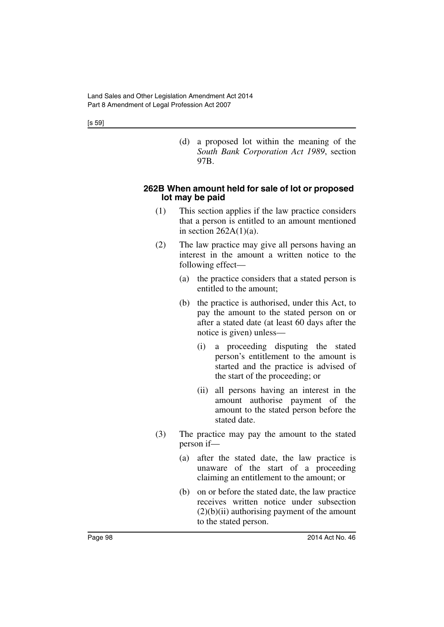(d) a proposed lot within the meaning of the *South Bank Corporation Act 1989*, section 97B.

#### **262B When amount held for sale of lot or proposed lot may be paid**

- (1) This section applies if the law practice considers that a person is entitled to an amount mentioned in section  $262A(1)(a)$ .
- (2) The law practice may give all persons having an interest in the amount a written notice to the following effect—
	- (a) the practice considers that a stated person is entitled to the amount;
	- (b) the practice is authorised, under this Act, to pay the amount to the stated person on or after a stated date (at least 60 days after the notice is given) unless—
		- (i) a proceeding disputing the stated person's entitlement to the amount is started and the practice is advised of the start of the proceeding; or
		- (ii) all persons having an interest in the amount authorise payment of the amount to the stated person before the stated date.
- (3) The practice may pay the amount to the stated person if—
	- (a) after the stated date, the law practice is unaware of the start of a proceeding claiming an entitlement to the amount; or
	- (b) on or before the stated date, the law practice receives written notice under subsection  $(2)(b)(ii)$  authorising payment of the amount to the stated person.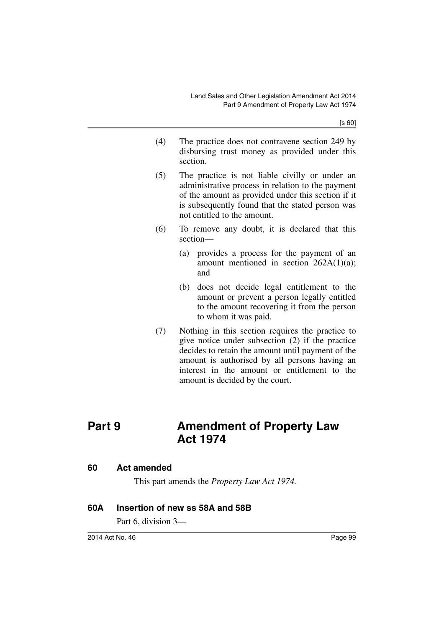[s 60]

- (4) The practice does not contravene section 249 by disbursing trust money as provided under this section.
- (5) The practice is not liable civilly or under an administrative process in relation to the payment of the amount as provided under this section if it is subsequently found that the stated person was not entitled to the amount.
- (6) To remove any doubt, it is declared that this section—
	- (a) provides a process for the payment of an amount mentioned in section 262A(1)(a); and
	- (b) does not decide legal entitlement to the amount or prevent a person legally entitled to the amount recovering it from the person to whom it was paid.
- (7) Nothing in this section requires the practice to give notice under subsection (2) if the practice decides to retain the amount until payment of the amount is authorised by all persons having an interest in the amount or entitlement to the amount is decided by the court.

# **Part 9 Amendment of Property Law Act 1974**

#### **60 Act amended**

This part amends the *Property Law Act 1974.*

#### **60A Insertion of new ss 58A and 58B**

Part 6, division 3—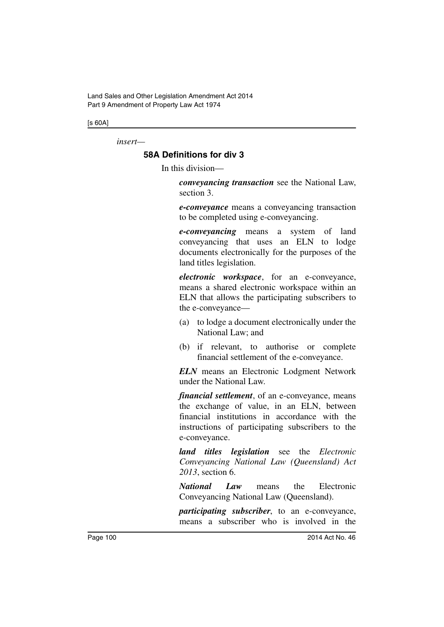[s 60A]

*insert—*

# **58A Definitions for div 3**

In this division—

*conveyancing transaction* see the National Law, section 3.

*e-conveyance* means a conveyancing transaction to be completed using e-conveyancing.

*e-conveyancing* means a system of land conveyancing that uses an ELN to lodge documents electronically for the purposes of the land titles legislation.

*electronic workspace*, for an e-conveyance, means a shared electronic workspace within an ELN that allows the participating subscribers to the e-conveyance—

- (a) to lodge a document electronically under the National Law; and
- (b) if relevant, to authorise or complete financial settlement of the e-conveyance.

*ELN* means an Electronic Lodgment Network under the National Law.

*financial settlement*, of an e-conveyance, means the exchange of value, in an ELN, between financial institutions in accordance with the instructions of participating subscribers to the e-conveyance.

*land titles legislation* see the *Electronic Conveyancing National Law (Queensland) Act 2013*, section 6.

*National Law* means the Electronic Conveyancing National Law (Queensland).

*participating subscriber*, to an e-conveyance, means a subscriber who is involved in the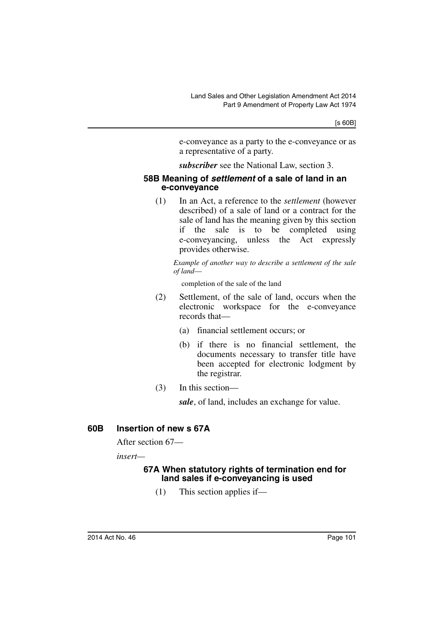e-conveyance as a party to the e-conveyance or as a representative of a party.

*subscriber* see the National Law, section 3.

#### **58B Meaning of** *settlement* **of a sale of land in an e-conveyance**

(1) In an Act, a reference to the *settlement* (however described) of a sale of land or a contract for the sale of land has the meaning given by this section if the sale is to be completed using e-conveyancing, unless the Act expressly provides otherwise.

*Example of another way to describe a settlement of the sale of land*—

completion of the sale of the land

- (2) Settlement, of the sale of land, occurs when the electronic workspace for the e-conveyance records that—
	- (a) financial settlement occurs; or
	- (b) if there is no financial settlement, the documents necessary to transfer title have been accepted for electronic lodgment by the registrar.
- (3) In this section—

*sale*, of land, includes an exchange for value.

#### **60B Insertion of new s 67A**

After section 67—

*insert—*

#### **67A When statutory rights of termination end for land sales if e-conveyancing is used**

(1) This section applies if—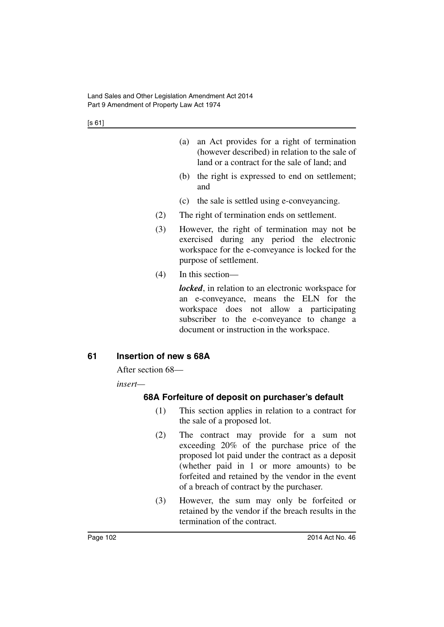[s 61]

| (a) | an Act provides for a right of termination     |
|-----|------------------------------------------------|
|     | (however described) in relation to the sale of |
|     | land or a contract for the sale of land; and   |

- (b) the right is expressed to end on settlement; and
- (c) the sale is settled using e-conveyancing.
- (2) The right of termination ends on settlement.
- (3) However, the right of termination may not be exercised during any period the electronic workspace for the e-conveyance is locked for the purpose of settlement.
- (4) In this section—

*locked*, in relation to an electronic workspace for an e-conveyance, means the ELN for the workspace does not allow a participating subscriber to the e-conveyance to change a document or instruction in the workspace.

#### **61 Insertion of new s 68A**

After section 68—

*insert—*

#### **68A Forfeiture of deposit on purchaser's default**

- (1) This section applies in relation to a contract for the sale of a proposed lot.
- (2) The contract may provide for a sum not exceeding 20% of the purchase price of the proposed lot paid under the contract as a deposit (whether paid in 1 or more amounts) to be forfeited and retained by the vendor in the event of a breach of contract by the purchaser.
- (3) However, the sum may only be forfeited or retained by the vendor if the breach results in the termination of the contract.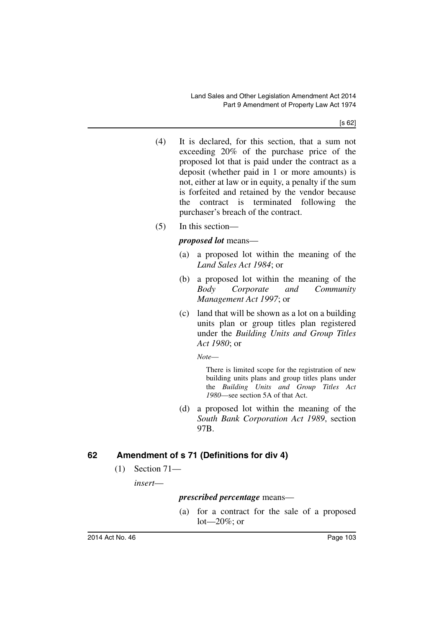[s 62]

- (4) It is declared, for this section, that a sum not exceeding 20% of the purchase price of the proposed lot that is paid under the contract as a deposit (whether paid in 1 or more amounts) is not, either at law or in equity, a penalty if the sum is forfeited and retained by the vendor because the contract is terminated following the purchaser's breach of the contract.
- (5) In this section—

#### *proposed lot* means—

- (a) a proposed lot within the meaning of the *Land Sales Act 1984*; or
- (b) a proposed lot within the meaning of the *Body Corporate and Community Management Act 1997*; or
- (c) land that will be shown as a lot on a building units plan or group titles plan registered under the *Building Units and Group Titles Act 1980*; or

*Note*—

There is limited scope for the registration of new building units plans and group titles plans under the *Building Units and Group Titles Act 1980*—see section 5A of that Act.

(d) a proposed lot within the meaning of the *South Bank Corporation Act 1989*, section 97B.

# **62 Amendment of s 71 (Definitions for div 4)**

(1) Section 71—

*insert*—

#### *prescribed percentage* means—

(a) for a contract for the sale of a proposed  $lot - 20\%$ ; or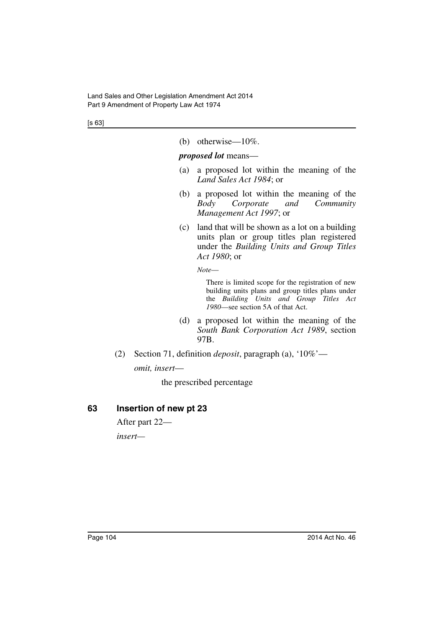[s 63]

(b) otherwise—10%.

#### *proposed lot* means—

- (a) a proposed lot within the meaning of the *Land Sales Act 1984*; or
- (b) a proposed lot within the meaning of the *Body Corporate and Community Management Act 1997*; or
- (c) land that will be shown as a lot on a building units plan or group titles plan registered under the *Building Units and Group Titles Act 1980*; or

*Note*—

There is limited scope for the registration of new building units plans and group titles plans under the *Building Units and Group Titles Act 1980*—see section 5A of that Act.

- (d) a proposed lot within the meaning of the *South Bank Corporation Act 1989*, section 97B.
- (2) Section 71, definition *deposit*, paragraph (a), '10%' *omit, insert*—

the prescribed percentage

# **63 Insertion of new pt 23**

After part 22 *insert—*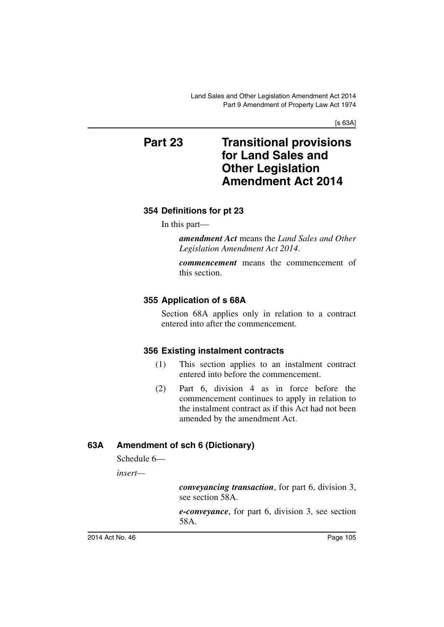[s 63A]

# **Part 23 Transitional provisions for Land Sales and Other Legislation Amendment Act 2014**

# **354 Definitions for pt 23**

In this part—

*amendment Act* means the *Land Sales and Other Legislation Amendment Act 2014*.

*commencement* means the commencement of this section.

# **355 Application of s 68A**

Section 68A applies only in relation to a contract entered into after the commencement.

#### **356 Existing instalment contracts**

- (1) This section applies to an instalment contract entered into before the commencement.
- (2) Part 6, division 4 as in force before the commencement continues to apply in relation to the instalment contract as if this Act had not been amended by the amendment Act.

# **63A Amendment of sch 6 (Dictionary)**

Schedule 6—

*insert—*

*conveyancing transaction*, for part 6, division 3, see section 58A.

*e-conveyance*, for part 6, division 3, see section 58A.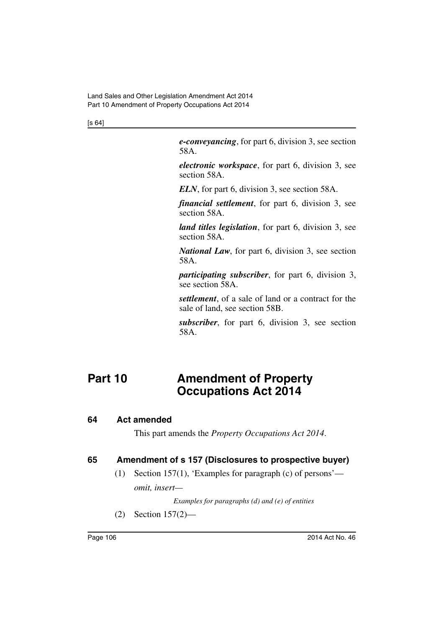[s 64]

*e-conveyancing*, for part 6, division 3, see section 58A.

*electronic workspace*, for part 6, division 3, see section 58A.

*ELN*, for part 6, division 3, see section 58A.

*financial settlement*, for part 6, division 3, see section 58A.

*land titles legislation*, for part 6, division 3, see section 58A.

*National Law*, for part 6, division 3, see section 58A.

*participating subscriber*, for part 6, division 3, see section 58A.

*settlement*, of a sale of land or a contract for the sale of land, see section 58B.

*subscriber*, for part 6, division 3, see section 58A.

# **Part 10 Amendment of Property Occupations Act 2014**

#### **64 Act amended**

This part amends the *Property Occupations Act 2014*.

# **65 Amendment of s 157 (Disclosures to prospective buyer)**

(1) Section 157(1), 'Examples for paragraph (c) of persons' *omit, insert—*

*Examples for paragraphs (d) and (e) of entities*

(2) Section 157(2)—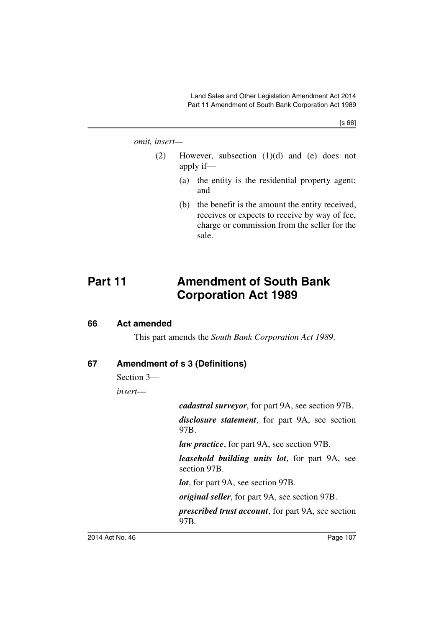[s 66]

#### *omit, insert—*

- (2) However, subsection (1)(d) and (e) does not apply if—
	- (a) the entity is the residential property agent; and
	- (b) the benefit is the amount the entity received, receives or expects to receive by way of fee, charge or commission from the seller for the sale.

# **Part 11 Amendment of South Bank Corporation Act 1989**

#### **66 Act amended**

This part amends the *South Bank Corporation Act 1989*.

## **67 Amendment of s 3 (Definitions)**

Section 3—

*insert*—

*cadastral surveyor*, for part 9A, see section 97B.

*disclosure statement*, for part 9A, see section 97B.

*law practice*, for part 9A, see section 97B.

*leasehold building units lot*, for part 9A, see section 97B.

*lot*, for part 9A, see section 97B.

*original seller*, for part 9A, see section 97B.

*prescribed trust account*, for part 9A, see section 97B*.*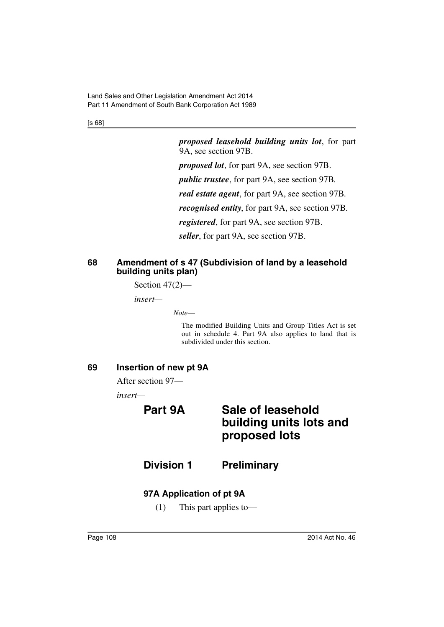[s 68]

*proposed leasehold building units lot*, for part 9A, see section 97B.

*proposed lot*, for part 9A, see section 97B.

*public trustee*, for part 9A, see section 97B*.*

*real estate agent*, for part 9A, see section 97B*.*

*recognised entity*, for part 9A, see section 97B*.*

*registered*, for part 9A, see section 97B.

*seller*, for part 9A, see section 97B.

## **68 Amendment of s 47 (Subdivision of land by a leasehold building units plan)**

Section  $47(2)$ —

*insert—*

*Note*—

The modified Building Units and Group Titles Act is set out in schedule 4. Part 9A also applies to land that is subdivided under this section.

## **69 Insertion of new pt 9A**

After section 97—

*insert—*

# **Part 9A Sale of leasehold building units lots and proposed lots**

# **Division 1 Preliminary**

## **97A Application of pt 9A**

(1) This part applies to—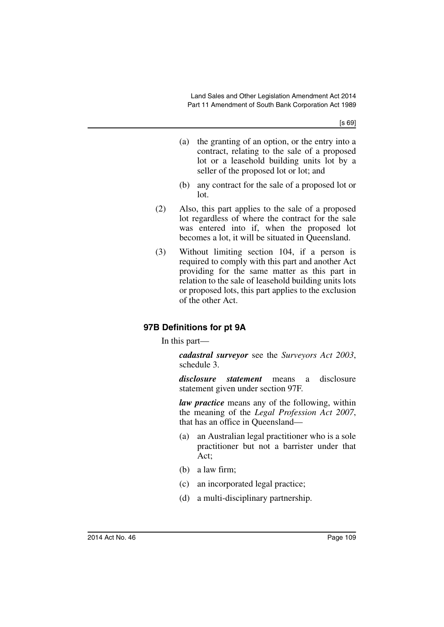- (a) the granting of an option, or the entry into a contract, relating to the sale of a proposed lot or a leasehold building units lot by a seller of the proposed lot or lot; and
- (b) any contract for the sale of a proposed lot or lot.
- (2) Also, this part applies to the sale of a proposed lot regardless of where the contract for the sale was entered into if, when the proposed lot becomes a lot, it will be situated in Queensland.
- (3) Without limiting section 104, if a person is required to comply with this part and another Act providing for the same matter as this part in relation to the sale of leasehold building units lots or proposed lots, this part applies to the exclusion of the other Act.

## **97B Definitions for pt 9A**

In this part—

*cadastral surveyor* see the *Surveyors Act 2003*, schedule 3.

*disclosure statement* means a disclosure statement given under section 97F.

*law practice* means any of the following, within the meaning of the *Legal Profession Act 2007*, that has an office in Queensland—

- (a) an Australian legal practitioner who is a sole practitioner but not a barrister under that Act;
- (b) a law firm;
- (c) an incorporated legal practice;
- (d) a multi-disciplinary partnership.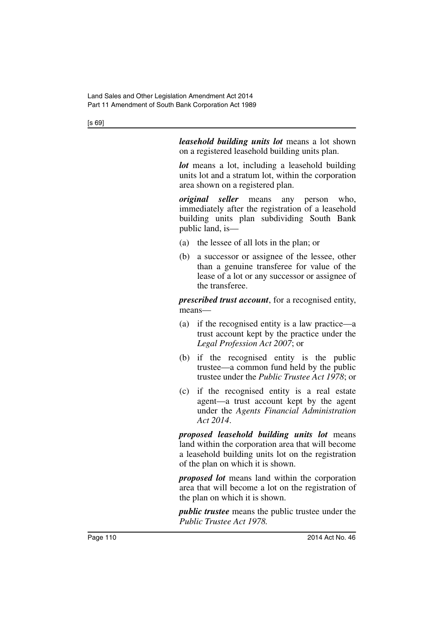*leasehold building units lot* means a lot shown on a registered leasehold building units plan.

*lot* means a lot, including a leasehold building units lot and a stratum lot, within the corporation area shown on a registered plan.

*original seller* means any person who, immediately after the registration of a leasehold building units plan subdividing South Bank public land, is—

- (a) the lessee of all lots in the plan; or
- (b) a successor or assignee of the lessee, other than a genuine transferee for value of the lease of a lot or any successor or assignee of the transferee.

*prescribed trust account*, for a recognised entity, means—

- (a) if the recognised entity is a law practice—a trust account kept by the practice under the *Legal Profession Act 2007*; or
- (b) if the recognised entity is the public trustee—a common fund held by the public trustee under the *Public Trustee Act 1978*; or
- (c) if the recognised entity is a real estate agent—a trust account kept by the agent under the *Agents Financial Administration Act 2014*.

*proposed leasehold building units lot* means land within the corporation area that will become a leasehold building units lot on the registration of the plan on which it is shown.

*proposed lot* means land within the corporation area that will become a lot on the registration of the plan on which it is shown.

*public trustee* means the public trustee under the *Public Trustee Act 1978.*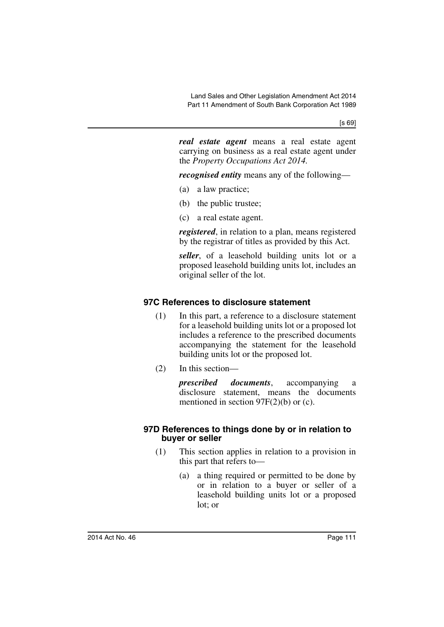*real estate agent* means a real estate agent carrying on business as a real estate agent under the *Property Occupations Act 2014.*

*recognised entity* means any of the following—

- (a) a law practice;
- (b) the public trustee;
- (c) a real estate agent.

*registered*, in relation to a plan, means registered by the registrar of titles as provided by this Act.

*seller*, of a leasehold building units lot or a proposed leasehold building units lot, includes an original seller of the lot.

## **97C References to disclosure statement**

- (1) In this part, a reference to a disclosure statement for a leasehold building units lot or a proposed lot includes a reference to the prescribed documents accompanying the statement for the leasehold building units lot or the proposed lot.
- (2) In this section—

*prescribed documents*, accompanying a disclosure statement, means the documents mentioned in section 97F(2)(b) or (c).

#### **97D References to things done by or in relation to buyer or seller**

- (1) This section applies in relation to a provision in this part that refers to—
	- (a) a thing required or permitted to be done by or in relation to a buyer or seller of a leasehold building units lot or a proposed lot; or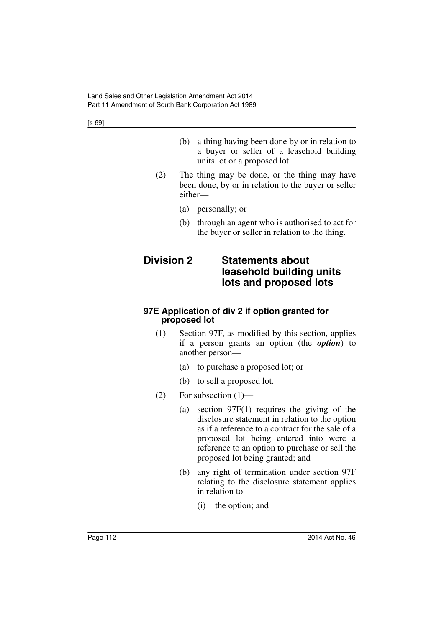- (b) a thing having been done by or in relation to a buyer or seller of a leasehold building units lot or a proposed lot.
- (2) The thing may be done, or the thing may have been done, by or in relation to the buyer or seller either—
	- (a) personally; or
	- (b) through an agent who is authorised to act for the buyer or seller in relation to the thing.

## **Division 2 Statements about leasehold building units lots and proposed lots**

#### **97E Application of div 2 if option granted for proposed lot**

- (1) Section 97F, as modified by this section, applies if a person grants an option (the *option*) to another person—
	- (a) to purchase a proposed lot; or
	- (b) to sell a proposed lot.
- $(2)$  For subsection  $(1)$ 
	- (a) section 97F(1) requires the giving of the disclosure statement in relation to the option as if a reference to a contract for the sale of a proposed lot being entered into were a reference to an option to purchase or sell the proposed lot being granted; and
	- (b) any right of termination under section 97F relating to the disclosure statement applies in relation to—
		- (i) the option; and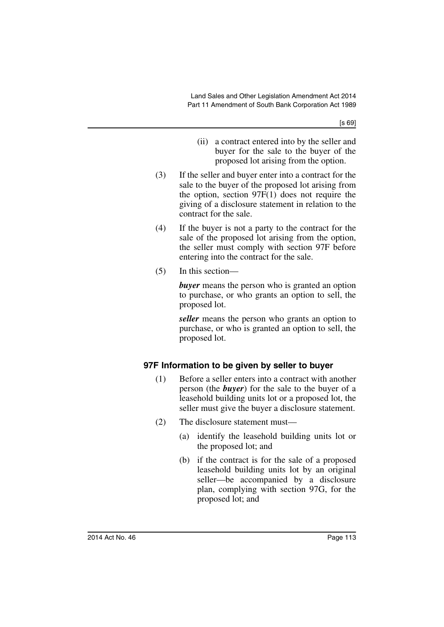- (ii) a contract entered into by the seller and buyer for the sale to the buyer of the proposed lot arising from the option.
- (3) If the seller and buyer enter into a contract for the sale to the buyer of the proposed lot arising from the option, section 97F(1) does not require the giving of a disclosure statement in relation to the contract for the sale.
- (4) If the buyer is not a party to the contract for the sale of the proposed lot arising from the option, the seller must comply with section 97F before entering into the contract for the sale.
- (5) In this section—

*buyer* means the person who is granted an option to purchase, or who grants an option to sell, the proposed lot.

*seller* means the person who grants an option to purchase, or who is granted an option to sell, the proposed lot.

## **97F Information to be given by seller to buyer**

- (1) Before a seller enters into a contract with another person (the *buyer*) for the sale to the buyer of a leasehold building units lot or a proposed lot, the seller must give the buyer a disclosure statement.
- (2) The disclosure statement must—
	- (a) identify the leasehold building units lot or the proposed lot; and
	- (b) if the contract is for the sale of a proposed leasehold building units lot by an original seller—be accompanied by a disclosure plan, complying with section 97G, for the proposed lot; and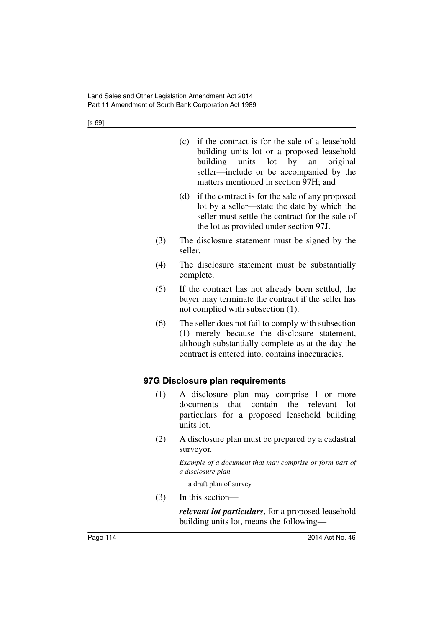| (c) if the contract is for the sale of a leasehold |
|----------------------------------------------------|
| building units lot or a proposed leasehold         |
| building units lot by an original                  |
| seller—include or be accompanied by the            |
| matters mentioned in section 97H; and              |

- (d) if the contract is for the sale of any proposed lot by a seller—state the date by which the seller must settle the contract for the sale of the lot as provided under section 97J.
- (3) The disclosure statement must be signed by the seller.
- (4) The disclosure statement must be substantially complete.
- (5) If the contract has not already been settled, the buyer may terminate the contract if the seller has not complied with subsection (1).
- (6) The seller does not fail to comply with subsection (1) merely because the disclosure statement, although substantially complete as at the day the contract is entered into, contains inaccuracies.

## **97G Disclosure plan requirements**

- (1) A disclosure plan may comprise 1 or more documents that contain the relevant lot particulars for a proposed leasehold building units lot.
- (2) A disclosure plan must be prepared by a cadastral surveyor.

*Example of a document that may comprise or form part of a disclosure plan*—

a draft plan of survey

(3) In this section—

*relevant lot particulars*, for a proposed leasehold building units lot, means the following—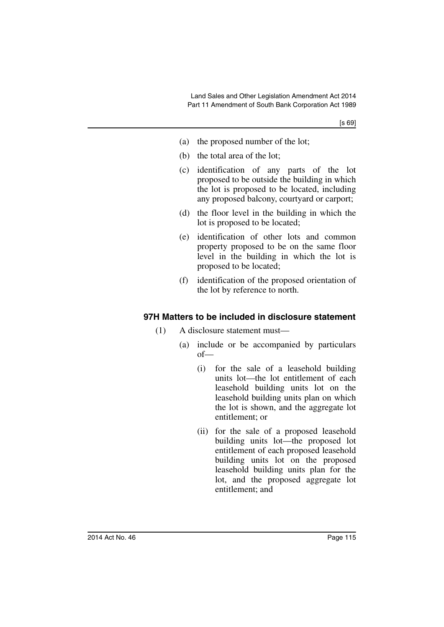- (a) the proposed number of the lot;
- (b) the total area of the lot;
- (c) identification of any parts of the lot proposed to be outside the building in which the lot is proposed to be located, including any proposed balcony, courtyard or carport;
- (d) the floor level in the building in which the lot is proposed to be located;
- (e) identification of other lots and common property proposed to be on the same floor level in the building in which the lot is proposed to be located;
- (f) identification of the proposed orientation of the lot by reference to north.

## **97H Matters to be included in disclosure statement**

- (1) A disclosure statement must—
	- (a) include or be accompanied by particulars of—
		- (i) for the sale of a leasehold building units lot—the lot entitlement of each leasehold building units lot on the leasehold building units plan on which the lot is shown, and the aggregate lot entitlement; or
		- (ii) for the sale of a proposed leasehold building units lot—the proposed lot entitlement of each proposed leasehold building units lot on the proposed leasehold building units plan for the lot, and the proposed aggregate lot entitlement; and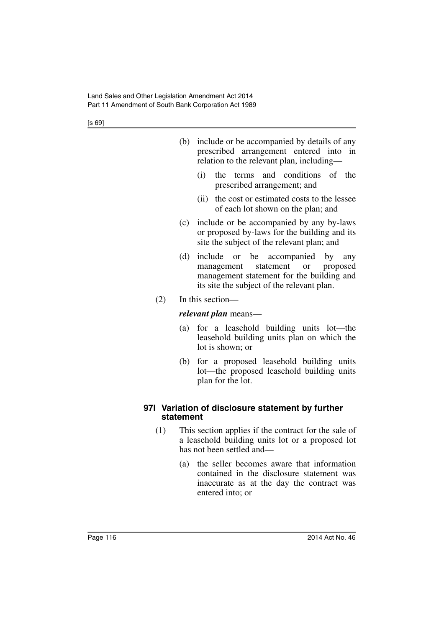|     |           | (b) include or be accompanied by details of any<br>prescribed arrangement entered into in<br>relation to the relevant plan, including-                                   |
|-----|-----------|--------------------------------------------------------------------------------------------------------------------------------------------------------------------------|
|     |           | and conditions<br>of the<br>(i)<br>terms<br>the<br>prescribed arrangement; and                                                                                           |
|     |           | the cost or estimated costs to the lessee<br>(ii)<br>of each lot shown on the plan; and                                                                                  |
|     | (c)       | include or be accompanied by any by-laws<br>or proposed by-laws for the building and its<br>site the subject of the relevant plan; and                                   |
|     | (d)       | or be accompanied by any<br>include<br>statement or<br>proposed<br>management<br>management statement for the building and<br>its site the subject of the relevant plan. |
| (2) |           | In this section-                                                                                                                                                         |
|     |           | <i>relevant plan</i> means—                                                                                                                                              |
|     | (a)       | for a leasehold building units lot—the<br>leasehold building units plan on which the<br>lot is shown; or                                                                 |
|     | (b)       | for a proposed leasehold building units<br>lot—the proposed leasehold building units<br>plan for the lot.                                                                |
|     | statement | 971 Variation of disclosure statement by further                                                                                                                         |
| (1) |           | This section applies if the contract for the sale of<br>a leasehold building units lot or a proposed lot<br>has not been settled and-                                    |
|     | (a)       | the seller becomes aware that information<br>contained in the disclosure statement was<br>inaccurate as at the day the contract was<br>entered into; or                  |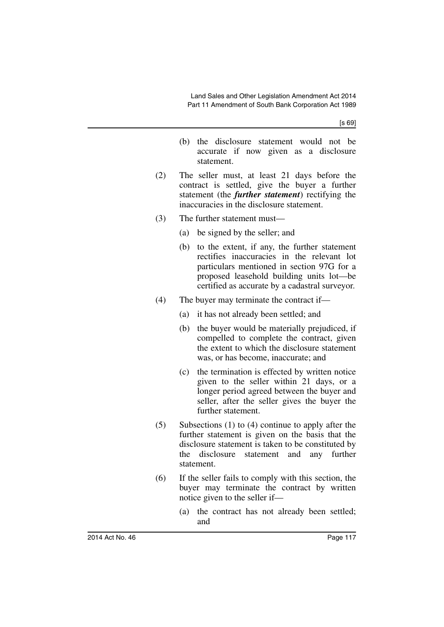- (b) the disclosure statement would not be accurate if now given as a disclosure statement.
- (2) The seller must, at least 21 days before the contract is settled, give the buyer a further statement (the *further statement*) rectifying the inaccuracies in the disclosure statement.
- (3) The further statement must—
	- (a) be signed by the seller; and
	- (b) to the extent, if any, the further statement rectifies inaccuracies in the relevant lot particulars mentioned in section 97G for a proposed leasehold building units lot—be certified as accurate by a cadastral surveyor.
- (4) The buyer may terminate the contract if—
	- (a) it has not already been settled; and
	- (b) the buyer would be materially prejudiced, if compelled to complete the contract, given the extent to which the disclosure statement was, or has become, inaccurate; and
	- (c) the termination is effected by written notice given to the seller within 21 days, or a longer period agreed between the buyer and seller, after the seller gives the buyer the further statement.
- (5) Subsections (1) to (4) continue to apply after the further statement is given on the basis that the disclosure statement is taken to be constituted by the disclosure statement and any further statement.
- (6) If the seller fails to comply with this section, the buyer may terminate the contract by written notice given to the seller if—
	- (a) the contract has not already been settled; and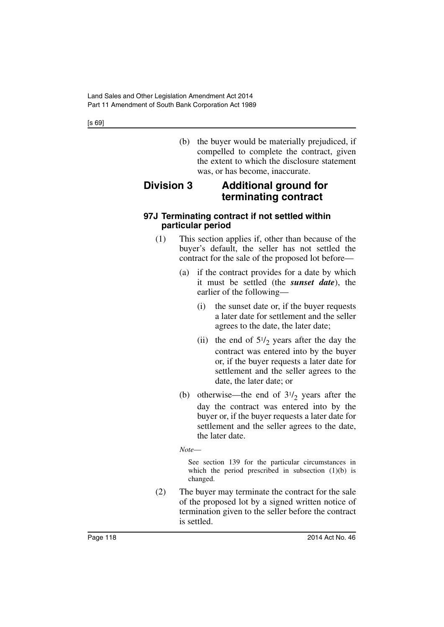(b) the buyer would be materially prejudiced, if compelled to complete the contract, given the extent to which the disclosure statement was, or has become, inaccurate.

# **Division 3 Additional ground for terminating contract**

## **97J Terminating contract if not settled within particular period**

- (1) This section applies if, other than because of the buyer's default, the seller has not settled the contract for the sale of the proposed lot before—
	- (a) if the contract provides for a date by which it must be settled (the *sunset date*), the earlier of the following—
		- (i) the sunset date or, if the buyer requests a later date for settlement and the seller agrees to the date, the later date;
		- (ii) the end of  $5\frac{1}{2}$  years after the day the contract was entered into by the buyer or, if the buyer requests a later date for settlement and the seller agrees to the date, the later date; or
	- (b) otherwise—the end of  $3^{1/2}$  years after the day the contract was entered into by the buyer or, if the buyer requests a later date for settlement and the seller agrees to the date, the later date.
	- *Note*—

See section 139 for the particular circumstances in which the period prescribed in subsection  $(1)(b)$  is changed.

(2) The buyer may terminate the contract for the sale of the proposed lot by a signed written notice of termination given to the seller before the contract is settled.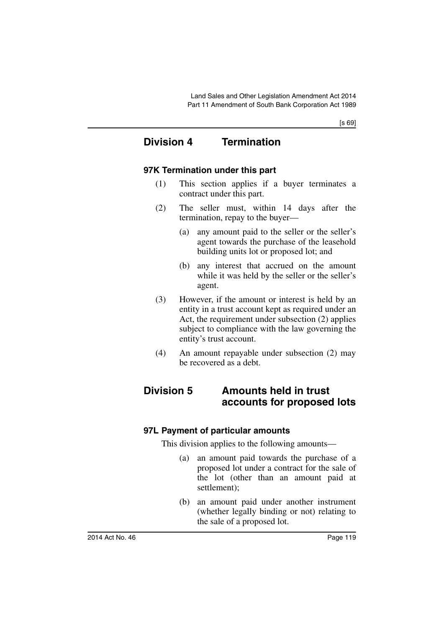## **Division 4 Termination**

## **97K Termination under this part**

- (1) This section applies if a buyer terminates a contract under this part.
- (2) The seller must, within 14 days after the termination, repay to the buyer—
	- (a) any amount paid to the seller or the seller's agent towards the purchase of the leasehold building units lot or proposed lot; and
	- (b) any interest that accrued on the amount while it was held by the seller or the seller's agent.
- (3) However, if the amount or interest is held by an entity in a trust account kept as required under an Act, the requirement under subsection (2) applies subject to compliance with the law governing the entity's trust account.
- (4) An amount repayable under subsection (2) may be recovered as a debt.

## **Division 5 Amounts held in trust accounts for proposed lots**

## **97L Payment of particular amounts**

This division applies to the following amounts—

- (a) an amount paid towards the purchase of a proposed lot under a contract for the sale of the lot (other than an amount paid at settlement);
- (b) an amount paid under another instrument (whether legally binding or not) relating to the sale of a proposed lot.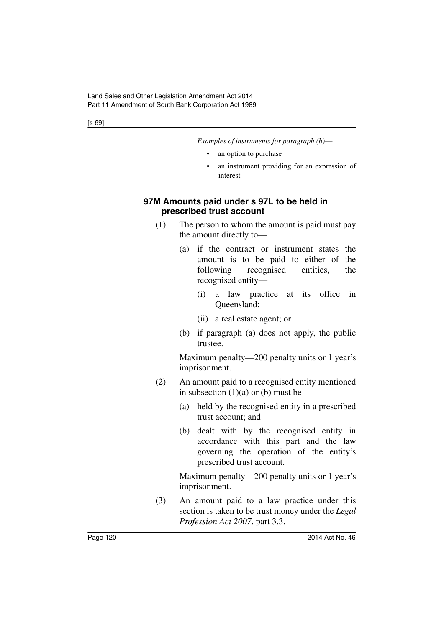*Examples of instruments for paragraph (b)*—

- an option to purchase
- an instrument providing for an expression of interest

## **97M Amounts paid under s 97L to be held in prescribed trust account**

- (1) The person to whom the amount is paid must pay the amount directly to—
	- (a) if the contract or instrument states the amount is to be paid to either of the following recognised entities, the recognised entity—
		- (i) a law practice at its office in Queensland;
		- (ii) a real estate agent; or
	- (b) if paragraph (a) does not apply, the public trustee.

Maximum penalty—200 penalty units or 1 year's imprisonment.

- (2) An amount paid to a recognised entity mentioned in subsection  $(1)(a)$  or  $(b)$  must be—
	- (a) held by the recognised entity in a prescribed trust account; and
	- (b) dealt with by the recognised entity in accordance with this part and the law governing the operation of the entity's prescribed trust account.

Maximum penalty—200 penalty units or 1 year's imprisonment.

(3) An amount paid to a law practice under this section is taken to be trust money under the *Legal Profession Act 2007*, part 3.3.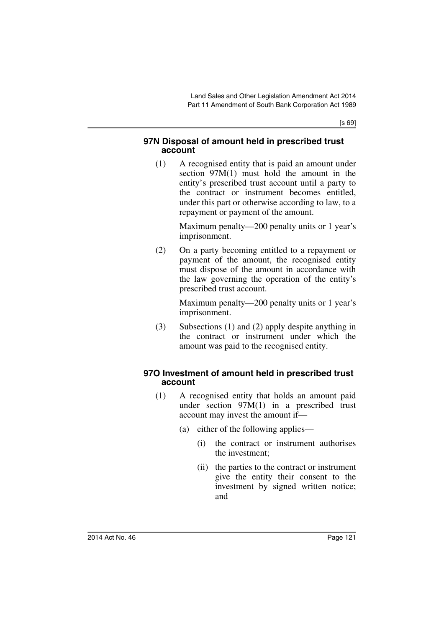#### **97N Disposal of amount held in prescribed trust account**

(1) A recognised entity that is paid an amount under section 97M(1) must hold the amount in the entity's prescribed trust account until a party to the contract or instrument becomes entitled, under this part or otherwise according to law, to a repayment or payment of the amount.

> Maximum penalty—200 penalty units or 1 year's imprisonment.

(2) On a party becoming entitled to a repayment or payment of the amount, the recognised entity must dispose of the amount in accordance with the law governing the operation of the entity's prescribed trust account.

> Maximum penalty—200 penalty units or 1 year's imprisonment.

(3) Subsections (1) and (2) apply despite anything in the contract or instrument under which the amount was paid to the recognised entity.

## **97O Investment of amount held in prescribed trust account**

- (1) A recognised entity that holds an amount paid under section 97M(1) in a prescribed trust account may invest the amount if—
	- (a) either of the following applies—
		- (i) the contract or instrument authorises the investment;
		- (ii) the parties to the contract or instrument give the entity their consent to the investment by signed written notice; and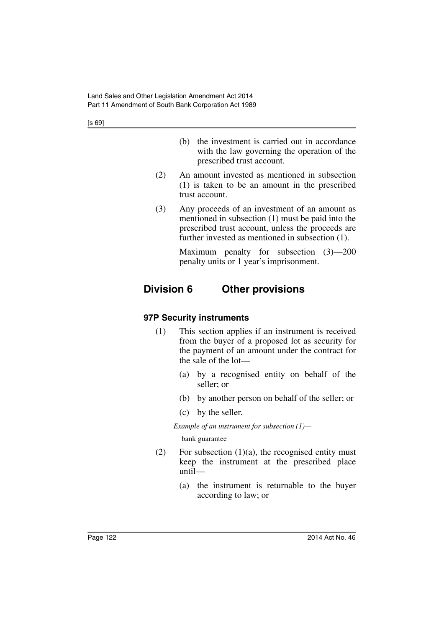- (b) the investment is carried out in accordance with the law governing the operation of the prescribed trust account.
- (2) An amount invested as mentioned in subsection (1) is taken to be an amount in the prescribed trust account.
- (3) Any proceeds of an investment of an amount as mentioned in subsection (1) must be paid into the prescribed trust account, unless the proceeds are further invested as mentioned in subsection (1).

Maximum penalty for subsection (3)—200 penalty units or 1 year's imprisonment.

# **Division 6 Other provisions**

## **97P Security instruments**

- (1) This section applies if an instrument is received from the buyer of a proposed lot as security for the payment of an amount under the contract for the sale of the lot—
	- (a) by a recognised entity on behalf of the seller; or
	- (b) by another person on behalf of the seller; or
	- (c) by the seller.

*Example of an instrument for subsection (1)—*

bank guarantee

- (2) For subsection  $(1)(a)$ , the recognised entity must keep the instrument at the prescribed place until—
	- (a) the instrument is returnable to the buyer according to law; or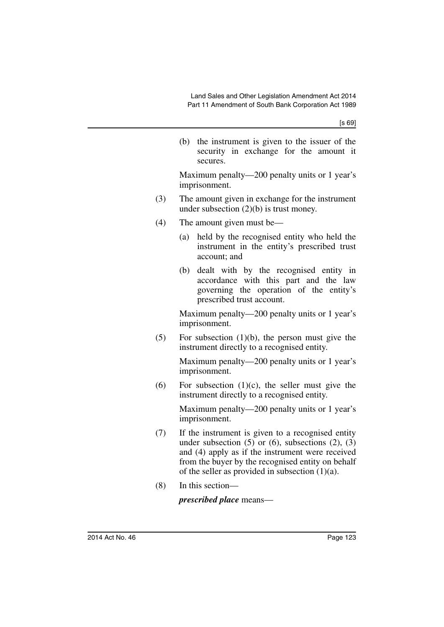(b) the instrument is given to the issuer of the security in exchange for the amount it secures.

Maximum penalty—200 penalty units or 1 year's imprisonment.

- (3) The amount given in exchange for the instrument under subsection  $(2)(b)$  is trust money.
- (4) The amount given must be—
	- (a) held by the recognised entity who held the instrument in the entity's prescribed trust account; and
	- (b) dealt with by the recognised entity in accordance with this part and the law governing the operation of the entity's prescribed trust account.

Maximum penalty—200 penalty units or 1 year's imprisonment.

 $(5)$  For subsection  $(1)(b)$ , the person must give the instrument directly to a recognised entity.

> Maximum penalty—200 penalty units or 1 year's imprisonment.

(6) For subsection  $(1)(c)$ , the seller must give the instrument directly to a recognised entity.

> Maximum penalty—200 penalty units or 1 year's imprisonment.

- (7) If the instrument is given to a recognised entity under subsection  $(5)$  or  $(6)$ , subsections  $(2)$ ,  $(3)$ and (4) apply as if the instrument were received from the buyer by the recognised entity on behalf of the seller as provided in subsection  $(1)(a)$ .
- (8) In this section—

*prescribed place* means—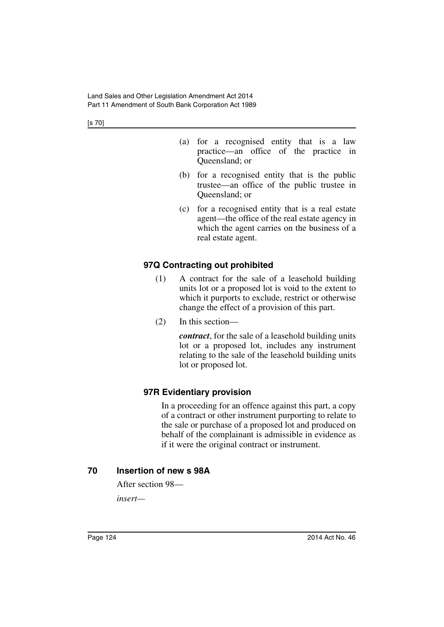[s 70]

- (a) for a recognised entity that is a law practice—an office of the practice in Queensland; or
- (b) for a recognised entity that is the public trustee—an office of the public trustee in Queensland; or
- (c) for a recognised entity that is a real estate agent—the office of the real estate agency in which the agent carries on the business of a real estate agent.

## **97Q Contracting out prohibited**

- (1) A contract for the sale of a leasehold building units lot or a proposed lot is void to the extent to which it purports to exclude, restrict or otherwise change the effect of a provision of this part.
- (2) In this section—

*contract*, for the sale of a leasehold building units lot or a proposed lot, includes any instrument relating to the sale of the leasehold building units lot or proposed lot.

## **97R Evidentiary provision**

In a proceeding for an offence against this part, a copy of a contract or other instrument purporting to relate to the sale or purchase of a proposed lot and produced on behalf of the complainant is admissible in evidence as if it were the original contract or instrument.

## **70 Insertion of new s 98A**

After section 98—

*insert—*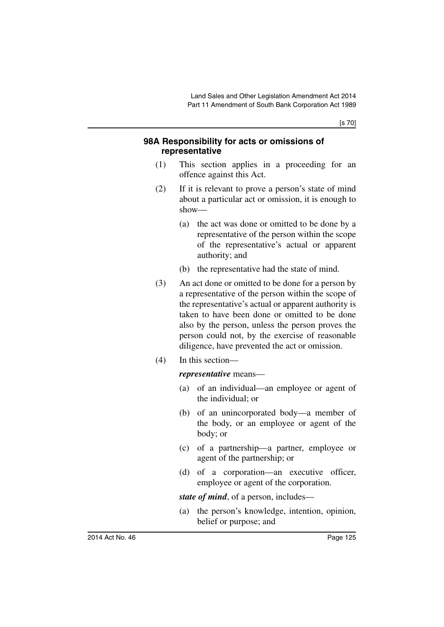[s 70]

## **98A Responsibility for acts or omissions of representative**

- (1) This section applies in a proceeding for an offence against this Act.
- (2) If it is relevant to prove a person's state of mind about a particular act or omission, it is enough to show—
	- (a) the act was done or omitted to be done by a representative of the person within the scope of the representative's actual or apparent authority; and
	- (b) the representative had the state of mind.
- (3) An act done or omitted to be done for a person by a representative of the person within the scope of the representative's actual or apparent authority is taken to have been done or omitted to be done also by the person, unless the person proves the person could not, by the exercise of reasonable diligence, have prevented the act or omission.
- (4) In this section—

#### *representative* means—

- (a) of an individual—an employee or agent of the individual; or
- (b) of an unincorporated body—a member of the body, or an employee or agent of the body; or
- (c) of a partnership—a partner, employee or agent of the partnership; or
- (d) of a corporation—an executive officer, employee or agent of the corporation.

*state of mind*, of a person, includes—

(a) the person's knowledge, intention, opinion, belief or purpose; and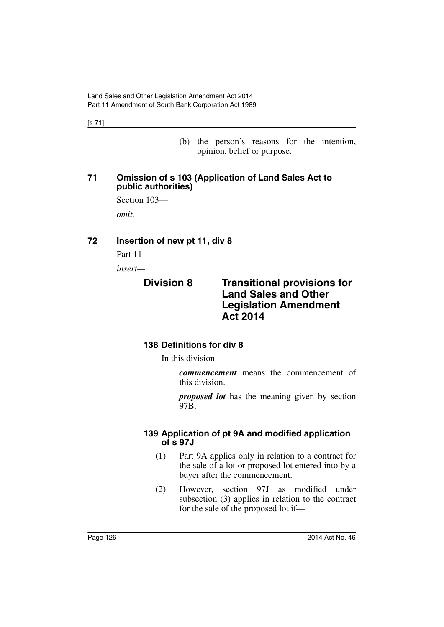[s 71]

(b) the person's reasons for the intention, opinion, belief or purpose.

## **71 Omission of s 103 (Application of Land Sales Act to public authorities)**

Section 103 *omit.*

## **72 Insertion of new pt 11, div 8**

Part 11—

*insert—*

## **Division 8 Transitional provisions for Land Sales and Other Legislation Amendment Act 2014**

## **138 Definitions for div 8**

In this division—

*commencement* means the commencement of this division.

*proposed lot* has the meaning given by section 97B.

## **139 Application of pt 9A and modified application of s 97J**

- (1) Part 9A applies only in relation to a contract for the sale of a lot or proposed lot entered into by a buyer after the commencement.
- (2) However, section 97J as modified under subsection (3) applies in relation to the contract for the sale of the proposed lot if—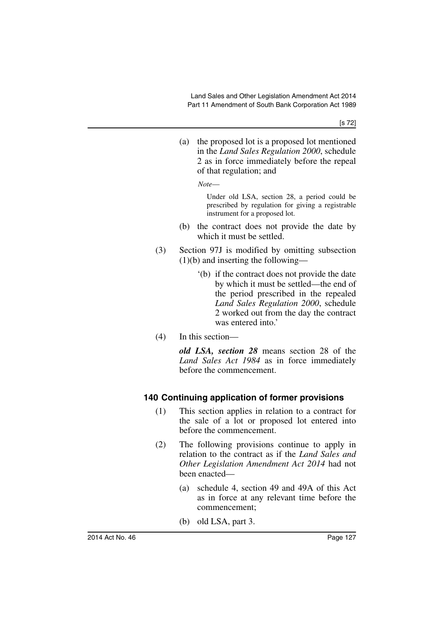(a) the proposed lot is a proposed lot mentioned in the *Land Sales Regulation 2000*, schedule 2 as in force immediately before the repeal of that regulation; and

*Note*—

Under old LSA, section 28, a period could be prescribed by regulation for giving a registrable instrument for a proposed lot.

- (b) the contract does not provide the date by which it must be settled.
- (3) Section 97J is modified by omitting subsection (1)(b) and inserting the following—
	- '(b) if the contract does not provide the date by which it must be settled—the end of the period prescribed in the repealed *Land Sales Regulation 2000*, schedule 2 worked out from the day the contract was entered into.'
- (4) In this section—

*old LSA, section 28* means section 28 of the *Land Sales Act 1984* as in force immediately before the commencement.

## **140 Continuing application of former provisions**

- (1) This section applies in relation to a contract for the sale of a lot or proposed lot entered into before the commencement.
- (2) The following provisions continue to apply in relation to the contract as if the *Land Sales and Other Legislation Amendment Act 2014* had not been enacted—
	- (a) schedule 4, section 49 and 49A of this Act as in force at any relevant time before the commencement;
	- (b) old LSA, part 3.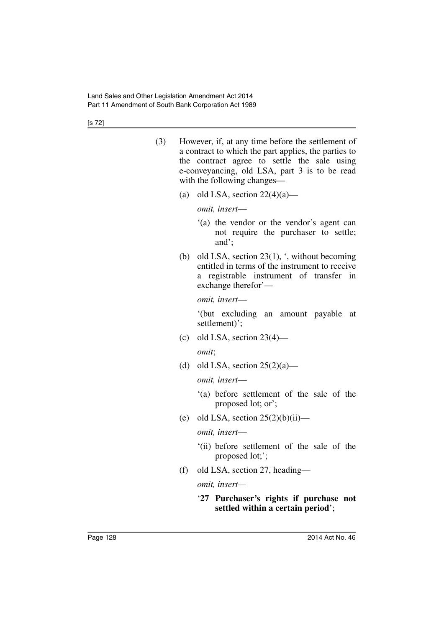[s 72]

| (3) | However, if, at any time before the settlement of<br>a contract to which the part applies, the parties to                   |
|-----|-----------------------------------------------------------------------------------------------------------------------------|
|     | the contract agree to settle the sale using<br>e-conveyancing, old LSA, part 3 is to be read<br>with the following changes— |

(a) old LSA, section  $22(4)(a)$ —

*omit, insert*—

- '(a) the vendor or the vendor's agent can not require the purchaser to settle; and';
- (b) old LSA, section 23(1), ', without becoming entitled in terms of the instrument to receive a registrable instrument of transfer in exchange therefor'—

*omit, insert*—

'(but excluding an amount payable at settlement)';

(c) old LSA, section  $23(4)$ —

*omit*;

(d) old LSA, section  $25(2)(a)$ —

*omit, insert*—

- '(a) before settlement of the sale of the proposed lot; or';
- (e) old LSA, section  $25(2)(b)(ii)$ —

*omit, insert*—

- '(ii) before settlement of the sale of the proposed lot;';
- (f) old LSA, section 27, heading—

*omit, insert—*

'**27 Purchaser's rights if purchase not settled within a certain period**';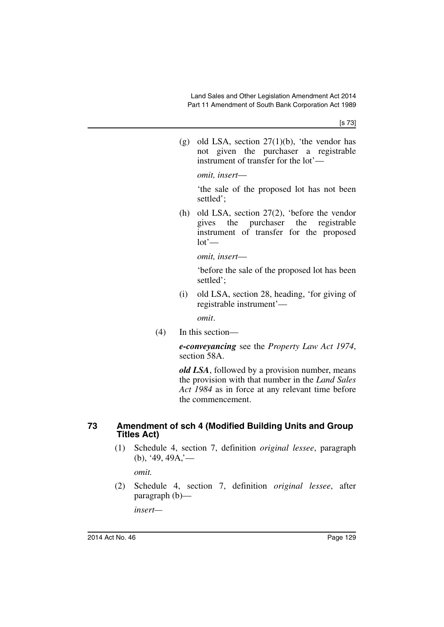(g) old LSA, section  $27(1)(b)$ , 'the vendor has not given the purchaser a registrable instrument of transfer for the lot'—

*omit, insert*—

'the sale of the proposed lot has not been settled';

(h) old LSA, section 27(2), 'before the vendor gives the purchaser the registrable instrument of transfer for the proposed  $lot'$ —

*omit, insert*—

'before the sale of the proposed lot has been settled';

(i) old LSA, section 28, heading, 'for giving of registrable instrument'—

*omit*.

(4) In this section—

*e-conveyancing* see the *Property Law Act 1974*, section 58A.

*old LSA*, followed by a provision number, means the provision with that number in the *Land Sales Act 1984* as in force at any relevant time before the commencement.

#### **73 Amendment of sch 4 (Modified Building Units and Group Titles Act)**

(1) Schedule 4, section 7, definition *original lessee*, paragraph  $(b)$ , '49, 49A,'—

*omit.*

(2) Schedule 4, section 7, definition *original lessee*, after paragraph (b)—

*insert—*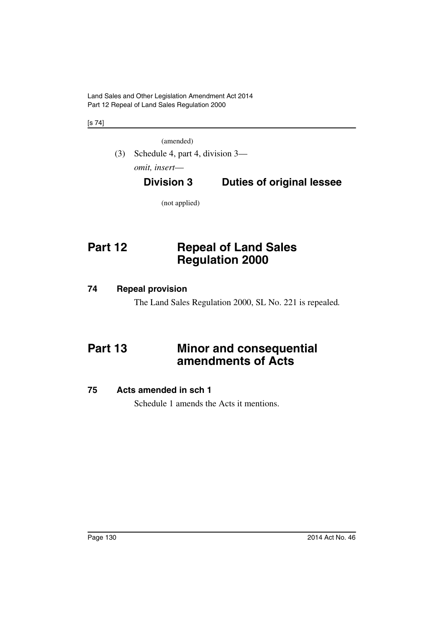Land Sales and Other Legislation Amendment Act 2014 Part 12 Repeal of Land Sales Regulation 2000

[s 74]

(amended)

(3) Schedule 4, part 4, division 3 *omit, insert*—

# **Division 3 Duties of original lessee**

(not applied)

# **Part 12 Repeal of Land Sales Regulation 2000**

## **74 Repeal provision**

The Land Sales Regulation 2000, SL No. 221 is repealed*.*

# **Part 13 Minor and consequential amendments of Acts**

## **75 Acts amended in sch 1**

Schedule 1 amends the Acts it mentions.